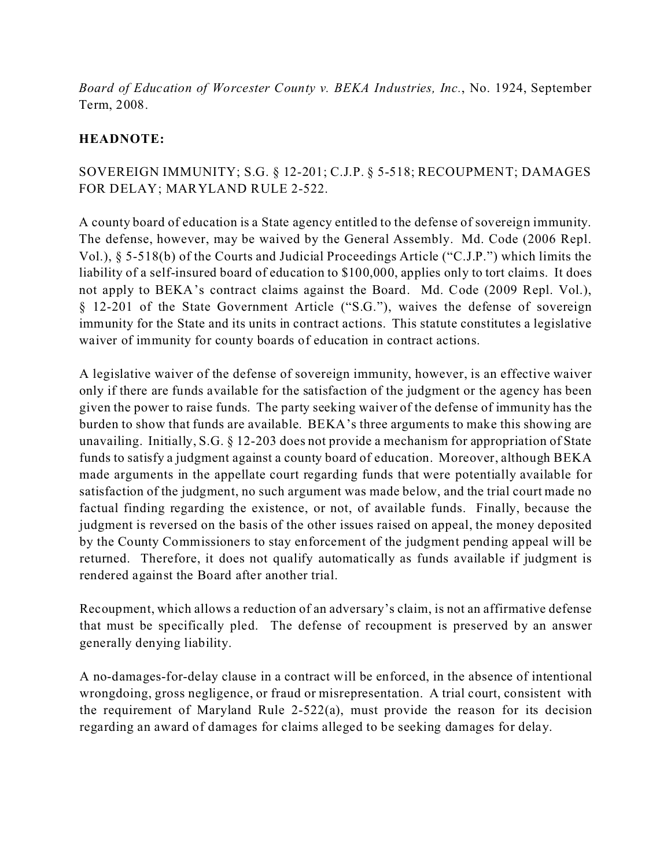*Board of Education of Worcester County v. BEKA Industries, Inc.*, No. 1924, September Term, 2008.

# **HEADNOTE:**

# SOVEREIGN IMMUNITY; S.G. § 12-201; C.J.P. § 5-518; RECOUPMENT; DAMAGES FOR DELAY; MARYLAND RULE 2-522.

A county board of education is a State agency entitled to the defense of sovereign immunity. The defense, however, may be waived by the General Assembly. Md. Code (2006 Repl. Vol.), § 5-518(b) of the Courts and Judicial Proceedings Article ("C.J.P.") which limits the liability of a self-insured board of education to \$100,000, applies only to tort claims. It does not apply to BEKA's contract claims against the Board. Md. Code (2009 Repl. Vol.), § 12-201 of the State Government Article ("S.G."), waives the defense of sovereign immunity for the State and its units in contract actions. This statute constitutes a legislative waiver of immunity for county boards of education in contract actions.

A legislative waiver of the defense of sovereign immunity, however, is an effective waiver only if there are funds available for the satisfaction of the judgment or the agency has been given the power to raise funds. The party seeking waiver of the defense of immunity has the burden to show that funds are available. BEKA's three arguments to make this showing are unavailing. Initially, S.G. § 12-203 does not provide a mechanism for appropriation of State funds to satisfy a judgment against a county board of education. Moreover, although BEKA made arguments in the appellate court regarding funds that were potentially available for satisfaction of the judgment, no such argument was made below, and the trial court made no factual finding regarding the existence, or not, of available funds. Finally, because the judgment is reversed on the basis of the other issues raised on appeal, the money deposited by the County Commissioners to stay enforcement of the judgment pending appeal will be returned. Therefore, it does not qualify automatically as funds available if judgment is rendered against the Board after another trial.

Recoupment, which allows a reduction of an adversary's claim, is not an affirmative defense that must be specifically pled. The defense of recoupment is preserved by an answer generally denying liability.

A no-damages-for-delay clause in a contract will be enforced, in the absence of intentional wrongdoing, gross negligence, or fraud or misrepresentation. A trial court, consistent with the requirement of Maryland Rule 2-522(a), must provide the reason for its decision regarding an award of damages for claims alleged to be seeking damages for delay.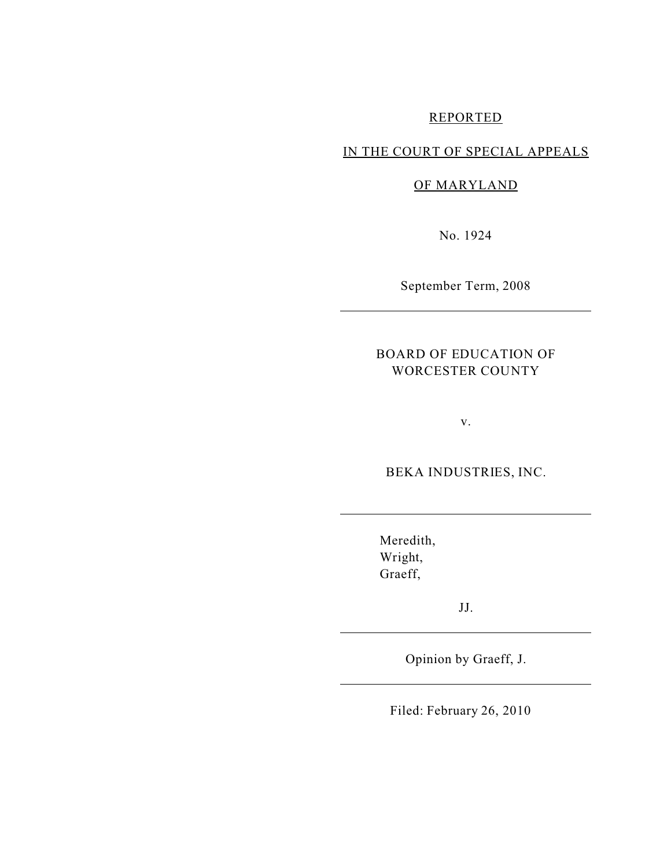# REPORTED

## IN THE COURT OF SPECIAL APPEALS

## OF MARYLAND

No. 1924

September Term, 2008

## BOARD OF EDUCATION OF WORCESTER COUNTY

v.

BEKA INDUSTRIES, INC.

Meredith, Wright, Graeff,

JJ.

Opinion by Graeff, J.

Filed: February 26, 2010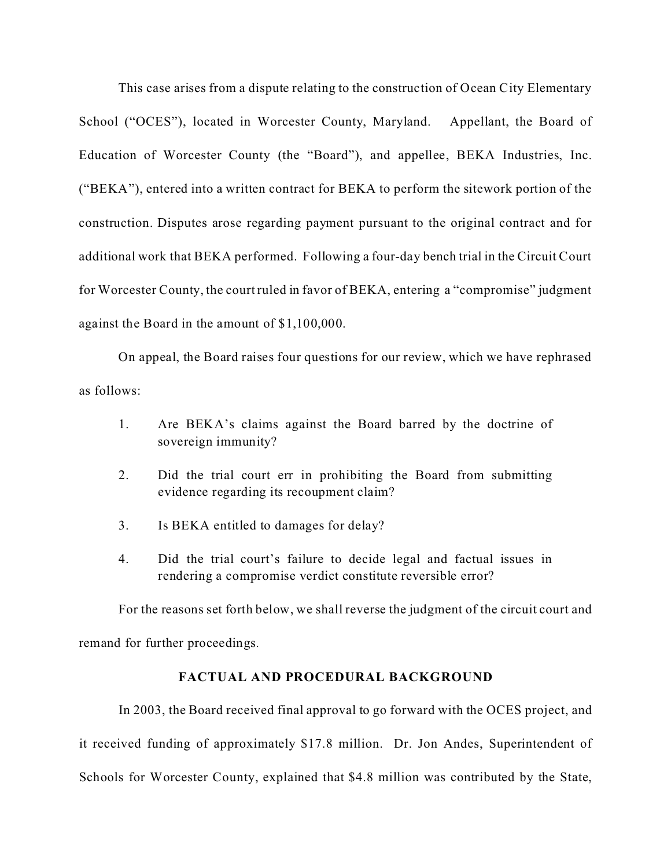This case arises from a dispute relating to the construction of Ocean City Elementary School ("OCES"), located in Worcester County, Maryland. Appellant, the Board of Education of Worcester County (the "Board"), and appellee, BEKA Industries, Inc. ("BEKA"), entered into a written contract for BEKA to perform the sitework portion of the construction. Disputes arose regarding payment pursuant to the original contract and for additional work that BEKA performed. Following a four-day bench trial in the Circuit Court for Worcester County, the court ruled in favor of BEKA, entering a "compromise" judgment against the Board in the amount of \$1,100,000.

On appeal, the Board raises four questions for our review, which we have rephrased as follows:

- 1. Are BEKA's claims against the Board barred by the doctrine of sovereign immunity?
- 2. Did the trial court err in prohibiting the Board from submitting evidence regarding its recoupment claim?
- 3. Is BEKA entitled to damages for delay?
- 4. Did the trial court's failure to decide legal and factual issues in rendering a compromise verdict constitute reversible error?

For the reasons set forth below, we shall reverse the judgment of the circuit court and

remand for further proceedings.

### **FACTUAL AND PROCEDURAL BACKGROUND**

In 2003, the Board received final approval to go forward with the OCES project, and it received funding of approximately \$17.8 million. Dr. Jon Andes, Superintendent of Schools for Worcester County, explained that \$4.8 million was contributed by the State,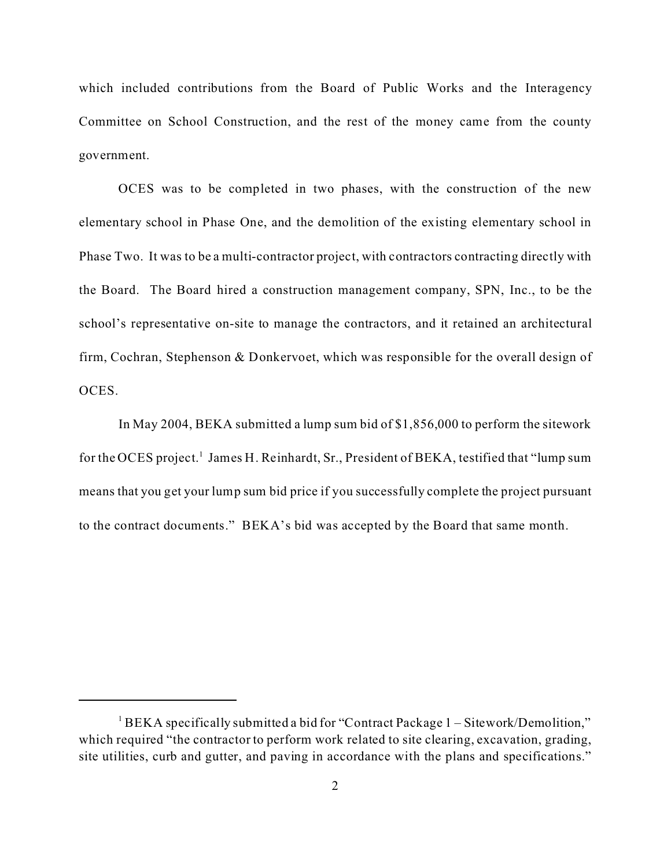which included contributions from the Board of Public Works and the Interagency Committee on School Construction, and the rest of the money came from the county government.

OCES was to be completed in two phases, with the construction of the new elementary school in Phase One, and the demolition of the existing elementary school in Phase Two. It was to be a multi-contractor project, with contractors contracting directly with the Board. The Board hired a construction management company, SPN, Inc., to be the school's representative on-site to manage the contractors, and it retained an architectural firm, Cochran, Stephenson & Donkervoet, which was responsible for the overall design of OCES.

In May 2004, BEKA submitted a lump sum bid of \$1,856,000 to perform the sitework for the OCES project.<sup>1</sup> James H. Reinhardt, Sr., President of BEKA, testified that "lump sum means that you get your lump sum bid price if you successfully complete the project pursuant to the contract documents." BEKA's bid was accepted by the Board that same month.

<sup>&</sup>lt;sup>1</sup> BEKA specifically submitted a bid for "Contract Package 1 – Sitework/Demolition," which required "the contractor to perform work related to site clearing, excavation, grading, site utilities, curb and gutter, and paving in accordance with the plans and specifications."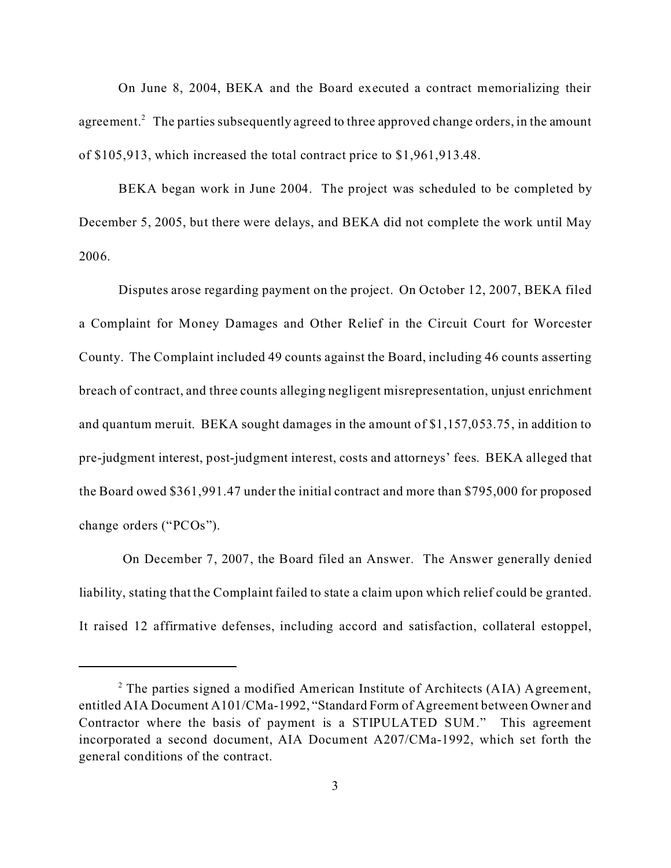On June 8, 2004, BEKA and the Board executed a contract memorializing their agreement. $^2$  The parties subsequently agreed to three approved change orders, in the amount of \$105,913, which increased the total contract price to \$1,961,913.48.

BEKA began work in June 2004. The project was scheduled to be completed by December 5, 2005, but there were delays, and BEKA did not complete the work until May 2006.

Disputes arose regarding payment on the project. On October 12, 2007, BEKA filed a Complaint for Money Damages and Other Relief in the Circuit Court for Worcester County. The Complaint included 49 counts against the Board, including 46 counts asserting breach of contract, and three counts alleging negligent misrepresentation, unjust enrichment and quantum meruit. BEKA sought damages in the amount of \$1,157,053.75, in addition to pre-judgment interest, post-judgment interest, costs and attorneys' fees. BEKA alleged that the Board owed \$361,991.47 under the initial contract and more than \$795,000 for proposed change orders ("PCOs").

 On December 7, 2007, the Board filed an Answer. The Answer generally denied liability, stating that the Complaint failed to state a claim upon which relief could be granted. It raised 12 affirmative defenses, including accord and satisfaction, collateral estoppel,

 $2$  The parties signed a modified American Institute of Architects (AIA) Agreement, entitled AIA Document A101/CMa-1992, "Standard Form of Agreement between Owner and Contractor where the basis of payment is a STIPULATED SUM." This agreement incorporated a second document, AIA Document A207/CMa-1992, which set forth the general conditions of the contract.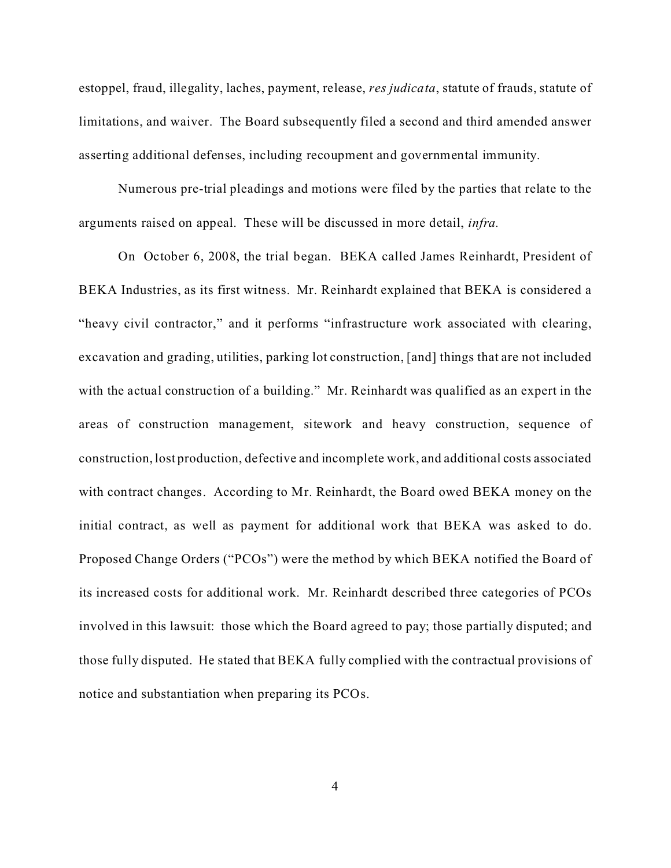estoppel, fraud, illegality, laches, payment, release, *res judicata*, statute of frauds, statute of limitations, and waiver. The Board subsequently filed a second and third amended answer asserting additional defenses, including recoupment and governmental immunity.

Numerous pre-trial pleadings and motions were filed by the parties that relate to the arguments raised on appeal. These will be discussed in more detail, *infra.*

On October 6, 2008, the trial began. BEKA called James Reinhardt, President of BEKA Industries, as its first witness. Mr. Reinhardt explained that BEKA is considered a "heavy civil contractor," and it performs "infrastructure work associated with clearing, excavation and grading, utilities, parking lot construction, [and] things that are not included with the actual construction of a building." Mr. Reinhardt was qualified as an expert in the areas of construction management, sitework and heavy construction, sequence of construction, lost production, defective and incomplete work, and additional costs associated with contract changes. According to Mr. Reinhardt, the Board owed BEKA money on the initial contract, as well as payment for additional work that BEKA was asked to do. Proposed Change Orders ("PCOs") were the method by which BEKA notified the Board of its increased costs for additional work. Mr. Reinhardt described three categories of PCOs involved in this lawsuit: those which the Board agreed to pay; those partially disputed; and those fully disputed. He stated that BEKA fully complied with the contractual provisions of notice and substantiation when preparing its PCOs.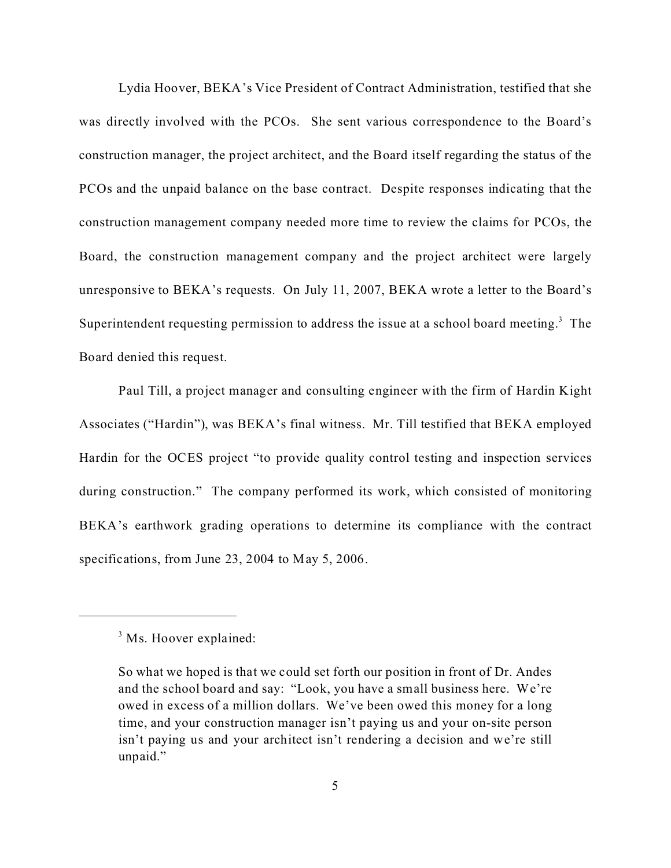Lydia Hoover, BEKA's Vice President of Contract Administration, testified that she was directly involved with the PCOs. She sent various correspondence to the Board's construction manager, the project architect, and the Board itself regarding the status of the PCOs and the unpaid balance on the base contract. Despite responses indicating that the construction management company needed more time to review the claims for PCOs, the Board, the construction management company and the project architect were largely unresponsive to BEKA's requests. On July 11, 2007, BEKA wrote a letter to the Board's Superintendent requesting permission to address the issue at a school board meeting. $3$  The Board denied this request.

Paul Till, a project manager and consulting engineer with the firm of Hardin Kight Associates ("Hardin"), was BEKA's final witness. Mr. Till testified that BEKA employed Hardin for the OCES project "to provide quality control testing and inspection services during construction." The company performed its work, which consisted of monitoring BEKA's earthwork grading operations to determine its compliance with the contract specifications, from June 23, 2004 to May 5, 2006.

<sup>&</sup>lt;sup>3</sup> Ms. Hoover explained:

So what we hoped is that we could set forth our position in front of Dr. Andes and the school board and say: "Look, you have a small business here. We're owed in excess of a million dollars. We've been owed this money for a long time, and your construction manager isn't paying us and your on-site person isn't paying us and your architect isn't rendering a decision and we're still unpaid."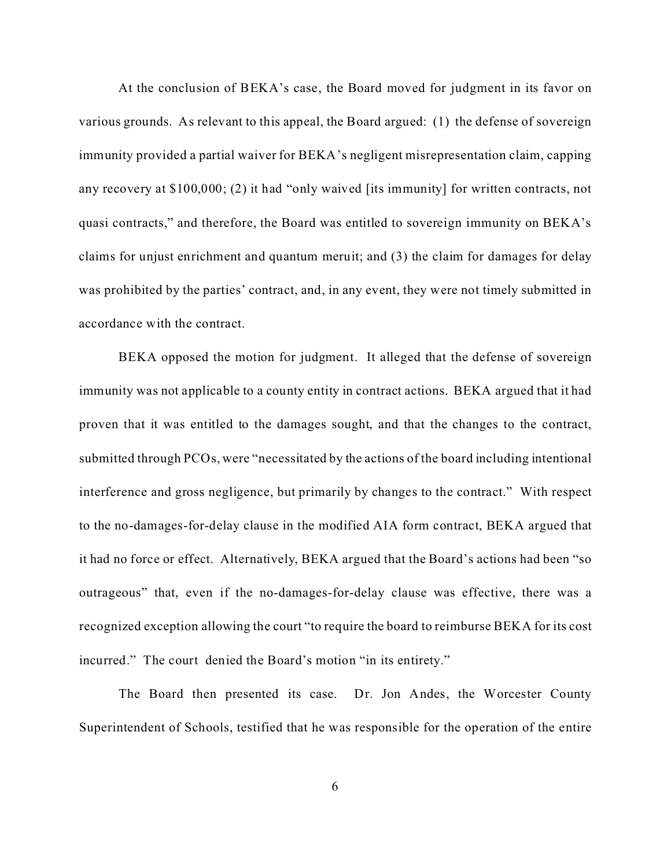At the conclusion of BEKA's case, the Board moved for judgment in its favor on various grounds. As relevant to this appeal, the Board argued: (1) the defense of sovereign immunity provided a partial waiver for BEKA's negligent misrepresentation claim, capping any recovery at \$100,000; (2) it had "only waived [its immunity] for written contracts, not quasi contracts," and therefore, the Board was entitled to sovereign immunity on BEKA's claims for unjust enrichment and quantum meruit; and (3) the claim for damages for delay was prohibited by the parties' contract, and, in any event, they were not timely submitted in accordance with the contract.

BEKA opposed the motion for judgment. It alleged that the defense of sovereign immunity was not applicable to a county entity in contract actions. BEKA argued that it had proven that it was entitled to the damages sought, and that the changes to the contract, submitted through PCOs, were "necessitated by the actions of the board including intentional interference and gross negligence, but primarily by changes to the contract." With respect to the no-damages-for-delay clause in the modified AIA form contract, BEKA argued that it had no force or effect. Alternatively, BEKA argued that the Board's actions had been "so outrageous" that, even if the no-damages-for-delay clause was effective, there was a recognized exception allowing the court "to require the board to reimburse BEKA for its cost incurred." The court denied the Board's motion "in its entirety."

The Board then presented its case. Dr. Jon Andes, the Worcester County Superintendent of Schools, testified that he was responsible for the operation of the entire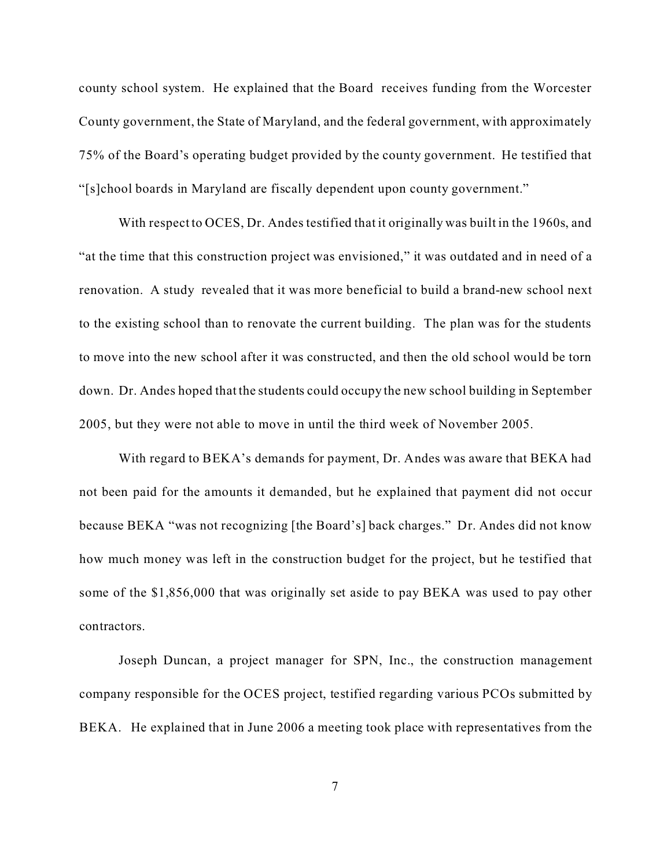county school system. He explained that the Board receives funding from the Worcester County government, the State of Maryland, and the federal government, with approximately 75% of the Board's operating budget provided by the county government. He testified that "[s]chool boards in Maryland are fiscally dependent upon county government."

With respect to OCES, Dr. Andes testified that it originally was built in the 1960s, and "at the time that this construction project was envisioned," it was outdated and in need of a renovation. A study revealed that it was more beneficial to build a brand-new school next to the existing school than to renovate the current building. The plan was for the students to move into the new school after it was constructed, and then the old school would be torn down. Dr. Andes hoped that the students could occupy the new school building in September 2005, but they were not able to move in until the third week of November 2005.

With regard to BEKA's demands for payment, Dr. Andes was aware that BEKA had not been paid for the amounts it demanded, but he explained that payment did not occur because BEKA "was not recognizing [the Board's] back charges." Dr. Andes did not know how much money was left in the construction budget for the project, but he testified that some of the \$1,856,000 that was originally set aside to pay BEKA was used to pay other contractors.

Joseph Duncan, a project manager for SPN, Inc., the construction management company responsible for the OCES project, testified regarding various PCOs submitted by BEKA. He explained that in June 2006 a meeting took place with representatives from the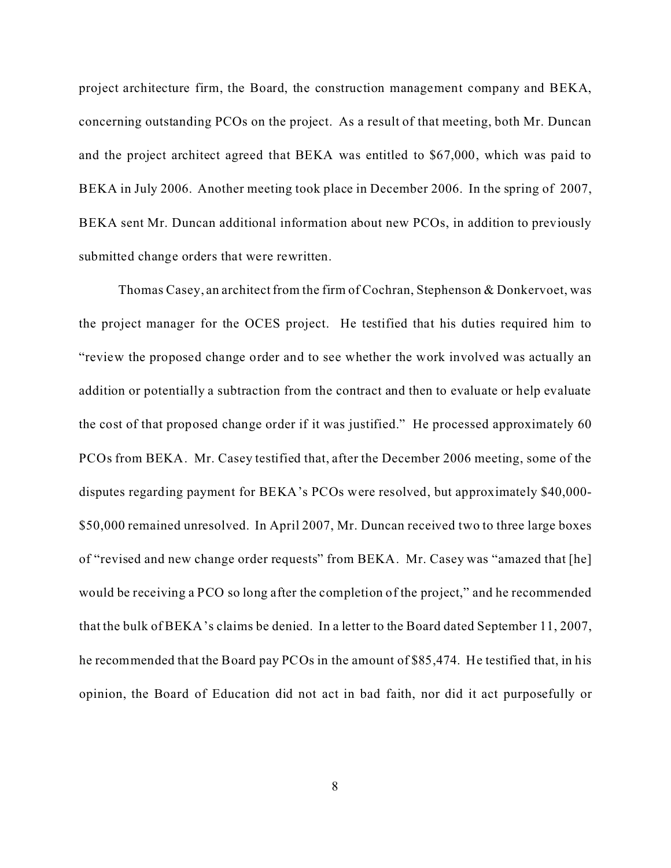project architecture firm, the Board, the construction management company and BEKA, concerning outstanding PCOs on the project. As a result of that meeting, both Mr. Duncan and the project architect agreed that BEKA was entitled to \$67,000, which was paid to BEKA in July 2006. Another meeting took place in December 2006. In the spring of 2007, BEKA sent Mr. Duncan additional information about new PCOs, in addition to previously submitted change orders that were rewritten.

Thomas Casey, an architect from the firm of Cochran, Stephenson & Donkervoet, was the project manager for the OCES project. He testified that his duties required him to "review the proposed change order and to see whether the work involved was actually an addition or potentially a subtraction from the contract and then to evaluate or help evaluate the cost of that proposed change order if it was justified." He processed approximately 60 PCOs from BEKA. Mr. Casey testified that, after the December 2006 meeting, some of the disputes regarding payment for BEKA's PCOs were resolved, but approximately \$40,000- \$50,000 remained unresolved. In April 2007, Mr. Duncan received two to three large boxes of "revised and new change order requests" from BEKA. Mr. Casey was "amazed that [he] would be receiving a PCO so long after the completion of the project," and he recommended that the bulk of BEKA's claims be denied. In a letter to the Board dated September 11, 2007, he recommended that the Board pay PCOs in the amount of \$85,474. He testified that, in his opinion, the Board of Education did not act in bad faith, nor did it act purposefully or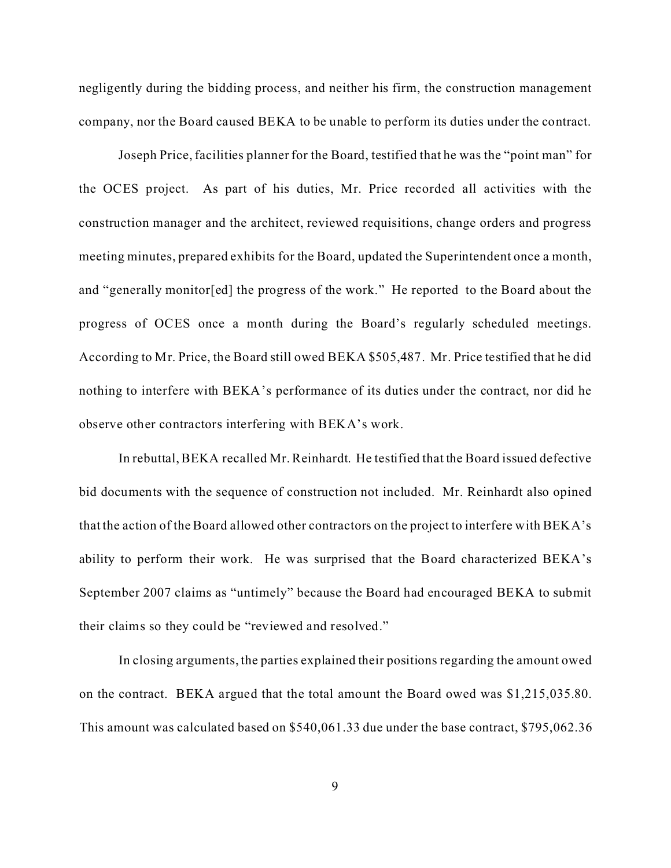negligently during the bidding process, and neither his firm, the construction management company, nor the Board caused BEKA to be unable to perform its duties under the contract.

Joseph Price, facilities planner for the Board, testified that he was the "point man" for the OCES project. As part of his duties, Mr. Price recorded all activities with the construction manager and the architect, reviewed requisitions, change orders and progress meeting minutes, prepared exhibits for the Board, updated the Superintendent once a month, and "generally monitor[ed] the progress of the work." He reported to the Board about the progress of OCES once a month during the Board's regularly scheduled meetings. According to Mr. Price, the Board still owed BEKA \$505,487. Mr. Price testified that he did nothing to interfere with BEKA's performance of its duties under the contract, nor did he observe other contractors interfering with BEKA's work.

In rebuttal, BEKA recalled Mr. Reinhardt. He testified that the Board issued defective bid documents with the sequence of construction not included. Mr. Reinhardt also opined that the action of the Board allowed other contractors on the project to interfere with BEKA's ability to perform their work. He was surprised that the Board characterized BEKA's September 2007 claims as "untimely" because the Board had encouraged BEKA to submit their claims so they could be "reviewed and resolved."

In closing arguments, the parties explained their positions regarding the amount owed on the contract. BEKA argued that the total amount the Board owed was \$1,215,035.80. This amount was calculated based on \$540,061.33 due under the base contract, \$795,062.36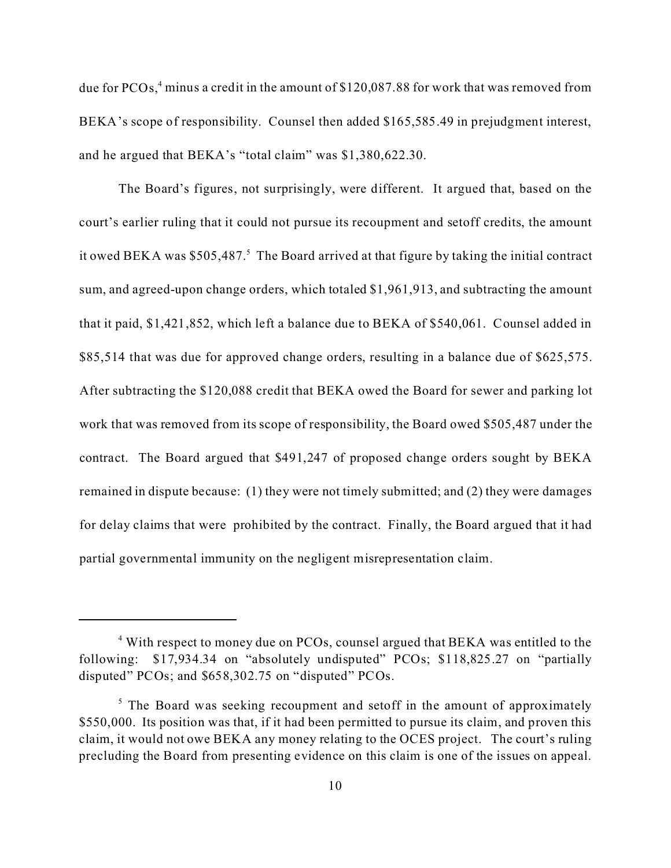due for PCOs,<sup>4</sup> minus a credit in the amount of  $$120,087.88$  for work that was removed from BEKA's scope of responsibility. Counsel then added \$165,585.49 in prejudgment interest, and he argued that BEKA's "total claim" was \$1,380,622.30.

The Board's figures, not surprisingly, were different. It argued that, based on the court's earlier ruling that it could not pursue its recoupment and setoff credits, the amount it owed BEKA was \$505,487.<sup>5</sup> The Board arrived at that figure by taking the initial contract sum, and agreed-upon change orders, which totaled \$1,961,913, and subtracting the amount that it paid, \$1,421,852, which left a balance due to BEKA of \$540,061. Counsel added in \$85,514 that was due for approved change orders, resulting in a balance due of \$625,575. After subtracting the \$120,088 credit that BEKA owed the Board for sewer and parking lot work that was removed from its scope of responsibility, the Board owed \$505,487 under the contract. The Board argued that \$491,247 of proposed change orders sought by BEKA remained in dispute because: (1) they were not timely submitted; and (2) they were damages for delay claims that were prohibited by the contract. Finally, the Board argued that it had partial governmental immunity on the negligent misrepresentation claim.

<sup>&</sup>lt;sup>4</sup> With respect to money due on PCOs, counsel argued that BEKA was entitled to the following: \$17,934.34 on "absolutely undisputed" PCOs; \$118,825.27 on "partially disputed" PCOs; and \$658,302.75 on "disputed" PCOs.

 $5$  The Board was seeking recoupment and setoff in the amount of approximately \$550,000. Its position was that, if it had been permitted to pursue its claim, and proven this claim, it would not owe BEKA any money relating to the OCES project. The court's ruling precluding the Board from presenting evidence on this claim is one of the issues on appeal.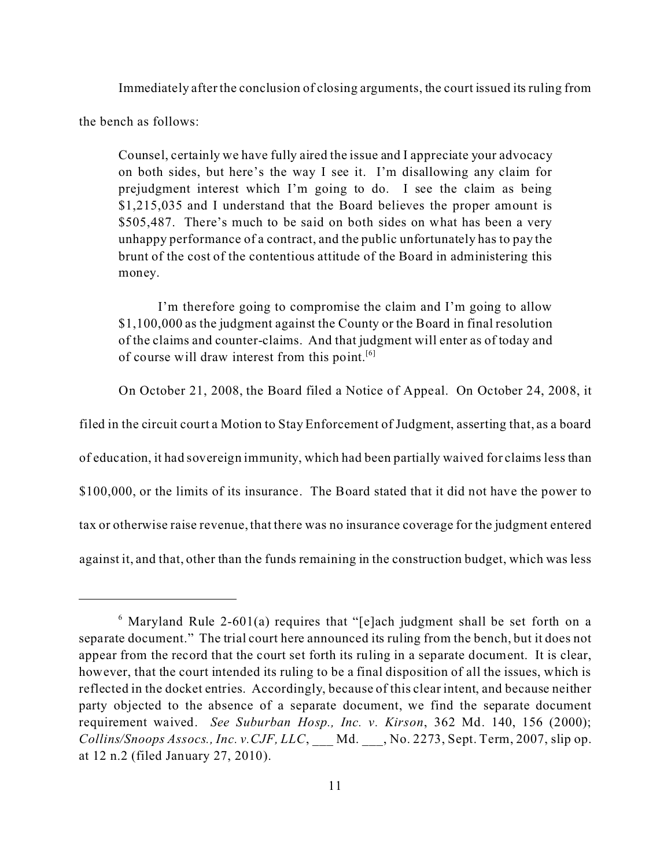Immediately after the conclusion of closing arguments, the court issued its ruling from

the bench as follows:

Counsel, certainly we have fully aired the issue and I appreciate your advocacy on both sides, but here's the way I see it. I'm disallowing any claim for prejudgment interest which I'm going to do. I see the claim as being \$1,215,035 and I understand that the Board believes the proper amount is \$505,487. There's much to be said on both sides on what has been a very unhappy performance of a contract, and the public unfortunately has to pay the brunt of the cost of the contentious attitude of the Board in administering this money.

I'm therefore going to compromise the claim and I'm going to allow \$1,100,000 as the judgment against the County or the Board in final resolution of the claims and counter-claims. And that judgment will enter as of today and of course will draw interest from this point.<sup>[6]</sup>

On October 21, 2008, the Board filed a Notice of Appeal. On October 24, 2008, it

filed in the circuit court a Motion to Stay Enforcement of Judgment, asserting that, as a board

of education, it had sovereign immunity, which had been partially waived for claims less than

\$100,000, or the limits of its insurance. The Board stated that it did not have the power to

tax or otherwise raise revenue, that there was no insurance coverage for the judgment entered

against it, and that, other than the funds remaining in the construction budget, which was less

 $6$  Maryland Rule 2-601(a) requires that "[e]ach judgment shall be set forth on a separate document." The trial court here announced its ruling from the bench, but it does not appear from the record that the court set forth its ruling in a separate document. It is clear, however, that the court intended its ruling to be a final disposition of all the issues, which is reflected in the docket entries. Accordingly, because of this clear intent, and because neither party objected to the absence of a separate document, we find the separate document requirement waived. *See Suburban Hosp., Inc. v. Kirson*, 362 Md. 140, 156 (2000); *Collins/Snoops Assocs., Inc. v.CJF, LLC*, \_\_\_ Md. \_\_\_, No. 2273, Sept. Term, 2007, slip op. at 12 n.2 (filed January 27, 2010).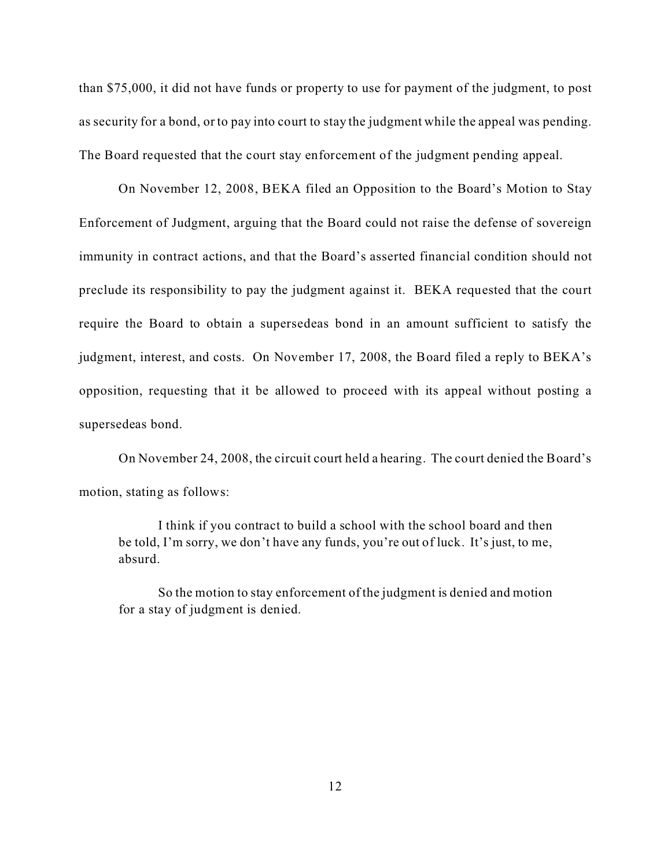than \$75,000, it did not have funds or property to use for payment of the judgment, to post as security for a bond, or to pay into court to stay the judgment while the appeal was pending. The Board requested that the court stay enforcement of the judgment pending appeal.

On November 12, 2008, BEKA filed an Opposition to the Board's Motion to Stay Enforcement of Judgment, arguing that the Board could not raise the defense of sovereign immunity in contract actions, and that the Board's asserted financial condition should not preclude its responsibility to pay the judgment against it. BEKA requested that the court require the Board to obtain a supersedeas bond in an amount sufficient to satisfy the judgment, interest, and costs. On November 17, 2008, the Board filed a reply to BEKA's opposition, requesting that it be allowed to proceed with its appeal without posting a supersedeas bond.

On November 24, 2008, the circuit court held a hearing. The court denied the Board's motion, stating as follows:

I think if you contract to build a school with the school board and then be told, I'm sorry, we don't have any funds, you're out of luck. It's just, to me, absurd.

So the motion to stay enforcement of the judgment is denied and motion for a stay of judgment is denied.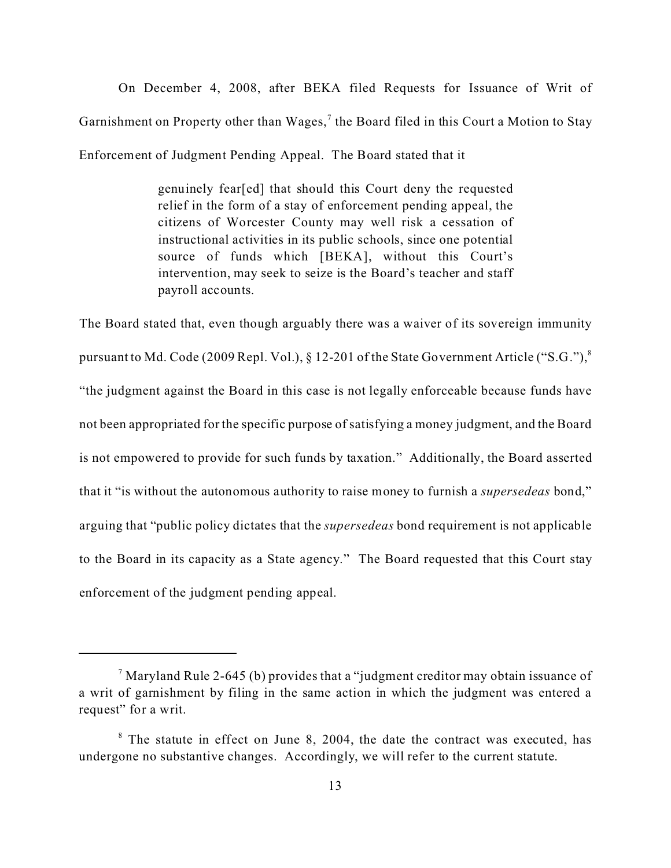On December 4, 2008, after BEKA filed Requests for Issuance of Writ of Garnishment on Property other than Wages,<sup>7</sup> the Board filed in this Court a Motion to Stay Enforcement of Judgment Pending Appeal. The Board stated that it

> genuinely fear[ed] that should this Court deny the requested relief in the form of a stay of enforcement pending appeal, the citizens of Worcester County may well risk a cessation of instructional activities in its public schools, since one potential source of funds which [BEKA], without this Court's intervention, may seek to seize is the Board's teacher and staff payroll accounts.

The Board stated that, even though arguably there was a waiver of its sovereign immunity pursuant to Md. Code (2009 Repl. Vol.), § 12-201 of the State Government Article ("S.G."),<sup>8</sup> "the judgment against the Board in this case is not legally enforceable because funds have not been appropriated for the specific purpose of satisfying a money judgment, and the Board is not empowered to provide for such funds by taxation." Additionally, the Board asserted that it "is without the autonomous authority to raise money to furnish a *supersedeas* bond," arguing that "public policy dictates that the *supersedeas* bond requirement is not applicable to the Board in its capacity as a State agency." The Board requested that this Court stay enforcement of the judgment pending appeal.

 $^7$ Maryland Rule 2-645 (b) provides that a "judgment creditor may obtain issuance of a writ of garnishment by filing in the same action in which the judgment was entered a request" for a writ.

<sup>&</sup>lt;sup>8</sup> The statute in effect on June 8, 2004, the date the contract was executed, has undergone no substantive changes. Accordingly, we will refer to the current statute.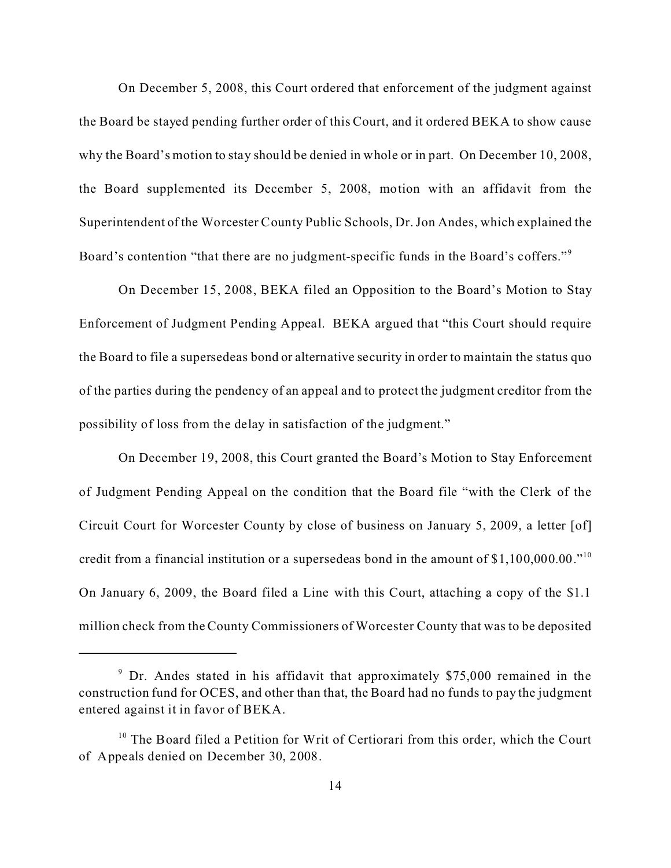On December 5, 2008, this Court ordered that enforcement of the judgment against the Board be stayed pending further order of this Court, and it ordered BEKA to show cause why the Board's motion to stay should be denied in whole or in part. On December 10, 2008, the Board supplemented its December 5, 2008, motion with an affidavit from the Superintendent of the Worcester County Public Schools, Dr. Jon Andes, which explained the Board's contention "that there are no judgment-specific funds in the Board's coffers."<sup>9</sup>

On December 15, 2008, BEKA filed an Opposition to the Board's Motion to Stay Enforcement of Judgment Pending Appeal. BEKA argued that "this Court should require the Board to file a supersedeas bond or alternative security in order to maintain the status quo of the parties during the pendency of an appeal and to protect the judgment creditor from the possibility of loss from the delay in satisfaction of the judgment."

On December 19, 2008, this Court granted the Board's Motion to Stay Enforcement of Judgment Pending Appeal on the condition that the Board file "with the Clerk of the Circuit Court for Worcester County by close of business on January 5, 2009, a letter [of] credit from a financial institution or a supersedeas bond in the amount of  $$1,100,000.00.^{10}$ On January 6, 2009, the Board filed a Line with this Court, attaching a copy of the \$1.1 million check from the County Commissioners of Worcester County that was to be deposited

<sup>&</sup>lt;sup>9</sup> Dr. Andes stated in his affidavit that approximately \$75,000 remained in the construction fund for OCES, and other than that, the Board had no funds to pay the judgment entered against it in favor of BEKA.

<sup>&</sup>lt;sup>10</sup> The Board filed a Petition for Writ of Certiorari from this order, which the Court of Appeals denied on December 30, 2008.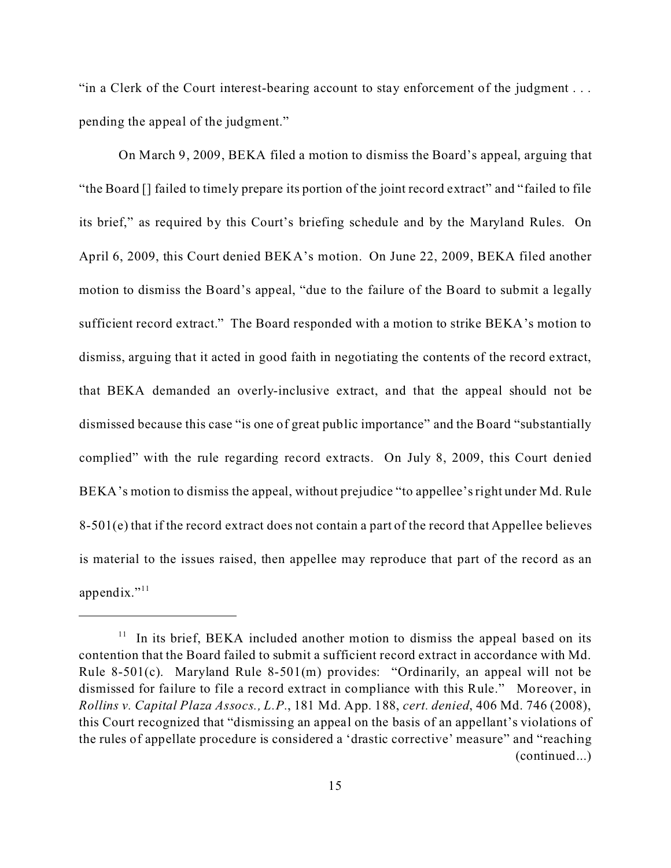"in a Clerk of the Court interest-bearing account to stay enforcement of the judgment . . . pending the appeal of the judgment."

On March 9, 2009, BEKA filed a motion to dismiss the Board's appeal, arguing that "the Board [] failed to timely prepare its portion of the joint record extract" and "failed to file its brief," as required by this Court's briefing schedule and by the Maryland Rules. On April 6, 2009, this Court denied BEKA's motion. On June 22, 2009, BEKA filed another motion to dismiss the Board's appeal, "due to the failure of the Board to submit a legally sufficient record extract." The Board responded with a motion to strike BEKA's motion to dismiss, arguing that it acted in good faith in negotiating the contents of the record extract, that BEKA demanded an overly-inclusive extract, and that the appeal should not be dismissed because this case "is one of great public importance" and the Board "substantially complied" with the rule regarding record extracts. On July 8, 2009, this Court denied BEKA's motion to dismiss the appeal, without prejudice "to appellee's right under Md. Rule 8-501(e) that if the record extract does not contain a part of the record that Appellee believes is material to the issues raised, then appellee may reproduce that part of the record as an appendix." $^{11}$ 

 $11$  In its brief, BEKA included another motion to dismiss the appeal based on its contention that the Board failed to submit a sufficient record extract in accordance with Md. Rule 8-501(c). Maryland Rule 8-501(m) provides: "Ordinarily, an appeal will not be dismissed for failure to file a record extract in compliance with this Rule." Moreover, in *Rollins v. Capital Plaza Assocs., L.P.*, 181 Md. App. 188, *cert. denied*, 406 Md. 746 (2008), this Court recognized that "dismissing an appeal on the basis of an appellant's violations of the rules of appellate procedure is considered a 'drastic corrective' measure" and "reaching (continued...)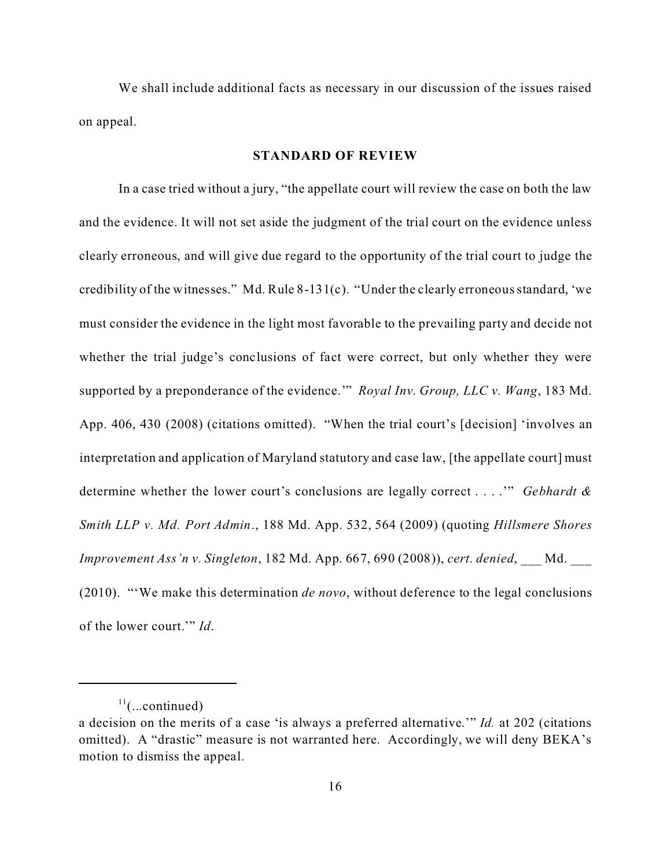We shall include additional facts as necessary in our discussion of the issues raised on appeal.

#### **STANDARD OF REVIEW**

In a case tried without a jury, "the appellate court will review the case on both the law and the evidence. It will not set aside the judgment of the trial court on the evidence unless clearly erroneous, and will give due regard to the opportunity of the trial court to judge the credibility of the witnesses." Md. Rule 8-131(c). "Under the clearly erroneous standard, 'we must consider the evidence in the light most favorable to the prevailing party and decide not whether the trial judge's conclusions of fact were correct, but only whether they were supported by a preponderance of the evidence.'" *Royal Inv. Group, LLC v. Wang*, 183 Md. App. 406, 430 (2008) (citations omitted). "When the trial court's [decision] 'involves an interpretation and application of Maryland statutory and case law, [the appellate court] must determine whether the lower court's conclusions are legally correct . . . .'" *Gebhardt & Smith LLP v. Md. Port Admin*., 188 Md. App. 532, 564 (2009) (quoting *Hillsmere Shores Improvement Ass'n v. Singleton*, 182 Md. App. 667, 690 (2008)), *cert*. *denied*, \_\_\_ Md. \_\_\_ (2010). "'We make this determination *de novo*, without deference to the legal conclusions of the lower court.'" *Id*.

 $11$ (...continued)

a decision on the merits of a case 'is always a preferred alternative.'" *Id.* at 202 (citations omitted). A "drastic" measure is not warranted here. Accordingly, we will deny BEKA's motion to dismiss the appeal.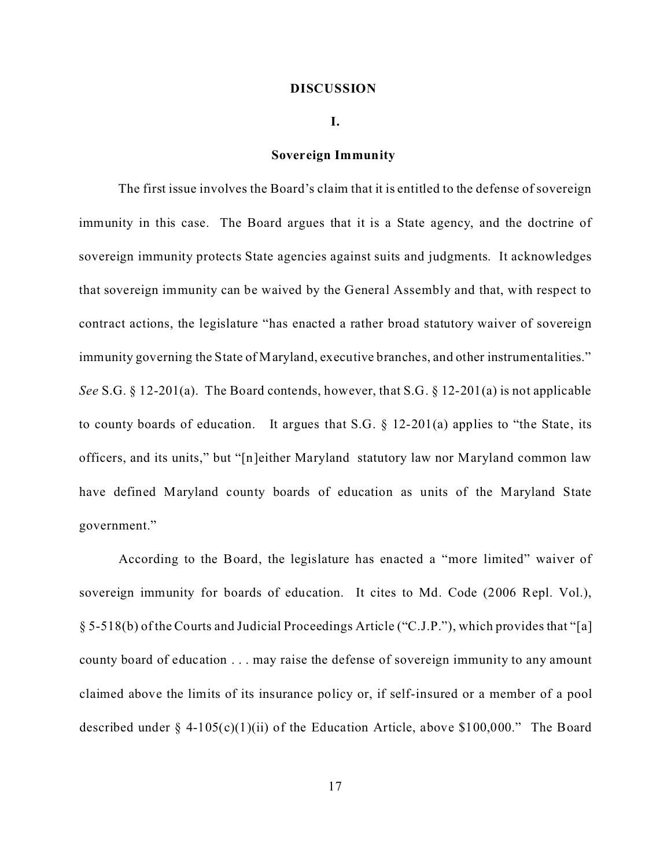#### **DISCUSSION**

#### **I.**

#### **Sovereign Immunity**

The first issue involves the Board's claim that it is entitled to the defense of sovereign immunity in this case. The Board argues that it is a State agency, and the doctrine of sovereign immunity protects State agencies against suits and judgments. It acknowledges that sovereign immunity can be waived by the General Assembly and that, with respect to contract actions, the legislature "has enacted a rather broad statutory waiver of sovereign immunity governing the State of Maryland, executive branches, and other instrumentalities." *See* S.G. § 12-201(a). The Board contends, however, that S.G. § 12-201(a) is not applicable to county boards of education. It argues that S.G.  $\S$  12-201(a) applies to "the State, its officers, and its units," but "[n]either Maryland statutory law nor Maryland common law have defined Maryland county boards of education as units of the Maryland State government."

According to the Board, the legislature has enacted a "more limited" waiver of sovereign immunity for boards of education. It cites to Md. Code (2006 Repl. Vol.), § 5-518(b) of the Courts and Judicial Proceedings Article ("C.J.P."), which provides that "[a] county board of education . . . may raise the defense of sovereign immunity to any amount claimed above the limits of its insurance policy or, if self-insured or a member of a pool described under § 4-105(c)(1)(ii) of the Education Article, above \$100,000." The Board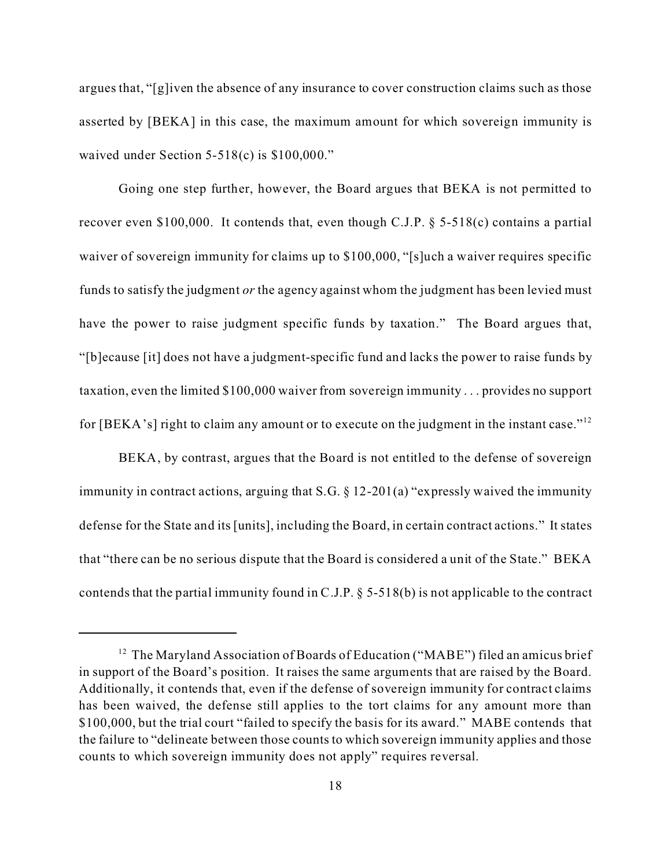argues that, "[g]iven the absence of any insurance to cover construction claims such as those asserted by [BEKA] in this case, the maximum amount for which sovereign immunity is waived under Section 5-518(c) is \$100,000."

Going one step further, however, the Board argues that BEKA is not permitted to recover even \$100,000. It contends that, even though C.J.P. § 5-518(c) contains a partial waiver of sovereign immunity for claims up to \$100,000, "[s]uch a waiver requires specific funds to satisfy the judgment *or* the agency against whom the judgment has been levied must have the power to raise judgment specific funds by taxation." The Board argues that, "[b]ecause [it] does not have a judgment-specific fund and lacks the power to raise funds by taxation, even the limited \$100,000 waiver from sovereign immunity . . . provides no support for [BEKA's] right to claim any amount or to execute on the judgment in the instant case."<sup>12</sup>

BEKA, by contrast, argues that the Board is not entitled to the defense of sovereign immunity in contract actions, arguing that S.G. § 12-201(a) "expressly waived the immunity defense for the State and its [units], including the Board, in certain contract actions." It states that "there can be no serious dispute that the Board is considered a unit of the State." BEKA contends that the partial immunity found in C.J.P. § 5-518(b) is not applicable to the contract

<sup>&</sup>lt;sup>12</sup> The Maryland Association of Boards of Education ("MABE") filed an amicus brief in support of the Board's position. It raises the same arguments that are raised by the Board. Additionally, it contends that, even if the defense of sovereign immunity for contract claims has been waived, the defense still applies to the tort claims for any amount more than \$100,000, but the trial court "failed to specify the basis for its award." MABE contends that the failure to "delineate between those counts to which sovereign immunity applies and those counts to which sovereign immunity does not apply" requires reversal.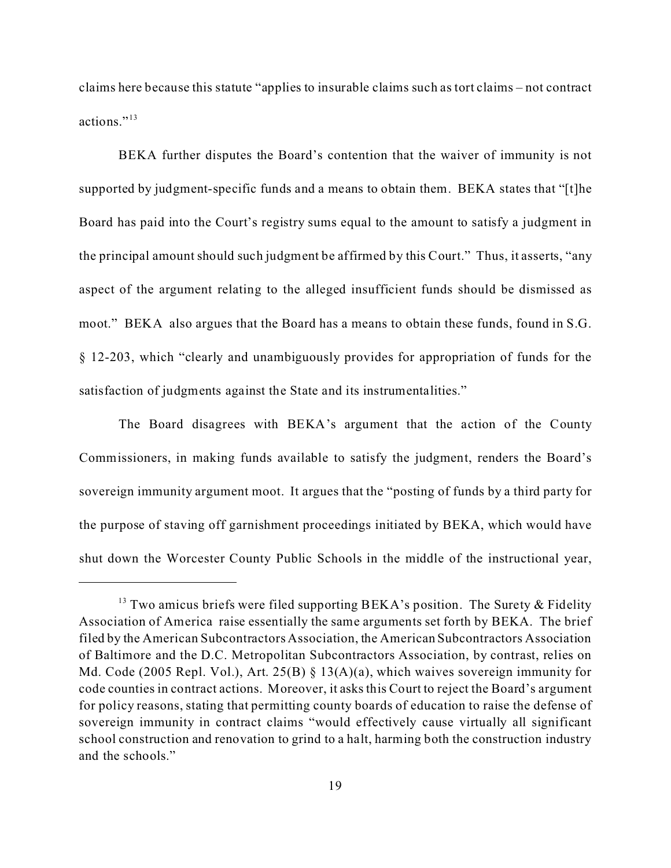claims here because this statute "applies to insurable claims such as tort claims – not contract actions."<sup>13</sup>

BEKA further disputes the Board's contention that the waiver of immunity is not supported by judgment-specific funds and a means to obtain them. BEKA states that "[t]he Board has paid into the Court's registry sums equal to the amount to satisfy a judgment in the principal amount should such judgment be affirmed by this Court." Thus, it asserts, "any aspect of the argument relating to the alleged insufficient funds should be dismissed as moot." BEKA also argues that the Board has a means to obtain these funds, found in S.G. § 12-203, which "clearly and unambiguously provides for appropriation of funds for the satisfaction of judgments against the State and its instrumentalities."

The Board disagrees with BEKA's argument that the action of the County Commissioners, in making funds available to satisfy the judgment, renders the Board's sovereign immunity argument moot. It argues that the "posting of funds by a third party for the purpose of staving off garnishment proceedings initiated by BEKA, which would have shut down the Worcester County Public Schools in the middle of the instructional year,

<sup>&</sup>lt;sup>13</sup> Two amicus briefs were filed supporting BEKA's position. The Surety  $\&$  Fidelity Association of America raise essentially the same arguments set forth by BEKA. The brief filed by the American Subcontractors Association, the American Subcontractors Association of Baltimore and the D.C. Metropolitan Subcontractors Association, by contrast, relies on Md. Code (2005 Repl. Vol.), Art. 25(B) § 13(A)(a), which waives sovereign immunity for code counties in contract actions. Moreover, it asks this Court to reject the Board's argument for policy reasons, stating that permitting county boards of education to raise the defense of sovereign immunity in contract claims "would effectively cause virtually all significant school construction and renovation to grind to a halt, harming both the construction industry and the schools."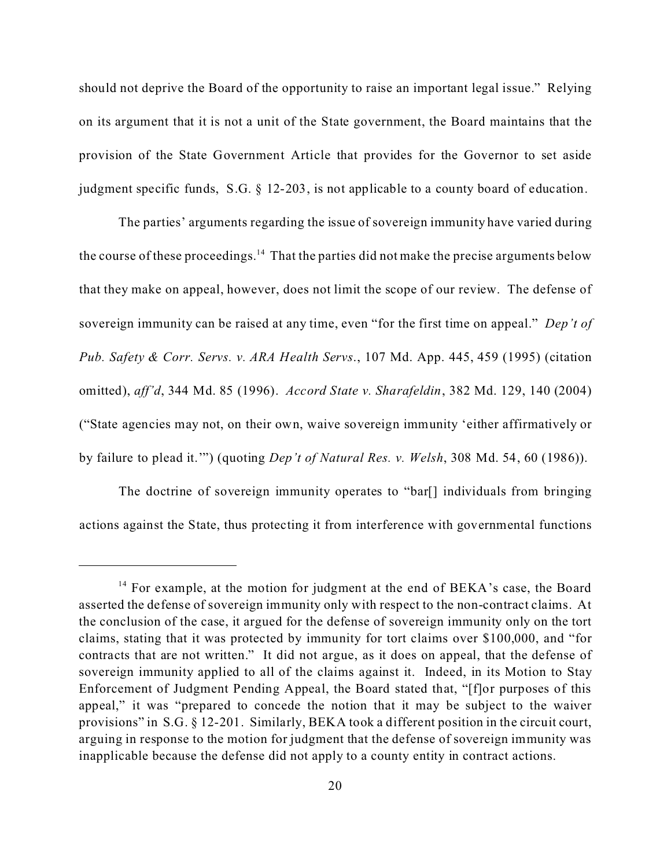should not deprive the Board of the opportunity to raise an important legal issue." Relying on its argument that it is not a unit of the State government, the Board maintains that the provision of the State Government Article that provides for the Governor to set aside judgment specific funds, S.G. § 12-203, is not applicable to a county board of education.

The parties' arguments regarding the issue of sovereign immunity have varied during the course of these proceedings.<sup>14</sup> That the parties did not make the precise arguments below that they make on appeal, however, does not limit the scope of our review. The defense of sovereign immunity can be raised at any time, even "for the first time on appeal." *Dep't of Pub. Safety & Corr. Servs. v. ARA Health Servs*., 107 Md. App. 445, 459 (1995) (citation omitted), *aff'd*, 344 Md. 85 (1996). *Accord State v. Sharafeldin*, 382 Md. 129, 140 (2004) ("State agencies may not, on their own, waive sovereign immunity 'either affirmatively or by failure to plead it.'") (quoting *Dep't of Natural Res. v. Welsh*, 308 Md. 54, 60 (1986)).

The doctrine of sovereign immunity operates to "bar[] individuals from bringing actions against the State, thus protecting it from interference with governmental functions

<sup>&</sup>lt;sup>14</sup> For example, at the motion for judgment at the end of BEKA's case, the Board asserted the defense of sovereign immunity only with respect to the non-contract claims. At the conclusion of the case, it argued for the defense of sovereign immunity only on the tort claims, stating that it was protected by immunity for tort claims over \$100,000, and "for contracts that are not written." It did not argue, as it does on appeal, that the defense of sovereign immunity applied to all of the claims against it. Indeed, in its Motion to Stay Enforcement of Judgment Pending Appeal, the Board stated that, "[f]or purposes of this appeal," it was "prepared to concede the notion that it may be subject to the waiver provisions" in S.G. § 12-201. Similarly, BEKA took a different position in the circuit court, arguing in response to the motion for judgment that the defense of sovereign immunity was inapplicable because the defense did not apply to a county entity in contract actions.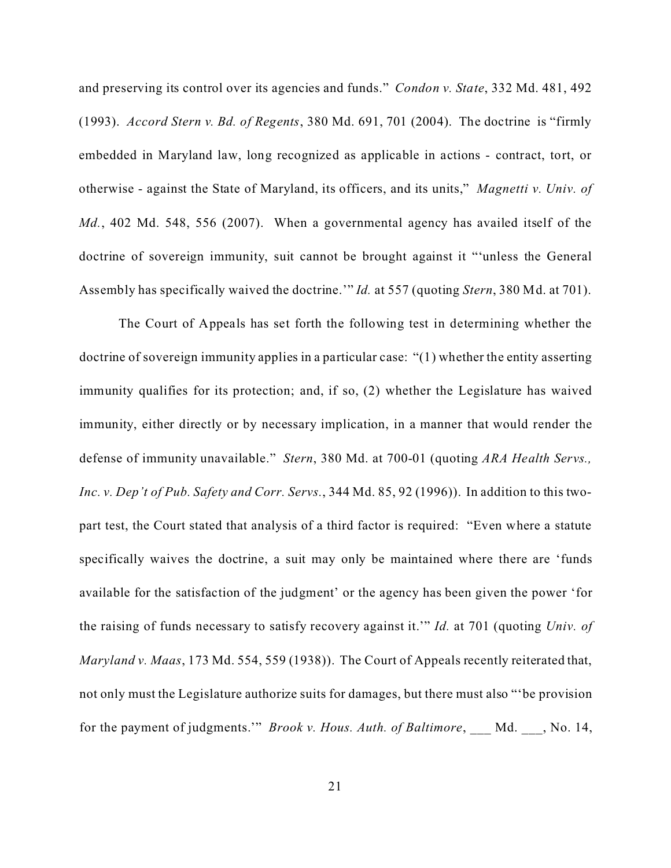and preserving its control over its agencies and funds." *Condon v. State*, 332 Md. 481, 492 (1993). *Accord Stern v. Bd. of Regents*, 380 Md. 691, 701 (2004). The doctrine is "firmly embedded in Maryland law, long recognized as applicable in actions - contract, tort, or otherwise - against the State of Maryland, its officers, and its units," *Magnetti v. Univ. of Md.*, 402 Md. 548, 556 (2007). When a governmental agency has availed itself of the doctrine of sovereign immunity, suit cannot be brought against it "'unless the General Assembly has specifically waived the doctrine.'" *Id.* at 557 (quoting *Stern*, 380 Md. at 701).

The Court of Appeals has set forth the following test in determining whether the doctrine of sovereign immunity applies in a particular case: "(1) whether the entity asserting immunity qualifies for its protection; and, if so, (2) whether the Legislature has waived immunity, either directly or by necessary implication, in a manner that would render the defense of immunity unavailable." *Stern*, 380 Md. at 700-01 (quoting *ARA Health Servs., Inc. v. Dep't of Pub. Safety and Corr. Servs.*, 344 Md. 85, 92 (1996)). In addition to this twopart test, the Court stated that analysis of a third factor is required: "Even where a statute specifically waives the doctrine, a suit may only be maintained where there are 'funds available for the satisfaction of the judgment' or the agency has been given the power 'for the raising of funds necessary to satisfy recovery against it.'" *Id.* at 701 (quoting *Univ. of Maryland v. Maas*, 173 Md. 554, 559 (1938)). The Court of Appeals recently reiterated that, not only must the Legislature authorize suits for damages, but there must also "'be provision for the payment of judgments.'" *Brook v. Hous. Auth. of Baltimore*, \_\_\_ Md. \_\_\_, No. 14,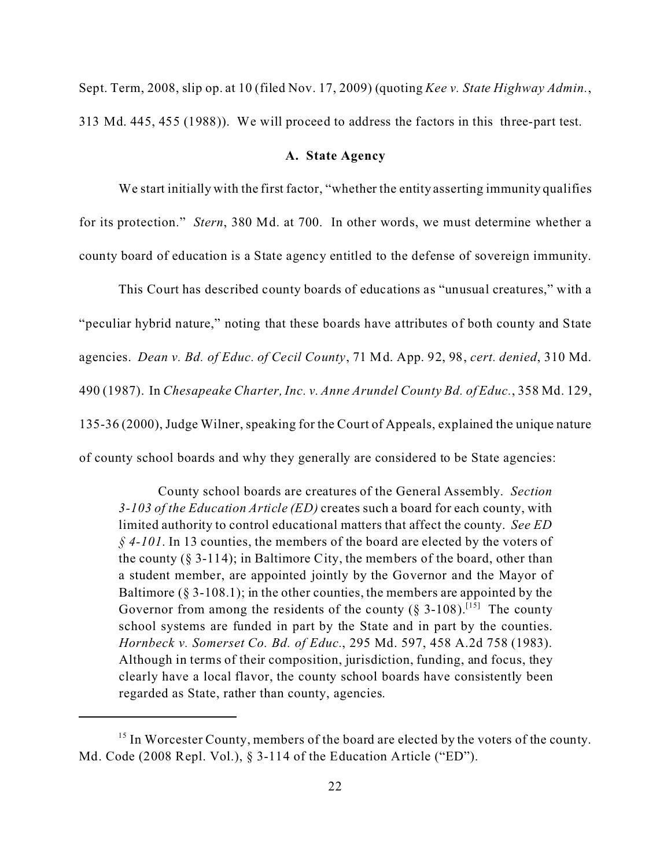Sept. Term, 2008, slip op. at 10 (filed Nov. 17, 2009) (quoting *Kee v. State Highway Admin.*, 313 Md. 445, 455 (1988)). We will proceed to address the factors in this three-part test.

#### **A. State Agency**

We start initially with the first factor, "whether the entity asserting immunity qualifies for its protection." *Stern*, 380 Md. at 700. In other words, we must determine whether a county board of education is a State agency entitled to the defense of sovereign immunity.

This Court has described county boards of educations as "unusual creatures," with a "peculiar hybrid nature," noting that these boards have attributes of both county and State agencies. *Dean v. Bd. of Educ. of Cecil County*, 71 Md. App. 92, 98, *cert. denied*, 310 Md. 490 (1987). In *Chesapeake Charter, Inc. v. Anne Arundel County Bd. of Educ.*, 358 Md. 129, 135-36 (2000), Judge Wilner, speaking for the Court of Appeals, explained the unique nature of county school boards and why they generally are considered to be State agencies:

County school boards are creatures of the General Assembly. *Section 3-103 of the Education Article (ED)* creates such a board for each county, with limited authority to control educational matters that affect the county. *See ED § 4-101*. In 13 counties, the members of the board are elected by the voters of the county (§ 3-114); in Baltimore City, the members of the board, other than a student member, are appointed jointly by the Governor and the Mayor of Baltimore  $(8\,3-108.1)$ ; in the other counties, the members are appointed by the Governor from among the residents of the county  $(\S 3{\text -}108)^{[15]}$  The county school systems are funded in part by the State and in part by the counties. *Hornbeck v. Somerset Co. Bd. of Educ.*, 295 Md. 597, 458 A.2d 758 (1983). Although in terms of their composition, jurisdiction, funding, and focus, they clearly have a local flavor, the county school boards have consistently been regarded as State, rather than county, agencies.

<sup>&</sup>lt;sup>15</sup> In Worcester County, members of the board are elected by the voters of the county. Md. Code (2008 Repl. Vol.), § 3-114 of the Education Article ("ED").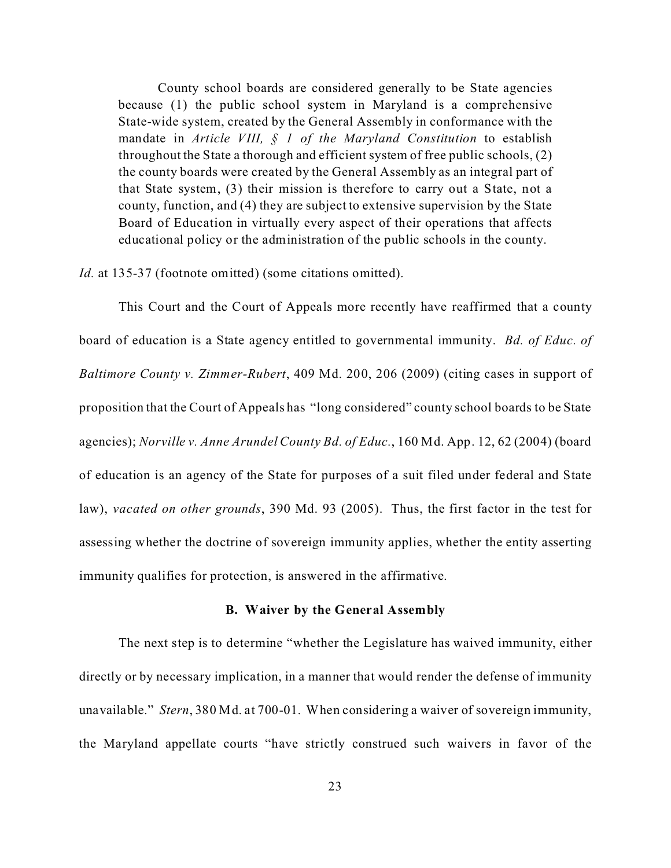County school boards are considered generally to be State agencies because (1) the public school system in Maryland is a comprehensive State-wide system, created by the General Assembly in conformance with the mandate in *Article VIII, § 1 of the Maryland Constitution* to establish throughout the State a thorough and efficient system of free public schools, (2) the county boards were created by the General Assembly as an integral part of that State system, (3) their mission is therefore to carry out a State, not a county, function, and (4) they are subject to extensive supervision by the State Board of Education in virtually every aspect of their operations that affects educational policy or the administration of the public schools in the county.

*Id.* at 135-37 (footnote omitted) (some citations omitted).

This Court and the Court of Appeals more recently have reaffirmed that a county board of education is a State agency entitled to governmental immunity. *Bd. of Educ. of Baltimore County v. Zimmer-Rubert*, 409 Md. 200, 206 (2009) (citing cases in support of proposition that the Court of Appeals has "long considered" county school boards to be State agencies); *Norville v. Anne Arundel County Bd. of Educ.*, 160 Md. App. 12, 62 (2004) (board of education is an agency of the State for purposes of a suit filed under federal and State law), *vacated on other grounds*, 390 Md. 93 (2005). Thus, the first factor in the test for assessing whether the doctrine of sovereign immunity applies, whether the entity asserting immunity qualifies for protection, is answered in the affirmative.

### **B. Waiver by the General Assembly**

The next step is to determine "whether the Legislature has waived immunity, either directly or by necessary implication, in a manner that would render the defense of immunity unavailable." *Stern*, 380 Md. at 700-01. When considering a waiver of sovereign immunity, the Maryland appellate courts "have strictly construed such waivers in favor of the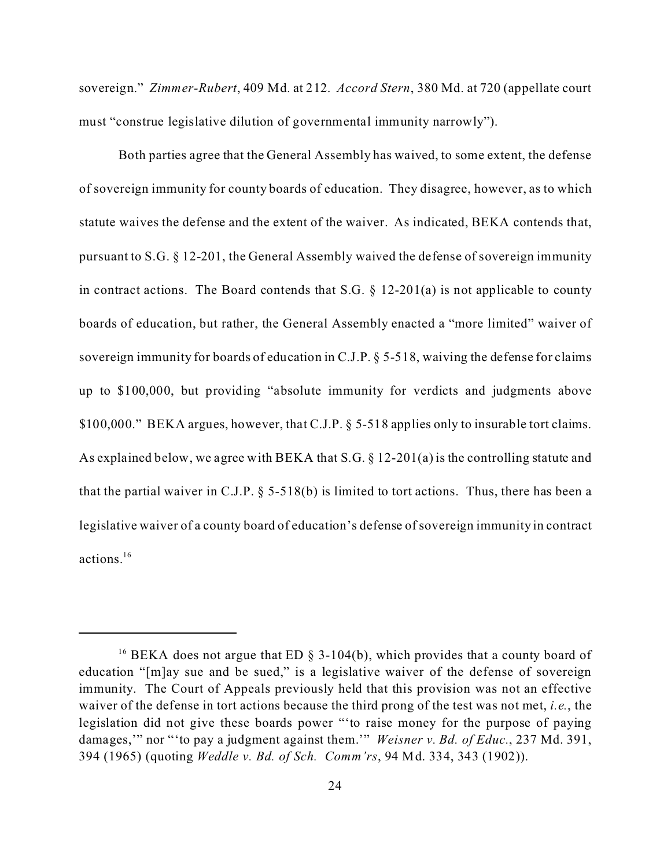sovereign." *Zimmer-Rubert*, 409 Md. at 212. *Accord Stern*, 380 Md. at 720 (appellate court must "construe legislative dilution of governmental immunity narrowly").

Both parties agree that the General Assembly has waived, to some extent, the defense of sovereign immunity for county boards of education. They disagree, however, as to which statute waives the defense and the extent of the waiver. As indicated, BEKA contends that, pursuant to S.G. § 12-201, the General Assembly waived the defense of sovereign immunity in contract actions. The Board contends that S.G.  $\S$  12-201(a) is not applicable to county boards of education, but rather, the General Assembly enacted a "more limited" waiver of sovereign immunity for boards of education in C.J.P. § 5-518, waiving the defense for claims up to \$100,000, but providing "absolute immunity for verdicts and judgments above \$100,000." BEKA argues, however, that C.J.P. § 5-518 applies only to insurable tort claims. As explained below, we agree with BEKA that S.G. § 12-201(a) is the controlling statute and that the partial waiver in C.J.P.  $\S$  5-518(b) is limited to tort actions. Thus, there has been a legislative waiver of a county board of education's defense of sovereign immunity in contract actions.<sup>16</sup>

<sup>&</sup>lt;sup>16</sup> BEKA does not argue that ED  $\S$  3-104(b), which provides that a county board of education "[m]ay sue and be sued," is a legislative waiver of the defense of sovereign immunity. The Court of Appeals previously held that this provision was not an effective waiver of the defense in tort actions because the third prong of the test was not met, *i.e.*, the legislation did not give these boards power "'to raise money for the purpose of paying damages,'" nor "'to pay a judgment against them.'" *Weisner v. Bd. of Educ.*, 237 Md. 391, 394 (1965) (quoting *Weddle v. Bd. of Sch. Comm'rs*, 94 Md. 334, 343 (1902)).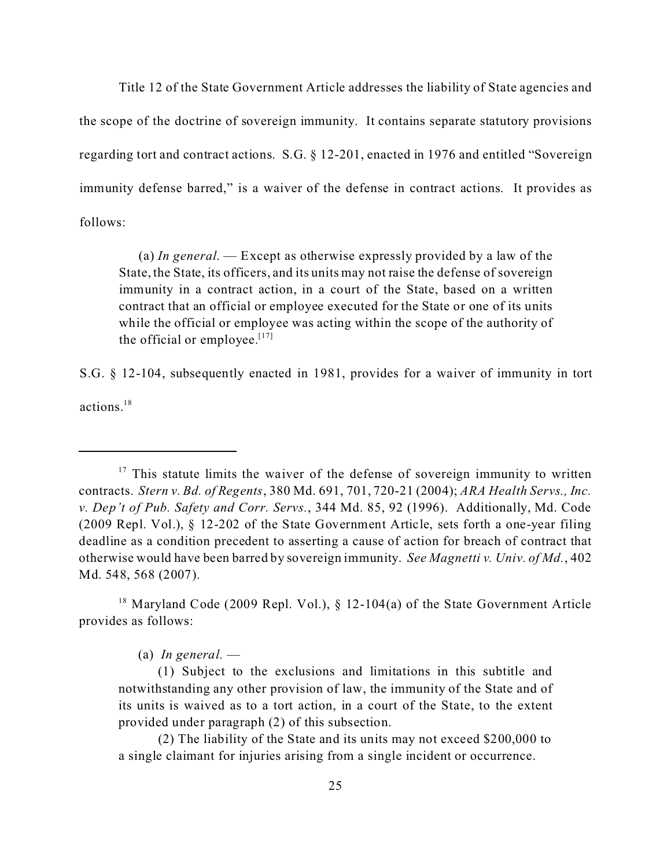Title 12 of the State Government Article addresses the liability of State agencies and the scope of the doctrine of sovereign immunity. It contains separate statutory provisions regarding tort and contract actions. S.G. § 12-201, enacted in 1976 and entitled "Sovereign immunity defense barred," is a waiver of the defense in contract actions. It provides as follows:

(a) *In general*. — Except as otherwise expressly provided by a law of the State, the State, its officers, and its units may not raise the defense of sovereign immunity in a contract action, in a court of the State, based on a written contract that an official or employee executed for the State or one of its units while the official or employee was acting within the scope of the authority of the official or employee. $[17]$ 

S.G. § 12-104, subsequently enacted in 1981, provides for a waiver of immunity in tort actions<sup>18</sup>

<sup>18</sup> Maryland Code (2009 Repl. Vol.), § 12-104(a) of the State Government Article provides as follows:

(a) *In general.* —

(1) Subject to the exclusions and limitations in this subtitle and notwithstanding any other provision of law, the immunity of the State and of its units is waived as to a tort action, in a court of the State, to the extent provided under paragraph (2) of this subsection.

(2) The liability of the State and its units may not exceed \$200,000 to a single claimant for injuries arising from a single incident or occurrence.

 $17$  This statute limits the waiver of the defense of sovereign immunity to written contracts. *Stern v. Bd. of Regents*, 380 Md. 691, 701, 720-21 (2004); *ARA Health Servs., Inc. v. Dep't of Pub. Safety and Corr. Servs.*, 344 Md. 85, 92 (1996). Additionally, Md. Code (2009 Repl. Vol.), § 12-202 of the State Government Article, sets forth a one-year filing deadline as a condition precedent to asserting a cause of action for breach of contract that otherwise would have been barred by sovereign immunity. *See Magnetti v. Univ. of Md.*, 402 Md. 548, 568 (2007).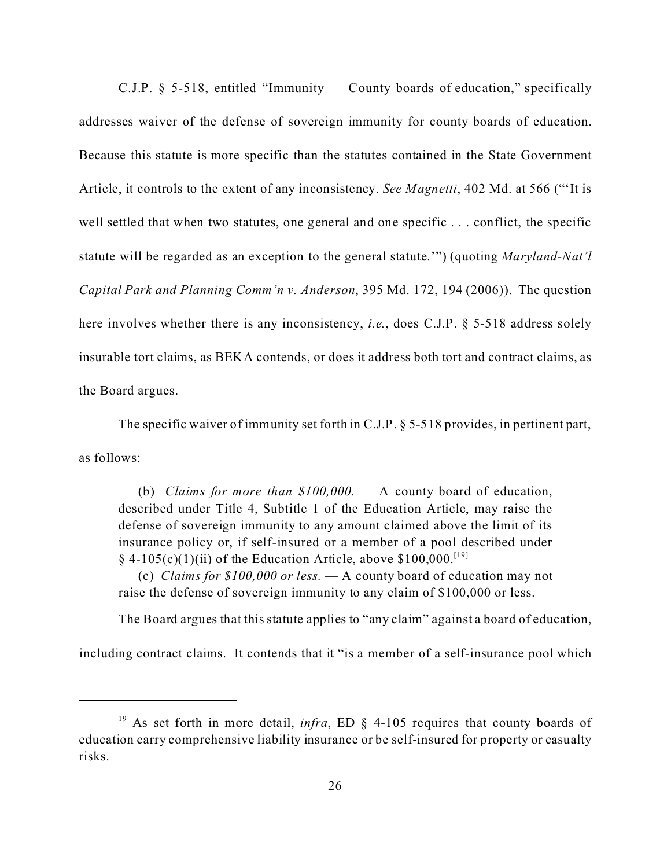C.J.P. § 5-518, entitled "Immunity — County boards of education," specifically addresses waiver of the defense of sovereign immunity for county boards of education. Because this statute is more specific than the statutes contained in the State Government Article, it controls to the extent of any inconsistency. *See Magnetti*, 402 Md. at 566 ("'It is well settled that when two statutes, one general and one specific . . . conflict, the specific statute will be regarded as an exception to the general statute.'") (quoting *Maryland-Nat'l Capital Park and Planning Comm'n v. Anderson*, 395 Md. 172, 194 (2006)). The question here involves whether there is any inconsistency, *i.e.*, does C.J.P. § 5-518 address solely insurable tort claims, as BEKA contends, or does it address both tort and contract claims, as the Board argues.

The specific waiver of immunity set forth in C.J.P. § 5-518 provides, in pertinent part, as follows:

(b) *Claims for more than \$100,000.* — A county board of education, described under Title 4, Subtitle 1 of the Education Article, may raise the defense of sovereign immunity to any amount claimed above the limit of its insurance policy or, if self-insured or a member of a pool described under  $\S$  4-105(c)(1)(ii) of the Education Article, above \$100,000.<sup>[19]</sup>

 (c) *Claims for \$100,000 or less.* — A county board of education may not raise the defense of sovereign immunity to any claim of \$100,000 or less.

The Board argues that this statute applies to "any claim" against a board of education,

including contract claims. It contends that it "is a member of a self-insurance pool which

<sup>&</sup>lt;sup>19</sup> As set forth in more detail, *infra*, ED § 4-105 requires that county boards of education carry comprehensive liability insurance or be self-insured for property or casualty risks.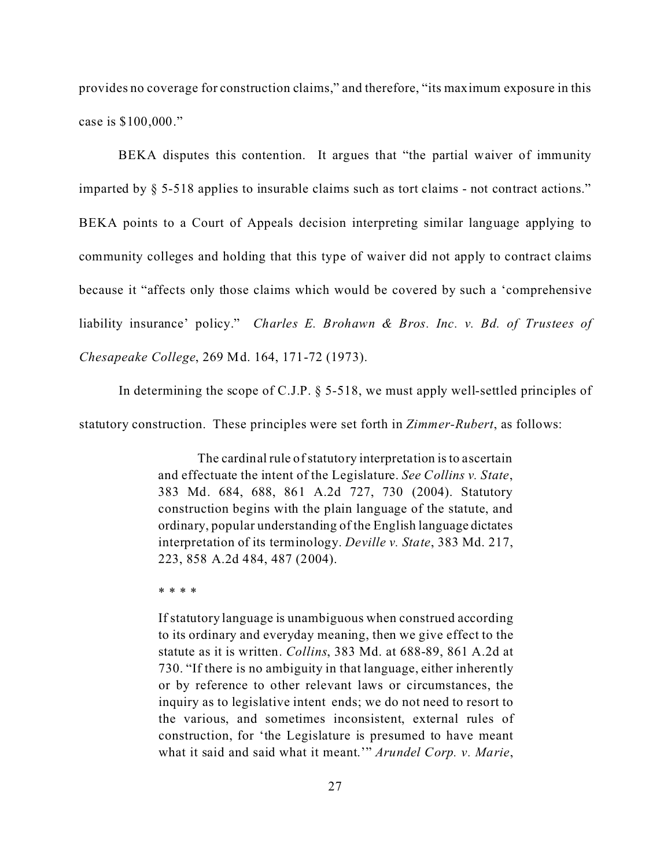provides no coverage for construction claims," and therefore, "its maximum exposure in this case is \$100,000."

BEKA disputes this contention. It argues that "the partial waiver of immunity imparted by § 5-518 applies to insurable claims such as tort claims - not contract actions." BEKA points to a Court of Appeals decision interpreting similar language applying to community colleges and holding that this type of waiver did not apply to contract claims because it "affects only those claims which would be covered by such a 'comprehensive liability insurance' policy." *Charles E. Brohawn & Bros. Inc. v. Bd. of Trustees of Chesapeake College*, 269 Md. 164, 171-72 (1973).

In determining the scope of C.J.P. § 5-518, we must apply well-settled principles of

statutory construction. These principles were set forth in *Zimmer-Rubert*, as follows:

The cardinal rule of statutory interpretation is to ascertain and effectuate the intent of the Legislature. *See Collins v. State*, 383 Md. 684, 688, 861 A.2d 727, 730 (2004). Statutory construction begins with the plain language of the statute, and ordinary, popular understanding of the English language dictates interpretation of its terminology. *Deville v. State*, 383 Md. 217, 223, 858 A.2d 484, 487 (2004).

\* \* \* \*

If statutory language is unambiguous when construed according to its ordinary and everyday meaning, then we give effect to the statute as it is written. *Collins*, 383 Md. at 688-89, 861 A.2d at 730. "If there is no ambiguity in that language, either inherently or by reference to other relevant laws or circumstances, the inquiry as to legislative intent ends; we do not need to resort to the various, and sometimes inconsistent, external rules of construction, for 'the Legislature is presumed to have meant what it said and said what it meant.'" *Arundel Corp. v. Marie*,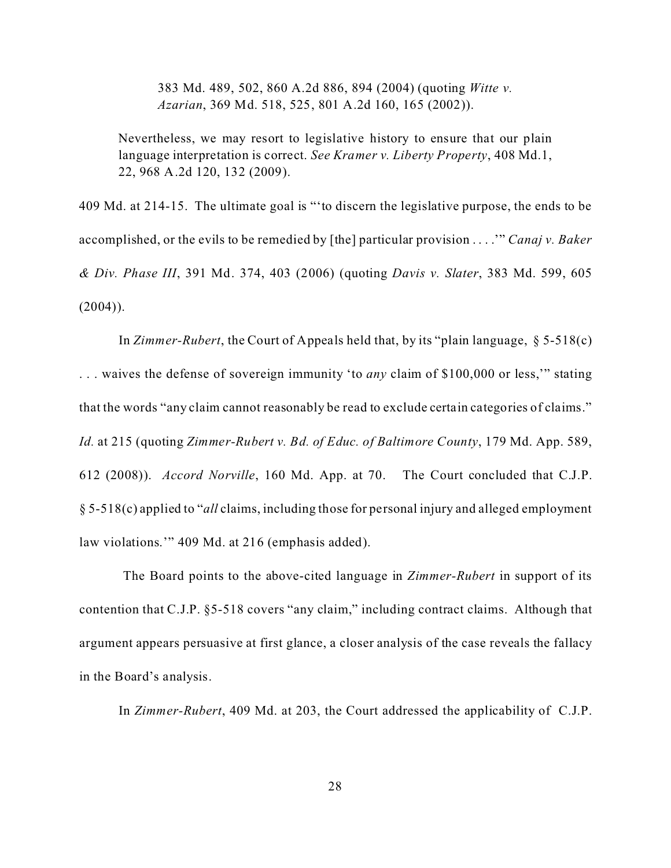383 Md. 489, 502, 860 A.2d 886, 894 (2004) (quoting *Witte v. Azarian*, 369 Md. 518, 525, 801 A.2d 160, 165 (2002)).

Nevertheless, we may resort to legislative history to ensure that our plain language interpretation is correct. *See Kramer v. Liberty Property*, 408 Md.1, 22, 968 A.2d 120, 132 (2009).

409 Md. at 214-15. The ultimate goal is "'to discern the legislative purpose, the ends to be accomplished, or the evils to be remedied by [the] particular provision . . . .'" *Canaj v. Baker & Div. Phase III*, 391 Md. 374, 403 (2006) (quoting *Davis v. Slater*, 383 Md. 599, 605  $(2004)$ ).

In *Zimmer-Rubert*, the Court of Appeals held that, by its "plain language, § 5-518(c) . . . waives the defense of sovereign immunity 'to *any* claim of \$100,000 or less,'" stating that the words "any claim cannot reasonably be read to exclude certain categories of claims." *Id.* at 215 (quoting *Zimmer-Rubert v. Bd. of Educ. of Baltimore County*, 179 Md. App. 589, 612 (2008)). *Accord Norville*, 160 Md. App. at 70. The Court concluded that C.J.P. § 5-518(c) applied to "*all* claims, including those for personal injury and alleged employment law violations.'" 409 Md. at 216 (emphasis added).

 The Board points to the above-cited language in *Zimmer-Rubert* in support of its contention that C.J.P. §5-518 covers "any claim," including contract claims. Although that argument appears persuasive at first glance, a closer analysis of the case reveals the fallacy in the Board's analysis.

In *Zimmer-Rubert*, 409 Md. at 203, the Court addressed the applicability of C.J.P.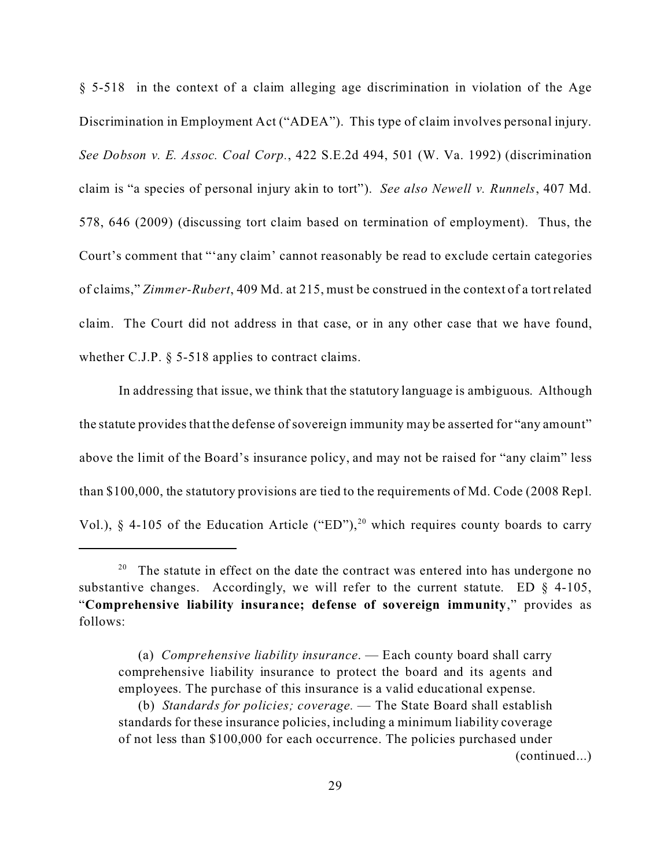§ 5-518 in the context of a claim alleging age discrimination in violation of the Age Discrimination in Employment Act ("ADEA"). This type of claim involves personal injury. *See Dobson v. E. Assoc. Coal Corp.*, 422 S.E.2d 494, 501 (W. Va. 1992) (discrimination claim is "a species of personal injury akin to tort"). *See also Newell v. Runnels*, 407 Md. 578, 646 (2009) (discussing tort claim based on termination of employment). Thus, the Court's comment that "'any claim' cannot reasonably be read to exclude certain categories of claims," *Zimmer-Rubert*, 409 Md. at 215, must be construed in the context of a tort related claim. The Court did not address in that case, or in any other case that we have found, whether C.J.P.  $\delta$  5-518 applies to contract claims.

In addressing that issue, we think that the statutory language is ambiguous. Although the statute provides that the defense of sovereign immunity may be asserted for "any amount" above the limit of the Board's insurance policy, and may not be raised for "any claim" less than \$100,000, the statutory provisions are tied to the requirements of Md. Code (2008 Repl. Vol.),  $\S$  4-105 of the Education Article ("ED"),<sup>20</sup> which requires county boards to carry

(continued...)

<sup>&</sup>lt;sup>20</sup> The statute in effect on the date the contract was entered into has undergone no substantive changes. Accordingly, we will refer to the current statute. ED  $\S$  4-105, "**Comprehensive liability insurance; defense of sovereign immunity**," provides as follows:

<sup>(</sup>a) *Comprehensive liability insurance*. — Each county board shall carry comprehensive liability insurance to protect the board and its agents and employees. The purchase of this insurance is a valid educational expense.

<sup>(</sup>b) *Standards for policies; coverage.* — The State Board shall establish standards for these insurance policies, including a minimum liability coverage of not less than \$100,000 for each occurrence. The policies purchased under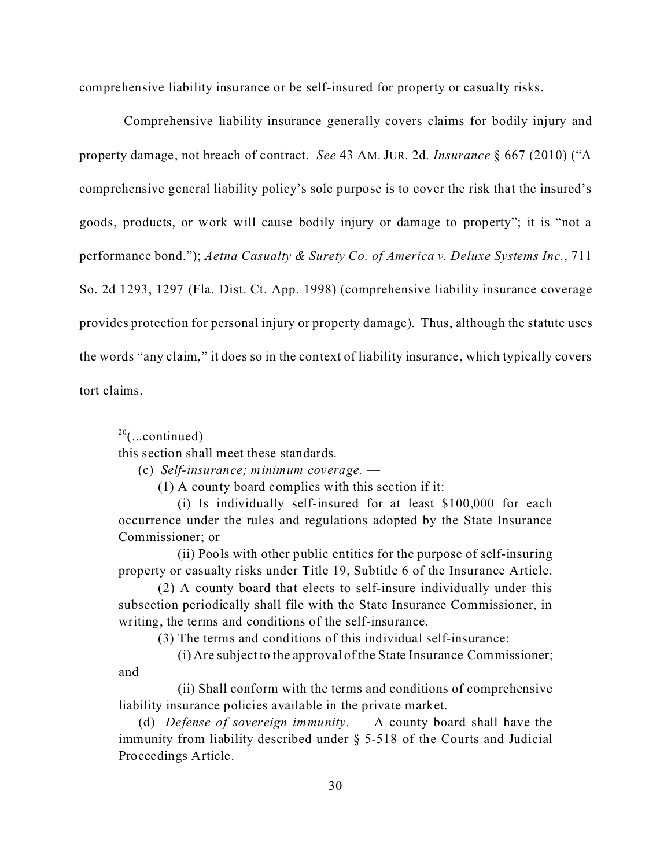comprehensive liability insurance or be self-insured for property or casualty risks.

 Comprehensive liability insurance generally covers claims for bodily injury and property damage, not breach of contract. *See* 43 AM. JUR. 2d. *Insurance* § 667 (2010) ("A comprehensive general liability policy's sole purpose is to cover the risk that the insured's goods, products, or work will cause bodily injury or damage to property"; it is "not a performance bond."); *Aetna Casualty & Surety Co. of America v. Deluxe Systems Inc.*, 711 So. 2d 1293, 1297 (Fla. Dist. Ct. App. 1998) (comprehensive liability insurance coverage provides protection for personal injury or property damage). Thus, although the statute uses the words "any claim," it does so in the context of liability insurance, which typically covers tort claims.

 $20$ (...continued)

this section shall meet these standards.

(c) *Self-insurance; minimum coverage.* —

(1) A county board complies with this section if it:

(i) Is individually self-insured for at least \$100,000 for each occurrence under the rules and regulations adopted by the State Insurance Commissioner; or

(ii) Pools with other public entities for the purpose of self-insuring property or casualty risks under Title 19, Subtitle 6 of the Insurance Article.

(2) A county board that elects to self-insure individually under this subsection periodically shall file with the State Insurance Commissioner, in writing, the terms and conditions of the self-insurance.

(3) The terms and conditions of this individual self-insurance:

(i) Are subject to the approval of the State Insurance Commissioner; and

(ii) Shall conform with the terms and conditions of comprehensive liability insurance policies available in the private market.

(d) *Defense of sovereign immunity*. — A county board shall have the immunity from liability described under § 5-518 of the Courts and Judicial Proceedings Article.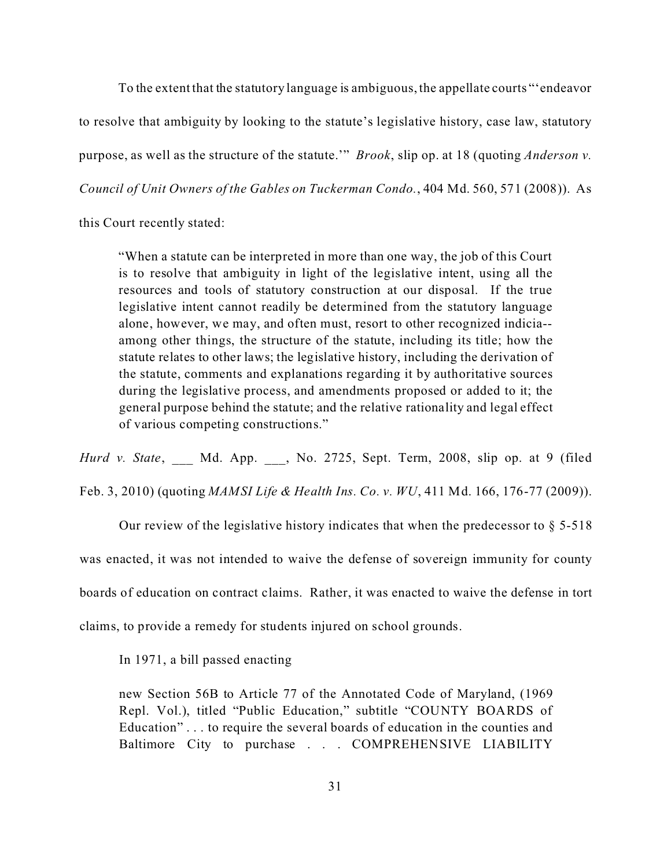To the extent that the statutory language is ambiguous, the appellate courts "'endeavor to resolve that ambiguity by looking to the statute's legislative history, case law, statutory purpose, as well as the structure of the statute.'" *Brook*, slip op. at 18 (quoting *Anderson v. Council of Unit Owners of the Gables on Tuckerman Condo.*, 404 Md. 560, 571 (2008)). As

this Court recently stated:

"When a statute can be interpreted in more than one way, the job of this Court is to resolve that ambiguity in light of the legislative intent, using all the resources and tools of statutory construction at our disposal. If the true legislative intent cannot readily be determined from the statutory language alone, however, we may, and often must, resort to other recognized indicia- among other things, the structure of the statute, including its title; how the statute relates to other laws; the legislative history, including the derivation of the statute, comments and explanations regarding it by authoritative sources during the legislative process, and amendments proposed or added to it; the general purpose behind the statute; and the relative rationality and legal effect of various competing constructions."

*Hurd v. State*, Md. App. , No. 2725, Sept. Term, 2008, slip op. at 9 (filed Feb. 3, 2010) (quoting *MAMSI Life & Health Ins. Co. v. WU*, 411 Md. 166, 176-77 (2009)).

Our review of the legislative history indicates that when the predecessor to  $\S$  5-518 was enacted, it was not intended to waive the defense of sovereign immunity for county boards of education on contract claims. Rather, it was enacted to waive the defense in tort claims, to provide a remedy for students injured on school grounds.

In 1971, a bill passed enacting

new Section 56B to Article 77 of the Annotated Code of Maryland, (1969 Repl. Vol.), titled "Public Education," subtitle "COUNTY BOARDS of Education" . . . to require the several boards of education in the counties and Baltimore City to purchase . . . COMPREHENSIVE LIABILITY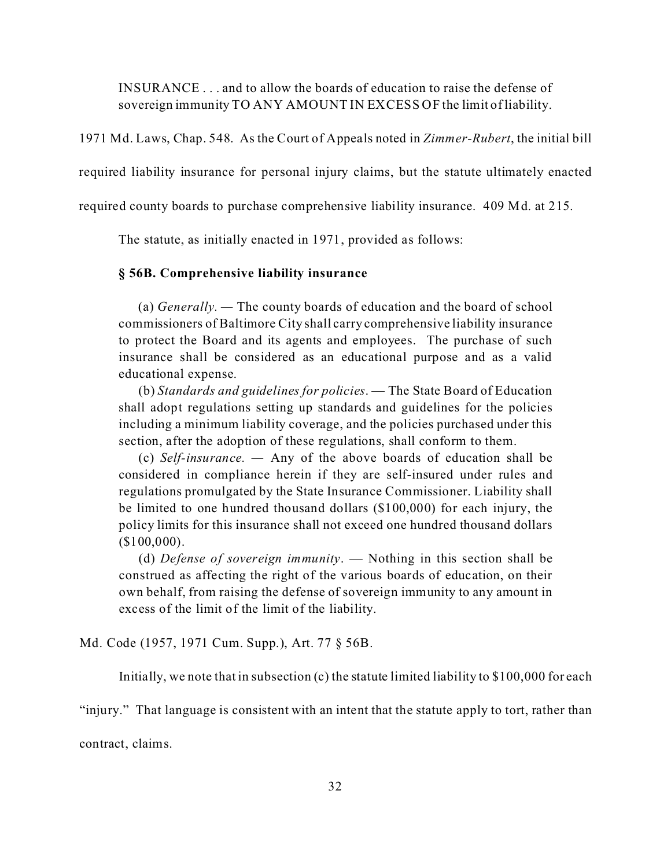INSURANCE . . . and to allow the boards of education to raise the defense of sovereign immunity TO ANY AMOUNT IN EXCESS OF the limit of liability.

1971 Md. Laws, Chap. 548. As the Court of Appeals noted in *Zimmer-Rubert*, the initial bill

required liability insurance for personal injury claims, but the statute ultimately enacted

required county boards to purchase comprehensive liability insurance. 409 Md. at 215.

The statute, as initially enacted in 1971, provided as follows:

#### **§ 56B. Comprehensive liability insurance**

(a) *Generally. —* The county boards of education and the board of school commissioners of Baltimore City shall carry comprehensive liability insurance to protect the Board and its agents and employees. The purchase of such insurance shall be considered as an educational purpose and as a valid educational expense.

(b) *Standards and guidelines for policies*. — The State Board of Education shall adopt regulations setting up standards and guidelines for the policies including a minimum liability coverage, and the policies purchased under this section, after the adoption of these regulations, shall conform to them.

(c) *Self-insurance. —* Any of the above boards of education shall be considered in compliance herein if they are self-insured under rules and regulations promulgated by the State Insurance Commissioner. Liability shall be limited to one hundred thousand dollars (\$100,000) for each injury, the policy limits for this insurance shall not exceed one hundred thousand dollars (\$100,000).

(d) *Defense of sovereign immunity*. — Nothing in this section shall be construed as affecting the right of the various boards of education, on their own behalf, from raising the defense of sovereign immunity to any amount in excess of the limit of the limit of the liability.

Md. Code (1957, 1971 Cum. Supp.), Art. 77 § 56B.

Initially, we note that in subsection (c) the statute limited liability to \$100,000 for each

"injury." That language is consistent with an intent that the statute apply to tort, rather than

contract, claims.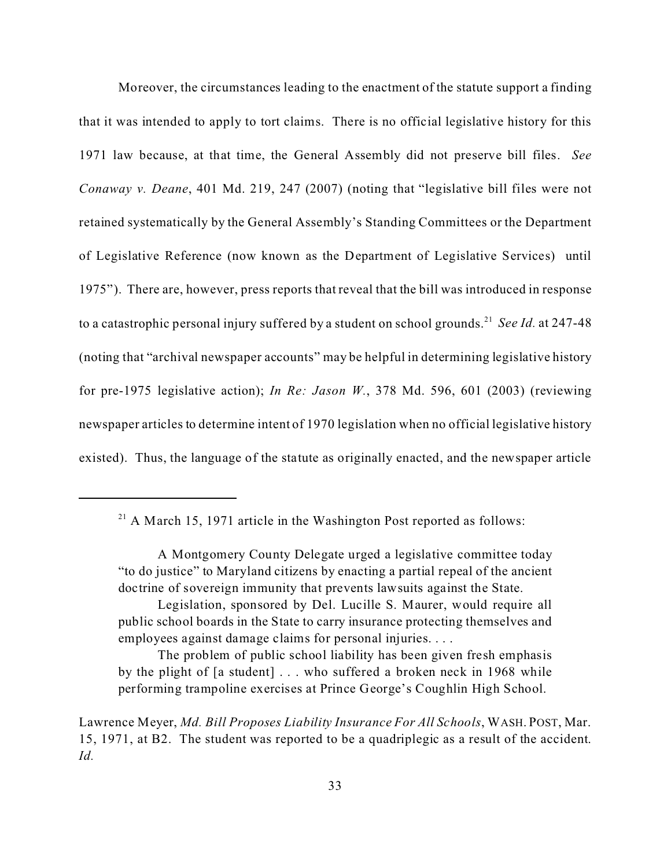Moreover, the circumstances leading to the enactment of the statute support a finding that it was intended to apply to tort claims. There is no official legislative history for this 1971 law because, at that time, the General Assembly did not preserve bill files. *See Conaway v. Deane*, 401 Md. 219, 247 (2007) (noting that "legislative bill files were not retained systematically by the General Assembly's Standing Committees or the Department of Legislative Reference (now known as the Department of Legislative Services) until 1975"). There are, however, press reports that reveal that the bill was introduced in response to a catastrophic personal injury suffered by a student on school grounds.<sup>21</sup> See Id. at 247-48 (noting that "archival newspaper accounts" may be helpful in determining legislative history for pre-1975 legislative action); *In Re: Jason W.*, 378 Md. 596, 601 (2003) (reviewing newspaper articles to determine intent of 1970 legislation when no official legislative history existed). Thus, the language of the statute as originally enacted, and the newspaper article

 $21$  A March 15, 1971 article in the Washington Post reported as follows:

A Montgomery County Delegate urged a legislative committee today "to do justice" to Maryland citizens by enacting a partial repeal of the ancient doctrine of sovereign immunity that prevents lawsuits against the State.

Legislation, sponsored by Del. Lucille S. Maurer, would require all public school boards in the State to carry insurance protecting themselves and employees against damage claims for personal injuries. . . .

The problem of public school liability has been given fresh emphasis by the plight of [a student] . . . who suffered a broken neck in 1968 while performing trampoline exercises at Prince George's Coughlin High School.

Lawrence Meyer, *Md. Bill Proposes Liability Insurance For All Schools*, WASH. POST, Mar. 15, 1971, at B2. The student was reported to be a quadriplegic as a result of the accident. *Id.*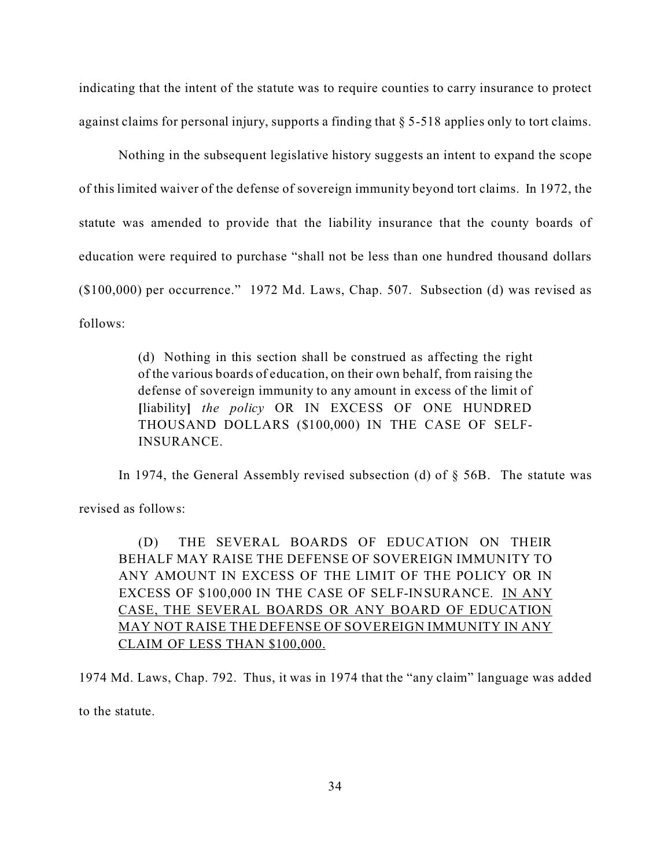indicating that the intent of the statute was to require counties to carry insurance to protect against claims for personal injury, supports a finding that § 5-518 applies only to tort claims.

Nothing in the subsequent legislative history suggests an intent to expand the scope of this limited waiver of the defense of sovereign immunity beyond tort claims. In 1972, the statute was amended to provide that the liability insurance that the county boards of education were required to purchase "shall not be less than one hundred thousand dollars (\$100,000) per occurrence." 1972 Md. Laws, Chap. 507. Subsection (d) was revised as follows:

> (d) Nothing in this section shall be construed as affecting the right of the various boards of education, on their own behalf, from raising the defense of sovereign immunity to any amount in excess of the limit of **[**liability**]** *the policy* OR IN EXCESS OF ONE HUNDRED THOUSAND DOLLARS (\$100,000) IN THE CASE OF SELF-INSURANCE.

In 1974, the General Assembly revised subsection (d) of  $\S$  56B. The statute was

revised as follows:

(D) THE SEVERAL BOARDS OF EDUCATION ON THEIR BEHALF MAY RAISE THE DEFENSE OF SOVEREIGN IMMUNITY TO ANY AMOUNT IN EXCESS OF THE LIMIT OF THE POLICY OR IN EXCESS OF \$100,000 IN THE CASE OF SELF-INSURANCE. IN ANY CASE, THE SEVERAL BOARDS OR ANY BOARD OF EDUCATION MAY NOT RAISE THE DEFENSE OF SOVEREIGN IMMUNITY IN ANY CLAIM OF LESS THAN \$100,000.

1974 Md. Laws, Chap. 792. Thus, it was in 1974 that the "any claim" language was added to the statute.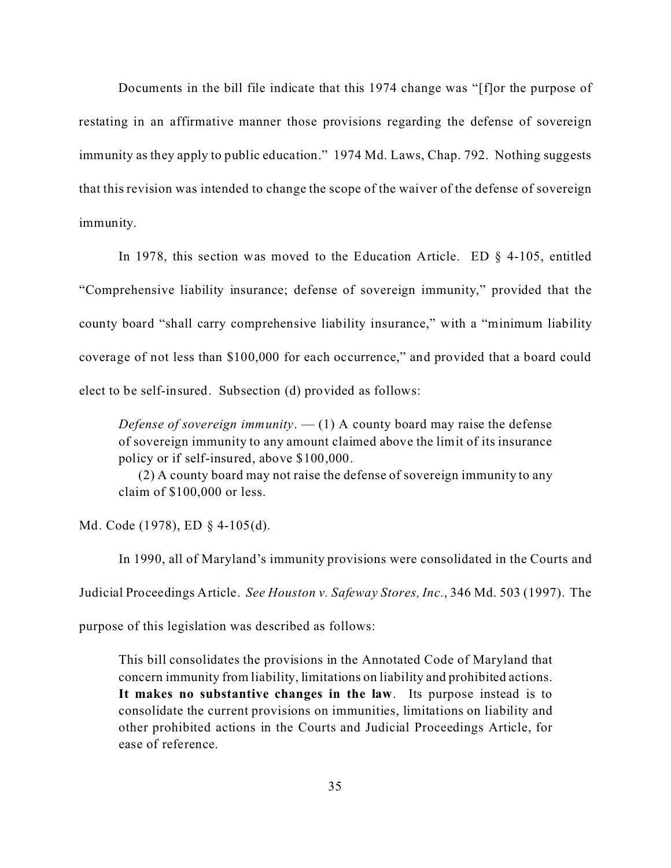Documents in the bill file indicate that this 1974 change was "[f]or the purpose of restating in an affirmative manner those provisions regarding the defense of sovereign immunity as they apply to public education." 1974 Md. Laws, Chap. 792. Nothing suggests that this revision was intended to change the scope of the waiver of the defense of sovereign immunity.

In 1978, this section was moved to the Education Article. ED § 4-105, entitled "Comprehensive liability insurance; defense of sovereign immunity," provided that the county board "shall carry comprehensive liability insurance," with a "minimum liability coverage of not less than \$100,000 for each occurrence," and provided that a board could elect to be self-insured. Subsection (d) provided as follows:

*Defense of sovereign immunity*.  $-$  (1) A county board may raise the defense of sovereign immunity to any amount claimed above the limit of its insurance policy or if self-insured, above \$100,000.

(2) A county board may not raise the defense of sovereign immunity to any claim of \$100,000 or less.

Md. Code (1978), ED § 4-105(d).

In 1990, all of Maryland's immunity provisions were consolidated in the Courts and Judicial Proceedings Article. *See Houston v. Safeway Stores, Inc.*, 346 Md. 503 (1997). The

purpose of this legislation was described as follows:

This bill consolidates the provisions in the Annotated Code of Maryland that concern immunity from liability, limitations on liability and prohibited actions. **It makes no substantive changes in the law**. Its purpose instead is to consolidate the current provisions on immunities, limitations on liability and other prohibited actions in the Courts and Judicial Proceedings Article, for ease of reference.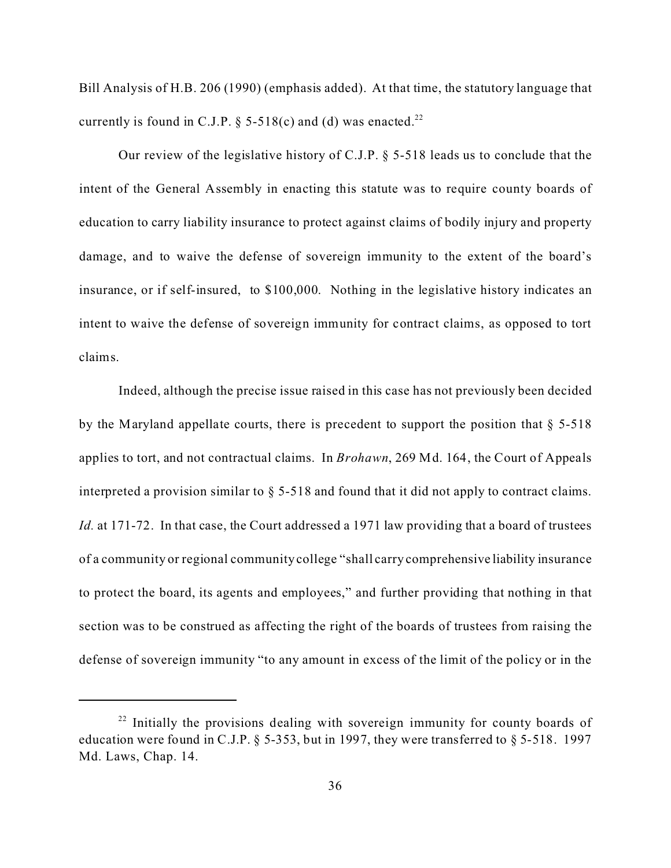Bill Analysis of H.B. 206 (1990) (emphasis added). At that time, the statutory language that currently is found in C.J.P.  $\S$  5-518(c) and (d) was enacted.<sup>22</sup>

Our review of the legislative history of C.J.P. § 5-518 leads us to conclude that the intent of the General Assembly in enacting this statute was to require county boards of education to carry liability insurance to protect against claims of bodily injury and property damage, and to waive the defense of sovereign immunity to the extent of the board's insurance, or if self-insured, to \$100,000. Nothing in the legislative history indicates an intent to waive the defense of sovereign immunity for contract claims, as opposed to tort claims.

Indeed, although the precise issue raised in this case has not previously been decided by the Maryland appellate courts, there is precedent to support the position that  $\S$  5-518 applies to tort, and not contractual claims. In *Brohawn*, 269 Md. 164, the Court of Appeals interpreted a provision similar to § 5-518 and found that it did not apply to contract claims. *Id.* at 171-72. In that case, the Court addressed a 1971 law providing that a board of trustees of a community or regional community college "shall carry comprehensive liability insurance to protect the board, its agents and employees," and further providing that nothing in that section was to be construed as affecting the right of the boards of trustees from raising the defense of sovereign immunity "to any amount in excess of the limit of the policy or in the

<sup>&</sup>lt;sup>22</sup> Initially the provisions dealing with sovereign immunity for county boards of education were found in C.J.P.  $\S$  5-353, but in 1997, they were transferred to  $\S$  5-518. 1997 Md. Laws, Chap. 14.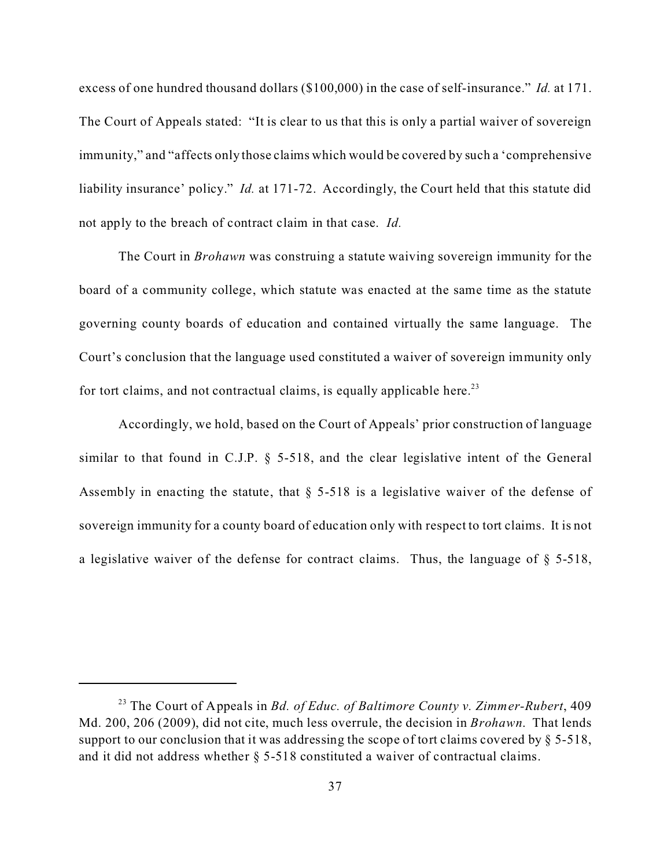excess of one hundred thousand dollars (\$100,000) in the case of self-insurance." *Id.* at 171. The Court of Appeals stated: "It is clear to us that this is only a partial waiver of sovereign immunity," and "affects only those claims which would be covered by such a 'comprehensive liability insurance' policy." *Id.* at 171-72. Accordingly, the Court held that this statute did not apply to the breach of contract claim in that case. *Id.*

The Court in *Brohawn* was construing a statute waiving sovereign immunity for the board of a community college, which statute was enacted at the same time as the statute governing county boards of education and contained virtually the same language. The Court's conclusion that the language used constituted a waiver of sovereign immunity only for tort claims, and not contractual claims, is equally applicable here.<sup>23</sup>

Accordingly, we hold, based on the Court of Appeals' prior construction of language similar to that found in C.J.P. § 5-518, and the clear legislative intent of the General Assembly in enacting the statute, that  $\S$  5-518 is a legislative waiver of the defense of sovereign immunity for a county board of education only with respect to tort claims. It is not a legislative waiver of the defense for contract claims. Thus, the language of  $\S$  5-518,

<sup>23</sup> The Court of Appeals in *Bd. of Educ. of Baltimore County v. Zimmer-Rubert*, 409 Md. 200, 206 (2009), did not cite, much less overrule, the decision in *Brohawn*. That lends support to our conclusion that it was addressing the scope of tort claims covered by  $\S$  5-518, and it did not address whether § 5-518 constituted a waiver of contractual claims.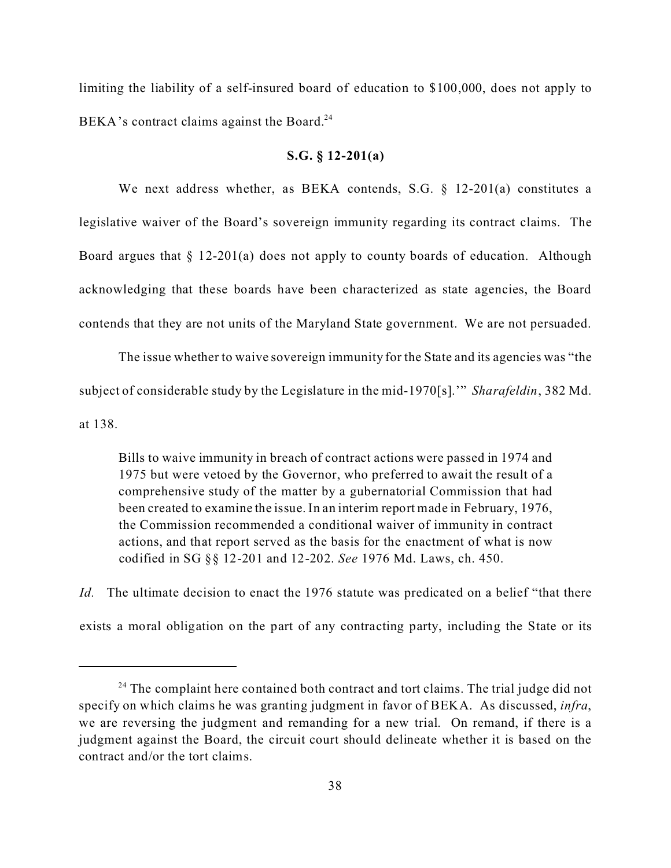limiting the liability of a self-insured board of education to \$100,000, does not apply to BEKA's contract claims against the Board.<sup>24</sup>

# **S.G. § 12-201(a)**

We next address whether, as BEKA contends, S.G. § 12-201(a) constitutes a legislative waiver of the Board's sovereign immunity regarding its contract claims. The Board argues that § 12-201(a) does not apply to county boards of education. Although acknowledging that these boards have been characterized as state agencies, the Board contends that they are not units of the Maryland State government. We are not persuaded.

The issue whether to waive sovereign immunity for the State and its agencies was "the subject of considerable study by the Legislature in the mid-1970[s].'" *Sharafeldin*, 382 Md. at 138.

Bills to waive immunity in breach of contract actions were passed in 1974 and 1975 but were vetoed by the Governor, who preferred to await the result of a comprehensive study of the matter by a gubernatorial Commission that had been created to examine the issue. In an interim report made in February, 1976, the Commission recommended a conditional waiver of immunity in contract actions, and that report served as the basis for the enactment of what is now codified in SG §§ 12-201 and 12-202. *See* 1976 Md. Laws, ch. 450.

*Id.* The ultimate decision to enact the 1976 statute was predicated on a belief "that there" exists a moral obligation on the part of any contracting party, including the State or its

 $24$  The complaint here contained both contract and tort claims. The trial judge did not specify on which claims he was granting judgment in favor of BEKA. As discussed, *infra*, we are reversing the judgment and remanding for a new trial. On remand, if there is a judgment against the Board, the circuit court should delineate whether it is based on the contract and/or the tort claims.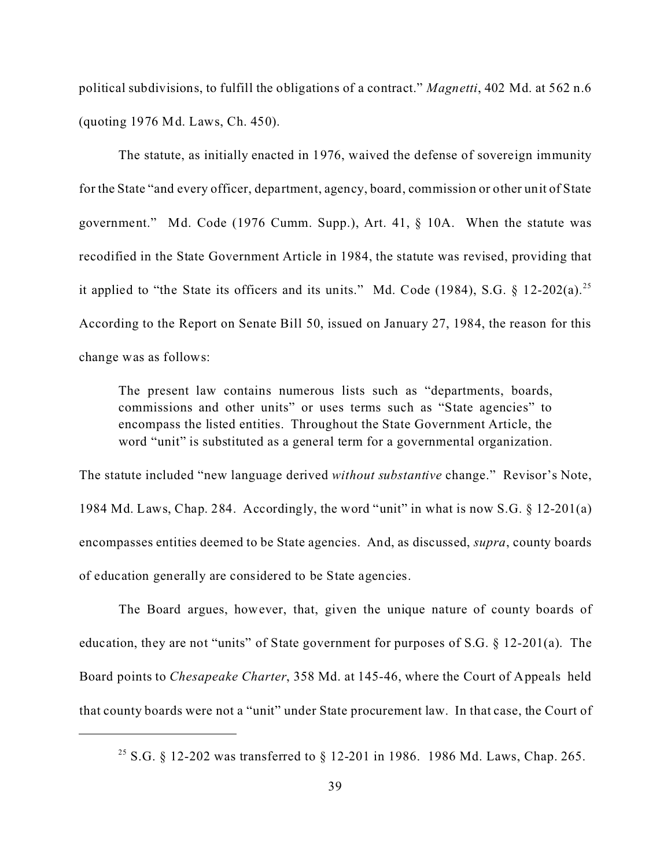political subdivisions, to fulfill the obligations of a contract." *Magnetti*, 402 Md. at 562 n.6 (quoting 1976 Md. Laws, Ch. 450).

The statute, as initially enacted in 1976, waived the defense of sovereign immunity for the State "and every officer, department, agency, board, commission or other unit of State government." Md. Code (1976 Cumm. Supp.), Art. 41, § 10A. When the statute was recodified in the State Government Article in 1984, the statute was revised, providing that it applied to "the State its officers and its units." Md. Code (1984), S.G. § 12-202(a).<sup>25</sup> According to the Report on Senate Bill 50, issued on January 27, 1984, the reason for this change was as follows:

The present law contains numerous lists such as "departments, boards, commissions and other units" or uses terms such as "State agencies" to encompass the listed entities. Throughout the State Government Article, the word "unit" is substituted as a general term for a governmental organization.

The statute included "new language derived *without substantive* change." Revisor's Note, 1984 Md. Laws, Chap. 284. Accordingly, the word "unit" in what is now S.G. § 12-201(a) encompasses entities deemed to be State agencies. And, as discussed, *supra*, county boards of education generally are considered to be State agencies.

The Board argues, however, that, given the unique nature of county boards of education, they are not "units" of State government for purposes of S.G. § 12-201(a). The Board points to *Chesapeake Charter*, 358 Md. at 145-46, where the Court of Appeals held that county boards were not a "unit" under State procurement law. In that case, the Court of

<sup>&</sup>lt;sup>25</sup> S.G. § 12-202 was transferred to § 12-201 in 1986. 1986 Md. Laws, Chap. 265.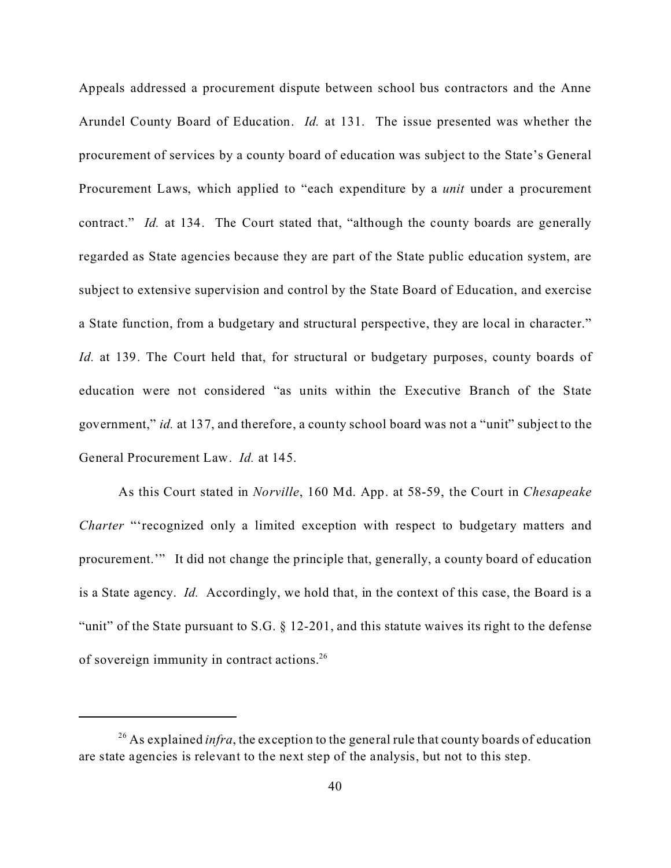Appeals addressed a procurement dispute between school bus contractors and the Anne Arundel County Board of Education. *Id.* at 131. The issue presented was whether the procurement of services by a county board of education was subject to the State's General Procurement Laws, which applied to "each expenditure by a *unit* under a procurement contract." *Id.* at 134. The Court stated that, "although the county boards are generally regarded as State agencies because they are part of the State public education system, are subject to extensive supervision and control by the State Board of Education, and exercise a State function, from a budgetary and structural perspective, they are local in character." *Id.* at 139. The Court held that, for structural or budgetary purposes, county boards of education were not considered "as units within the Executive Branch of the State government," *id.* at 137, and therefore, a county school board was not a "unit" subject to the General Procurement Law. *Id.* at 145.

As this Court stated in *Norville*, 160 Md. App. at 58-59, the Court in *Chesapeake Charter* "'recognized only a limited exception with respect to budgetary matters and procurement.'" It did not change the principle that, generally, a county board of education is a State agency. *Id.* Accordingly, we hold that, in the context of this case, the Board is a "unit" of the State pursuant to S.G.  $\S$  12-201, and this statute waives its right to the defense of sovereign immunity in contract actions.<sup>26</sup>

<sup>&</sup>lt;sup>26</sup> As explained *infra*, the exception to the general rule that county boards of education are state agencies is relevant to the next step of the analysis, but not to this step.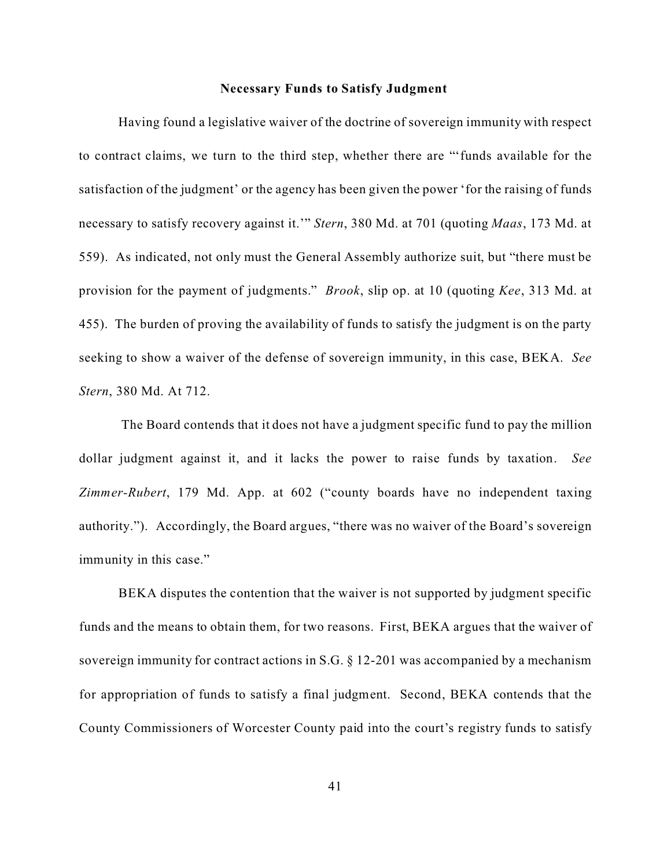### **Necessary Funds to Satisfy Judgment**

Having found a legislative waiver of the doctrine of sovereign immunity with respect to contract claims, we turn to the third step, whether there are "'funds available for the satisfaction of the judgment' or the agency has been given the power 'for the raising of funds necessary to satisfy recovery against it.'" *Stern*, 380 Md. at 701 (quoting *Maas*, 173 Md. at 559). As indicated, not only must the General Assembly authorize suit, but "there must be provision for the payment of judgments." *Brook*, slip op. at 10 (quoting *Kee*, 313 Md. at 455). The burden of proving the availability of funds to satisfy the judgment is on the party seeking to show a waiver of the defense of sovereign immunity, in this case, BEKA. *See Stern*, 380 Md. At 712.

 The Board contends that it does not have a judgment specific fund to pay the million dollar judgment against it, and it lacks the power to raise funds by taxation. *See Zimmer-Rubert*, 179 Md. App. at 602 ("county boards have no independent taxing authority."). Accordingly, the Board argues, "there was no waiver of the Board's sovereign immunity in this case."

BEKA disputes the contention that the waiver is not supported by judgment specific funds and the means to obtain them, for two reasons. First, BEKA argues that the waiver of sovereign immunity for contract actions in S.G. § 12-201 was accompanied by a mechanism for appropriation of funds to satisfy a final judgment. Second, BEKA contends that the County Commissioners of Worcester County paid into the court's registry funds to satisfy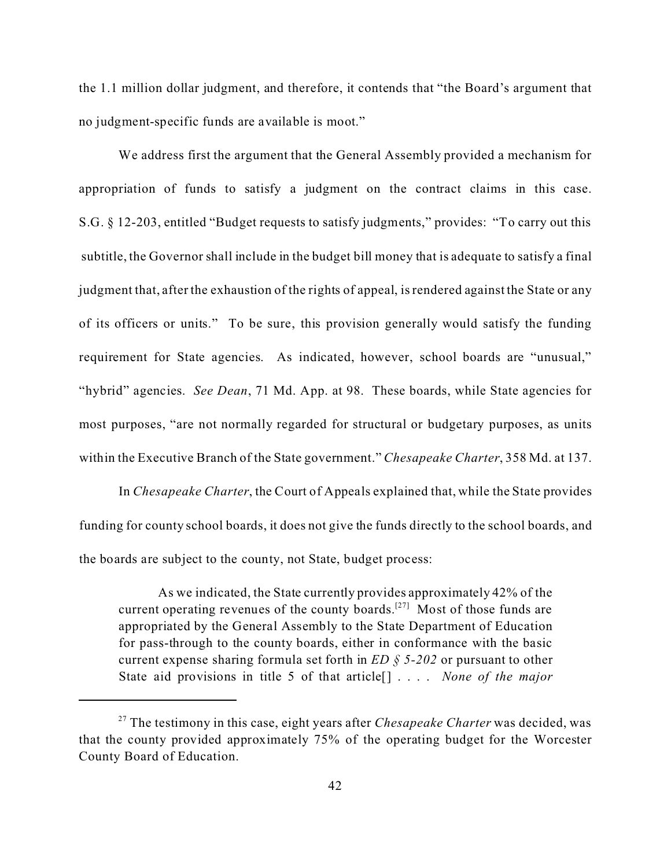the 1.1 million dollar judgment, and therefore, it contends that "the Board's argument that no judgment-specific funds are available is moot."

We address first the argument that the General Assembly provided a mechanism for appropriation of funds to satisfy a judgment on the contract claims in this case. S.G. § 12-203, entitled "Budget requests to satisfy judgments," provides: "To carry out this subtitle, the Governor shall include in the budget bill money that is adequate to satisfy a final judgment that, after the exhaustion of the rights of appeal, is rendered against the State or any of its officers or units." To be sure, this provision generally would satisfy the funding requirement for State agencies. As indicated, however, school boards are "unusual," "hybrid" agencies. *See Dean*, 71 Md. App. at 98. These boards, while State agencies for most purposes, "are not normally regarded for structural or budgetary purposes, as units within the Executive Branch of the State government." *Chesapeake Charter*, 358 Md. at 137.

In *Chesapeake Charter*, the Court of Appeals explained that, while the State provides funding for county school boards, it does not give the funds directly to the school boards, and the boards are subject to the county, not State, budget process:

As we indicated, the State currently provides approximately 42% of the current operating revenues of the county boards.<sup>[27]</sup> Most of those funds are appropriated by the General Assembly to the State Department of Education for pass-through to the county boards, either in conformance with the basic current expense sharing formula set forth in *ED § 5-202* or pursuant to other State aid provisions in title 5 of that article[] . . . . *None of the major*

<sup>27</sup> The testimony in this case, eight years after *Chesapeake Charter* was decided, was that the county provided approximately 75% of the operating budget for the Worcester County Board of Education.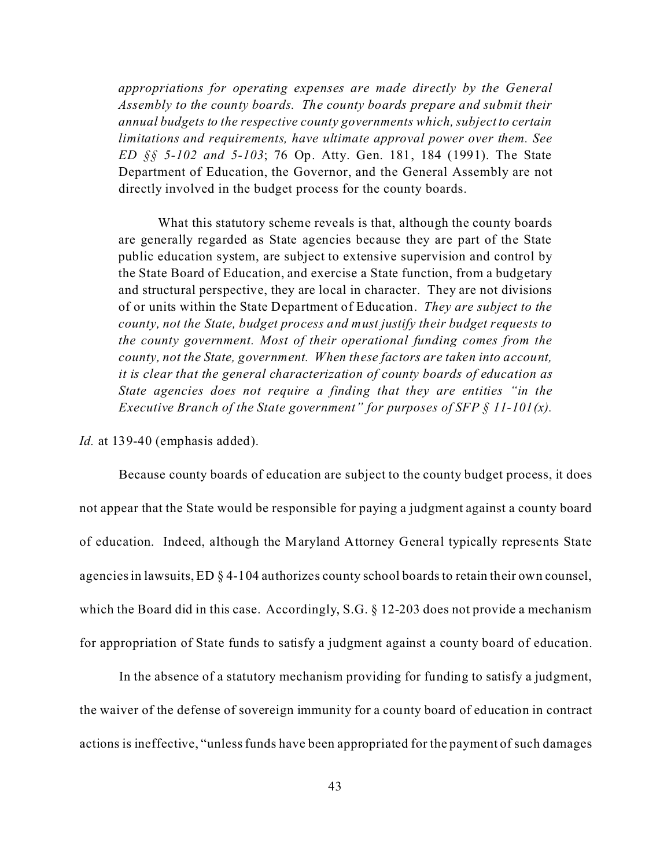*appropriations for operating expenses are made directly by the General Assembly to the county boards. The county boards prepare and submit their annual budgets to the respective county governments which, subject to certain limitations and requirements, have ultimate approval power over them. See ED §§ 5-102 and 5-103*; 76 Op. Atty. Gen. 181, 184 (1991). The State Department of Education, the Governor, and the General Assembly are not directly involved in the budget process for the county boards.

What this statutory scheme reveals is that, although the county boards are generally regarded as State agencies because they are part of the State public education system, are subject to extensive supervision and control by the State Board of Education, and exercise a State function, from a budgetary and structural perspective, they are local in character. They are not divisions of or units within the State Department of Education. *They are subject to the county, not the State, budget process and must justify their budget requests to the county government. Most of their operational funding comes from the county, not the State, government. When these factors are taken into account, it is clear that the general characterization of county boards of education as State agencies does not require a finding that they are entities "in the Executive Branch of the State government" for purposes of SFP § 11-101(x).*

*Id.* at 139-40 (emphasis added).

Because county boards of education are subject to the county budget process, it does not appear that the State would be responsible for paying a judgment against a county board of education. Indeed, although the Maryland Attorney General typically represents State agencies in lawsuits, ED § 4-104 authorizes county school boards to retain their own counsel, which the Board did in this case. Accordingly, S.G. § 12-203 does not provide a mechanism for appropriation of State funds to satisfy a judgment against a county board of education.

In the absence of a statutory mechanism providing for funding to satisfy a judgment, the waiver of the defense of sovereign immunity for a county board of education in contract actions is ineffective, "unless funds have been appropriated for the payment of such damages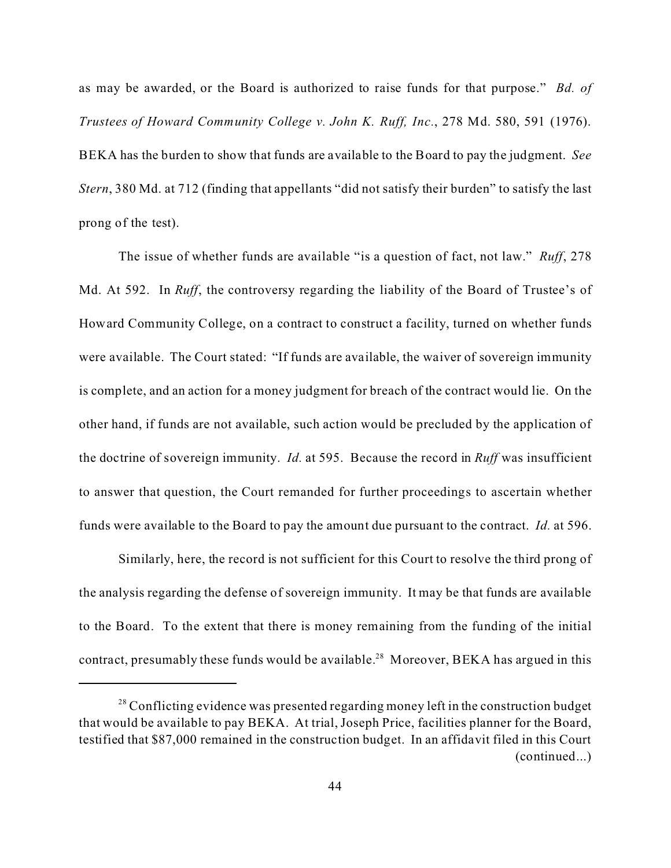as may be awarded, or the Board is authorized to raise funds for that purpose." *Bd. of Trustees of Howard Community College v. John K. Ruff, Inc.*, 278 Md. 580, 591 (1976). BEKA has the burden to show that funds are available to the Board to pay the judgment. *See Stern*, 380 Md. at 712 (finding that appellants "did not satisfy their burden" to satisfy the last prong of the test).

The issue of whether funds are available "is a question of fact, not law." *Ruff*, 278 Md. At 592. In *Ruff*, the controversy regarding the liability of the Board of Trustee's of Howard Community College, on a contract to construct a facility, turned on whether funds were available. The Court stated: "If funds are available, the waiver of sovereign immunity is complete, and an action for a money judgment for breach of the contract would lie. On the other hand, if funds are not available, such action would be precluded by the application of the doctrine of sovereign immunity. *Id.* at 595. Because the record in *Ruff* was insufficient to answer that question, the Court remanded for further proceedings to ascertain whether funds were available to the Board to pay the amount due pursuant to the contract. *Id.* at 596.

Similarly, here, the record is not sufficient for this Court to resolve the third prong of the analysis regarding the defense of sovereign immunity. It may be that funds are available to the Board. To the extent that there is money remaining from the funding of the initial contract, presumably these funds would be available.<sup>28</sup> Moreover, BEKA has argued in this

 $28$  Conflicting evidence was presented regarding money left in the construction budget that would be available to pay BEKA. At trial, Joseph Price, facilities planner for the Board, testified that \$87,000 remained in the construction budget. In an affidavit filed in this Court (continued...)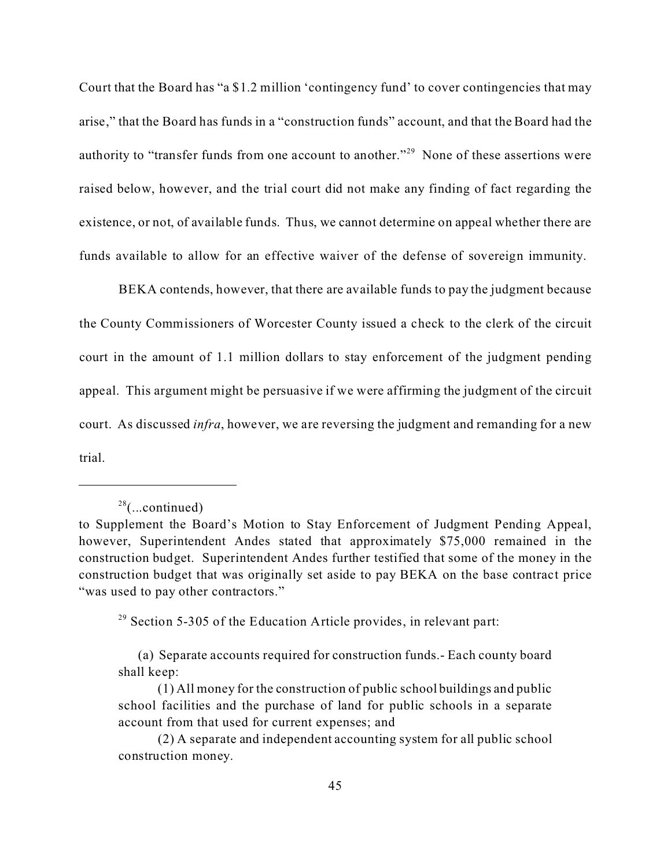Court that the Board has "a \$1.2 million 'contingency fund' to cover contingencies that may arise," that the Board has funds in a "construction funds" account, and that the Board had the authority to "transfer funds from one account to another."<sup>29</sup> None of these assertions were raised below, however, and the trial court did not make any finding of fact regarding the existence, or not, of available funds. Thus, we cannot determine on appeal whether there are funds available to allow for an effective waiver of the defense of sovereign immunity.

BEKA contends, however, that there are available funds to pay the judgment because the County Commissioners of Worcester County issued a check to the clerk of the circuit court in the amount of 1.1 million dollars to stay enforcement of the judgment pending appeal. This argument might be persuasive if we were affirming the judgment of the circuit court. As discussed *infra*, however, we are reversing the judgment and remanding for a new trial.

 $29$  Section 5-305 of the Education Article provides, in relevant part:

 $28$ (...continued)

to Supplement the Board's Motion to Stay Enforcement of Judgment Pending Appeal, however, Superintendent Andes stated that approximately \$75,000 remained in the construction budget. Superintendent Andes further testified that some of the money in the construction budget that was originally set aside to pay BEKA on the base contract price "was used to pay other contractors."

<sup>(</sup>a) Separate accounts required for construction funds.- Each county board shall keep:

<sup>(1)</sup> All money for the construction of public school buildings and public school facilities and the purchase of land for public schools in a separate account from that used for current expenses; and

<sup>(2)</sup> A separate and independent accounting system for all public school construction money.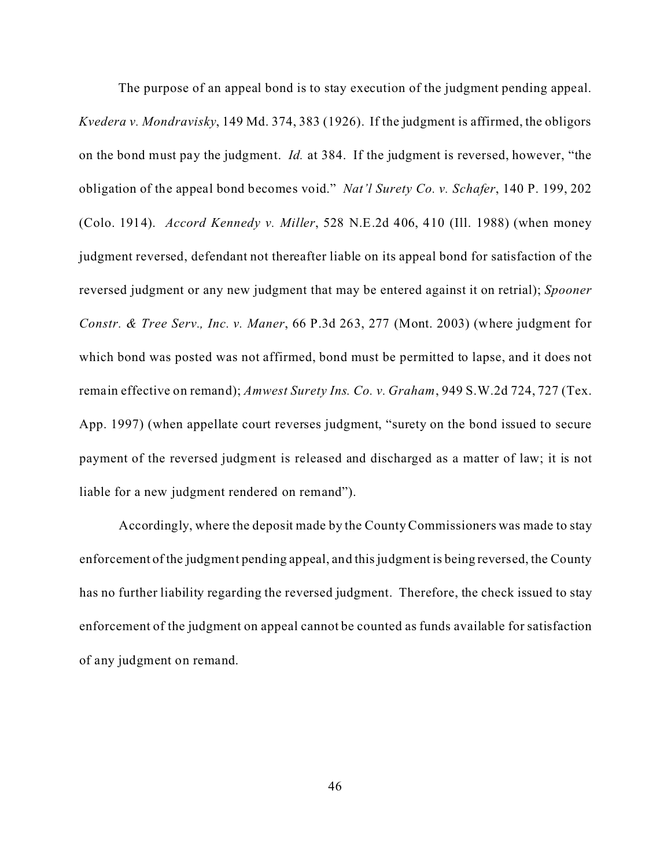The purpose of an appeal bond is to stay execution of the judgment pending appeal. *Kvedera v. Mondravisky*, 149 Md. 374, 383 (1926). If the judgment is affirmed, the obligors on the bond must pay the judgment. *Id.* at 384. If the judgment is reversed, however, "the obligation of the appeal bond becomes void." *Nat'l Surety Co. v. Schafer*, 140 P. 199, 202 (Colo. 1914). *Accord Kennedy v. Miller*, 528 N.E.2d 406, 410 (Ill. 1988) (when money judgment reversed, defendant not thereafter liable on its appeal bond for satisfaction of the reversed judgment or any new judgment that may be entered against it on retrial); *Spooner Constr. & Tree Serv., Inc. v. Maner*, 66 P.3d 263, 277 (Mont. 2003) (where judgment for which bond was posted was not affirmed, bond must be permitted to lapse, and it does not remain effective on remand); *Amwest Surety Ins. Co. v. Graham*, 949 S.W.2d 724, 727 (Tex. App. 1997) (when appellate court reverses judgment, "surety on the bond issued to secure payment of the reversed judgment is released and discharged as a matter of law; it is not liable for a new judgment rendered on remand").

Accordingly, where the deposit made by the County Commissioners was made to stay enforcement of the judgment pending appeal, and this judgment is being reversed, the County has no further liability regarding the reversed judgment. Therefore, the check issued to stay enforcement of the judgment on appeal cannot be counted as funds available for satisfaction of any judgment on remand.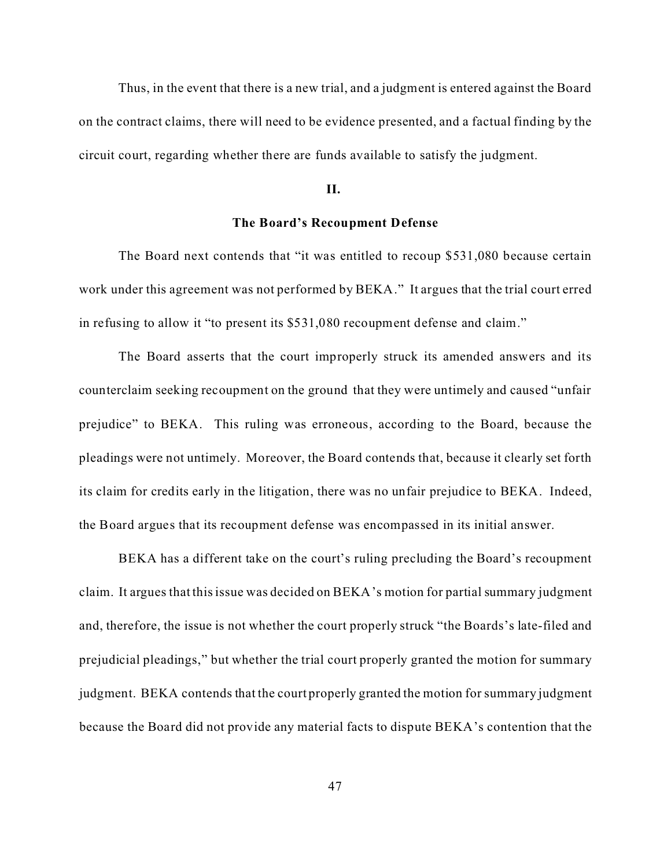Thus, in the event that there is a new trial, and a judgment is entered against the Board on the contract claims, there will need to be evidence presented, and a factual finding by the circuit court, regarding whether there are funds available to satisfy the judgment.

#### **II.**

# **The Board's Recoupment Defense**

The Board next contends that "it was entitled to recoup \$531,080 because certain work under this agreement was not performed by BEKA." It argues that the trial court erred in refusing to allow it "to present its \$531,080 recoupment defense and claim."

The Board asserts that the court improperly struck its amended answers and its counterclaim seeking recoupment on the ground that they were untimely and caused "unfair prejudice" to BEKA. This ruling was erroneous, according to the Board, because the pleadings were not untimely. Moreover, the Board contends that, because it clearly set forth its claim for credits early in the litigation, there was no unfair prejudice to BEKA. Indeed, the Board argues that its recoupment defense was encompassed in its initial answer.

BEKA has a different take on the court's ruling precluding the Board's recoupment claim. It argues that this issue was decided on BEKA's motion for partial summary judgment and, therefore, the issue is not whether the court properly struck "the Boards's late-filed and prejudicial pleadings," but whether the trial court properly granted the motion for summary judgment. BEKA contends that the court properly granted the motion for summary judgment because the Board did not provide any material facts to dispute BEKA's contention that the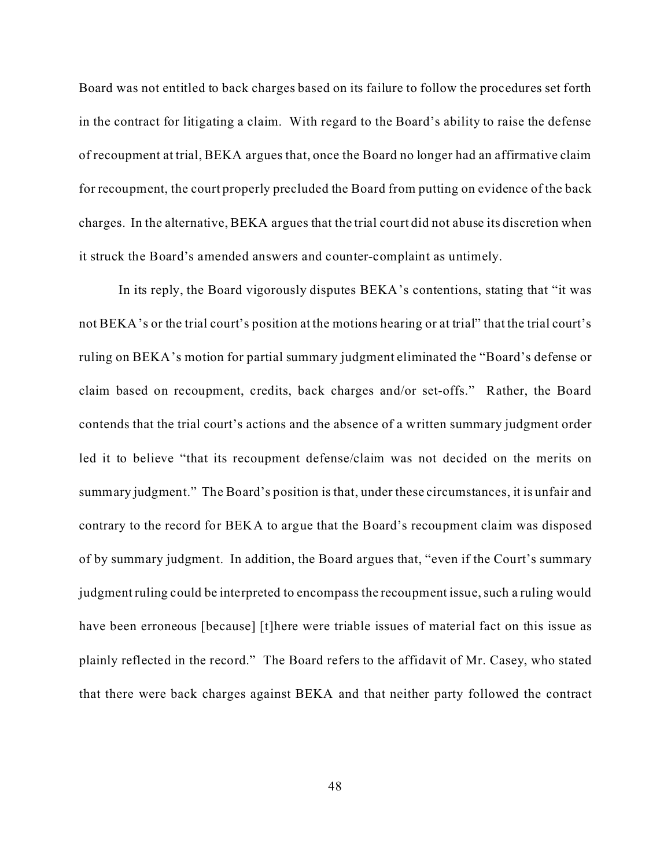Board was not entitled to back charges based on its failure to follow the procedures set forth in the contract for litigating a claim. With regard to the Board's ability to raise the defense of recoupment at trial, BEKA argues that, once the Board no longer had an affirmative claim for recoupment, the court properly precluded the Board from putting on evidence of the back charges. In the alternative, BEKA argues that the trial court did not abuse its discretion when it struck the Board's amended answers and counter-complaint as untimely.

In its reply, the Board vigorously disputes BEKA's contentions, stating that "it was not BEKA's or the trial court's position at the motions hearing or at trial" that the trial court's ruling on BEKA's motion for partial summary judgment eliminated the "Board's defense or claim based on recoupment, credits, back charges and/or set-offs." Rather, the Board contends that the trial court's actions and the absence of a written summary judgment order led it to believe "that its recoupment defense/claim was not decided on the merits on summary judgment." The Board's position is that, under these circumstances, it is unfair and contrary to the record for BEKA to argue that the Board's recoupment claim was disposed of by summary judgment. In addition, the Board argues that, "even if the Court's summary judgment ruling could be interpreted to encompass the recoupment issue, such a ruling would have been erroneous [because] [t]here were triable issues of material fact on this issue as plainly reflected in the record." The Board refers to the affidavit of Mr. Casey, who stated that there were back charges against BEKA and that neither party followed the contract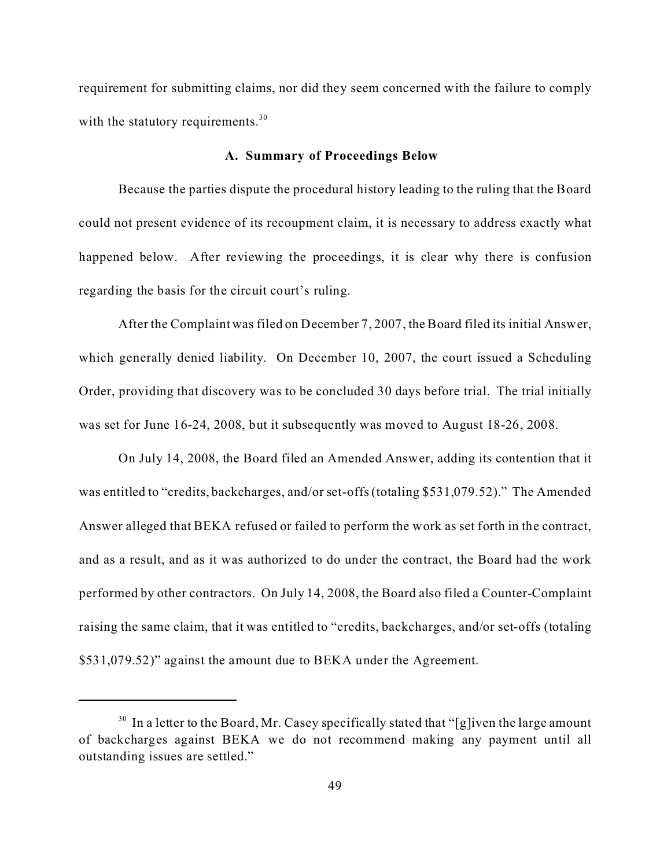requirement for submitting claims, nor did they seem concerned with the failure to comply with the statutory requirements.<sup>30</sup>

### **A. Summary of Proceedings Below**

Because the parties dispute the procedural history leading to the ruling that the Board could not present evidence of its recoupment claim, it is necessary to address exactly what happened below. After reviewing the proceedings, it is clear why there is confusion regarding the basis for the circuit court's ruling.

After the Complaint was filed on December 7, 2007, the Board filed its initial Answer, which generally denied liability. On December 10, 2007, the court issued a Scheduling Order, providing that discovery was to be concluded 30 days before trial. The trial initially was set for June 16-24, 2008, but it subsequently was moved to August 18-26, 2008.

On July 14, 2008, the Board filed an Amended Answer, adding its contention that it was entitled to "credits, backcharges, and/or set-offs (totaling \$531,079.52)." The Amended Answer alleged that BEKA refused or failed to perform the work as set forth in the contract, and as a result, and as it was authorized to do under the contract, the Board had the work performed by other contractors. On July 14, 2008, the Board also filed a Counter-Complaint raising the same claim, that it was entitled to "credits, backcharges, and/or set-offs (totaling \$531,079.52)" against the amount due to BEKA under the Agreement.

 $30$  In a letter to the Board, Mr. Casey specifically stated that "[g]iven the large amount of backcharges against BEKA we do not recommend making any payment until all outstanding issues are settled."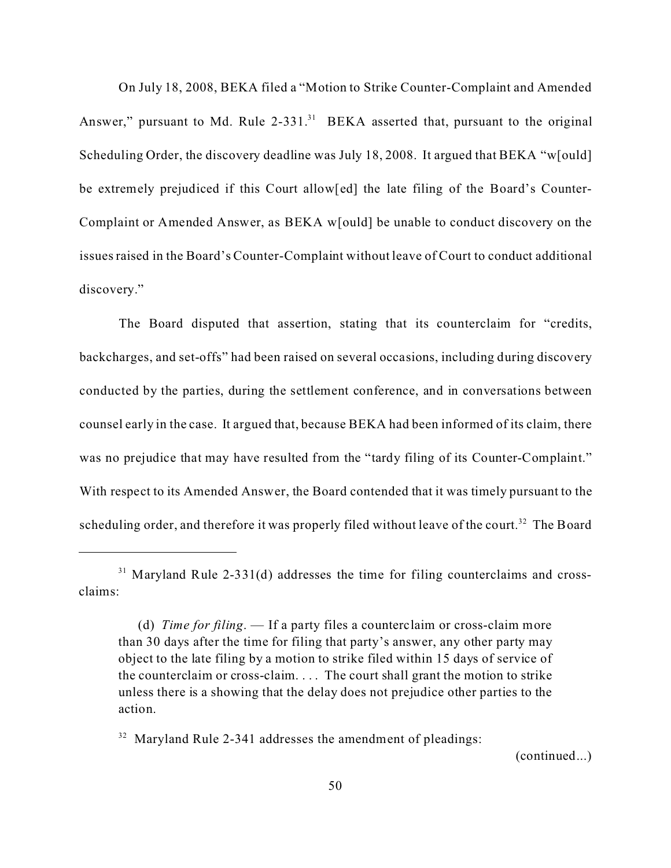On July 18, 2008, BEKA filed a "Motion to Strike Counter-Complaint and Amended Answer," pursuant to Md. Rule  $2-331$ .<sup>31</sup> BEKA asserted that, pursuant to the original Scheduling Order, the discovery deadline was July 18, 2008. It argued that BEKA "w[ould] be extremely prejudiced if this Court allow[ed] the late filing of the Board's Counter-Complaint or Amended Answer, as BEKA w[ould] be unable to conduct discovery on the issues raised in the Board's Counter-Complaint without leave of Court to conduct additional discovery."

The Board disputed that assertion, stating that its counterclaim for "credits, backcharges, and set-offs" had been raised on several occasions, including during discovery conducted by the parties, during the settlement conference, and in conversations between counsel early in the case. It argued that, because BEKA had been informed of its claim, there was no prejudice that may have resulted from the "tardy filing of its Counter-Complaint." With respect to its Amended Answer, the Board contended that it was timely pursuant to the scheduling order, and therefore it was properly filed without leave of the court.<sup>32</sup> The Board

<sup>32</sup> Maryland Rule 2-341 addresses the amendment of pleadings:

(continued...)

 $31$  Maryland Rule 2-331(d) addresses the time for filing counterclaims and crossclaims:

<sup>(</sup>d) *Time for filing*. — If a party files a counterclaim or cross-claim more than 30 days after the time for filing that party's answer, any other party may object to the late filing by a motion to strike filed within 15 days of service of the counterclaim or cross-claim. . . . The court shall grant the motion to strike unless there is a showing that the delay does not prejudice other parties to the action.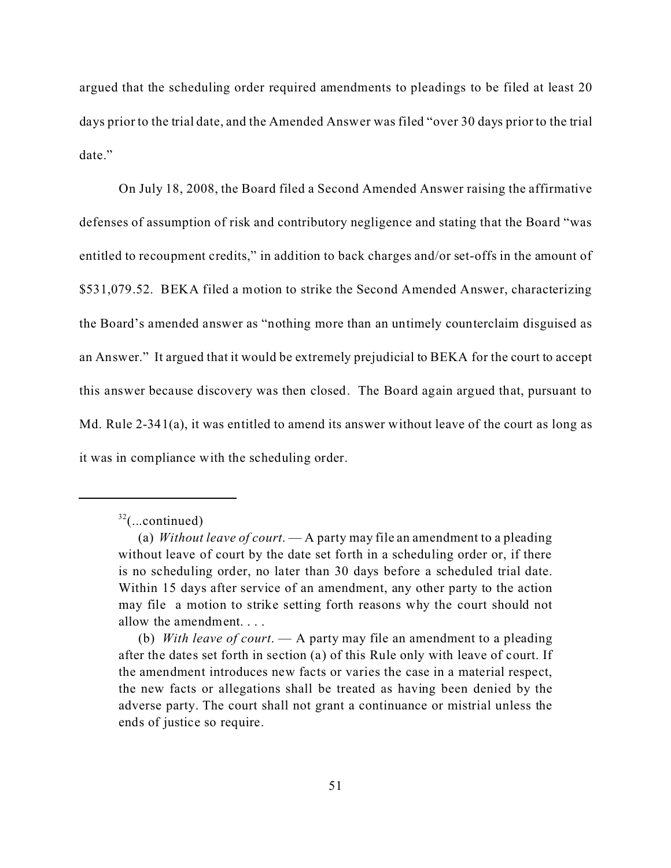argued that the scheduling order required amendments to pleadings to be filed at least 20 days prior to the trial date, and the Amended Answer was filed "over 30 days prior to the trial date."

On July 18, 2008, the Board filed a Second Amended Answer raising the affirmative defenses of assumption of risk and contributory negligence and stating that the Board "was entitled to recoupment credits," in addition to back charges and/or set-offs in the amount of \$531,079.52. BEKA filed a motion to strike the Second Amended Answer, characterizing the Board's amended answer as "nothing more than an untimely counterclaim disguised as an Answer." It argued that it would be extremely prejudicial to BEKA for the court to accept this answer because discovery was then closed. The Board again argued that, pursuant to Md. Rule 2-341(a), it was entitled to amend its answer without leave of the court as long as it was in compliance with the scheduling order.

 $32$ (...continued)

<sup>(</sup>a) *Without leave of court*. — A party may file an amendment to a pleading without leave of court by the date set forth in a scheduling order or, if there is no scheduling order, no later than 30 days before a scheduled trial date. Within 15 days after service of an amendment, any other party to the action may file a motion to strike setting forth reasons why the court should not allow the amendment. . . .

<sup>(</sup>b) *With leave of court*. — A party may file an amendment to a pleading after the dates set forth in section (a) of this Rule only with leave of court. If the amendment introduces new facts or varies the case in a material respect, the new facts or allegations shall be treated as having been denied by the adverse party. The court shall not grant a continuance or mistrial unless the ends of justice so require.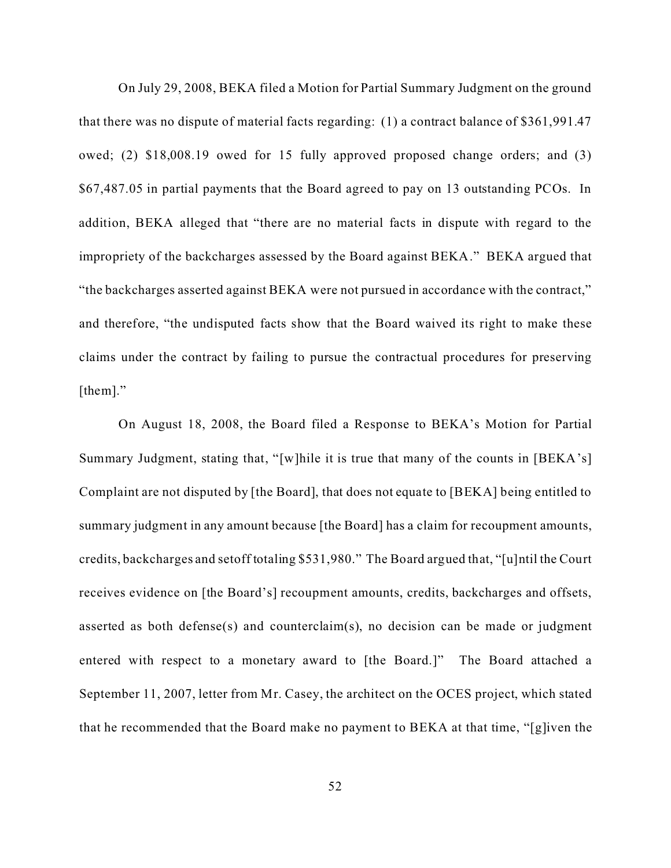On July 29, 2008, BEKA filed a Motion for Partial Summary Judgment on the ground that there was no dispute of material facts regarding: (1) a contract balance of \$361,991.47 owed; (2) \$18,008.19 owed for 15 fully approved proposed change orders; and (3) \$67,487.05 in partial payments that the Board agreed to pay on 13 outstanding PCOs. In addition, BEKA alleged that "there are no material facts in dispute with regard to the impropriety of the backcharges assessed by the Board against BEKA." BEKA argued that "the backcharges asserted against BEKA were not pursued in accordance with the contract," and therefore, "the undisputed facts show that the Board waived its right to make these claims under the contract by failing to pursue the contractual procedures for preserving [them]."

On August 18, 2008, the Board filed a Response to BEKA's Motion for Partial Summary Judgment, stating that, "[w]hile it is true that many of the counts in [BEKA's] Complaint are not disputed by [the Board], that does not equate to [BEKA] being entitled to summary judgment in any amount because [the Board] has a claim for recoupment amounts, credits, backcharges and setoff totaling \$531,980." The Board argued that, "[u]ntil the Court receives evidence on [the Board's] recoupment amounts, credits, backcharges and offsets, asserted as both defense(s) and counterclaim(s), no decision can be made or judgment entered with respect to a monetary award to [the Board.]" The Board attached a September 11, 2007, letter from Mr. Casey, the architect on the OCES project, which stated that he recommended that the Board make no payment to BEKA at that time, "[g]iven the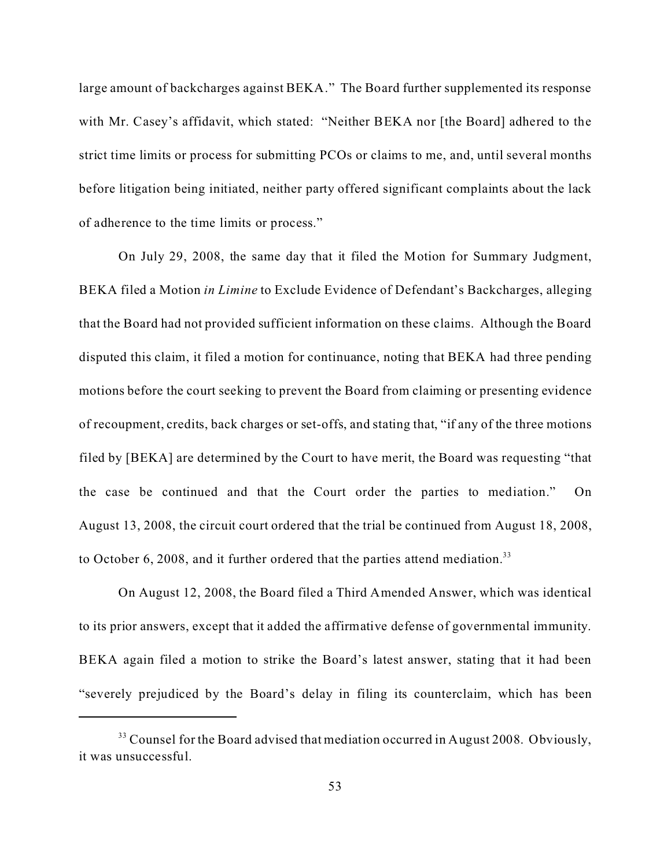large amount of backcharges against BEKA." The Board further supplemented its response with Mr. Casey's affidavit, which stated: "Neither BEKA nor [the Board] adhered to the strict time limits or process for submitting PCOs or claims to me, and, until several months before litigation being initiated, neither party offered significant complaints about the lack of adherence to the time limits or process."

On July 29, 2008, the same day that it filed the Motion for Summary Judgment, BEKA filed a Motion *in Limine* to Exclude Evidence of Defendant's Backcharges, alleging that the Board had not provided sufficient information on these claims. Although the Board disputed this claim, it filed a motion for continuance, noting that BEKA had three pending motions before the court seeking to prevent the Board from claiming or presenting evidence of recoupment, credits, back charges or set-offs, and stating that, "if any of the three motions filed by [BEKA] are determined by the Court to have merit, the Board was requesting "that the case be continued and that the Court order the parties to mediation." On August 13, 2008, the circuit court ordered that the trial be continued from August 18, 2008, to October 6, 2008, and it further ordered that the parties attend mediation.<sup>33</sup>

On August 12, 2008, the Board filed a Third Amended Answer, which was identical to its prior answers, except that it added the affirmative defense of governmental immunity. BEKA again filed a motion to strike the Board's latest answer, stating that it had been "severely prejudiced by the Board's delay in filing its counterclaim, which has been

<sup>&</sup>lt;sup>33</sup> Counsel for the Board advised that mediation occurred in August 2008. Obviously, it was unsuccessful.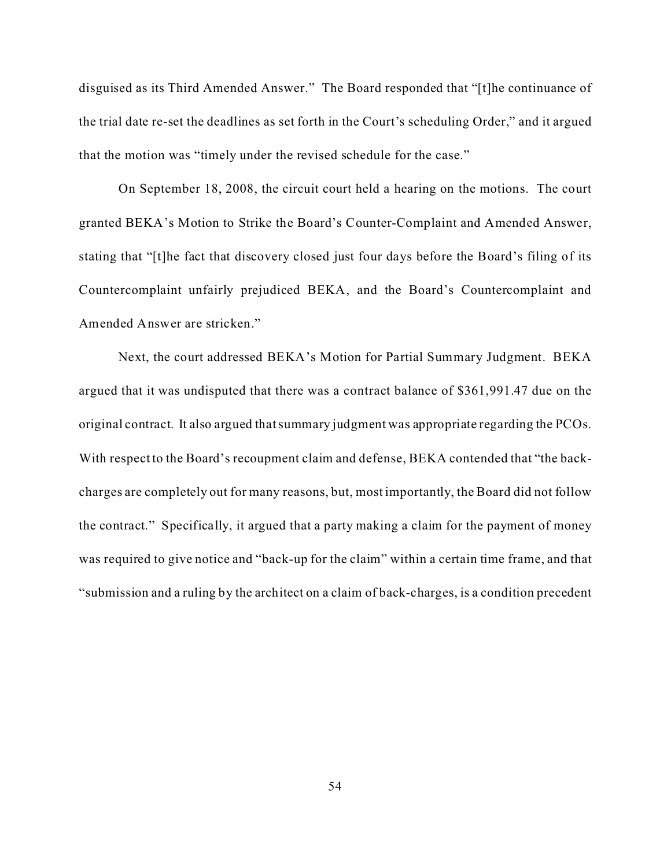disguised as its Third Amended Answer." The Board responded that "[t]he continuance of the trial date re-set the deadlines as set forth in the Court's scheduling Order," and it argued that the motion was "timely under the revised schedule for the case."

On September 18, 2008, the circuit court held a hearing on the motions. The court granted BEKA's Motion to Strike the Board's Counter-Complaint and Amended Answer, stating that "[t]he fact that discovery closed just four days before the Board's filing of its Countercomplaint unfairly prejudiced BEKA, and the Board's Countercomplaint and Amended Answer are stricken."

Next, the court addressed BEKA's Motion for Partial Summary Judgment. BEKA argued that it was undisputed that there was a contract balance of \$361,991.47 due on the original contract. It also argued that summary judgment was appropriate regarding the PCOs. With respect to the Board's recoupment claim and defense, BEKA contended that "the backcharges are completely out for many reasons, but, most importantly, the Board did not follow the contract." Specifically, it argued that a party making a claim for the payment of money was required to give notice and "back-up for the claim" within a certain time frame, and that "submission and a ruling by the architect on a claim of back-charges, is a condition precedent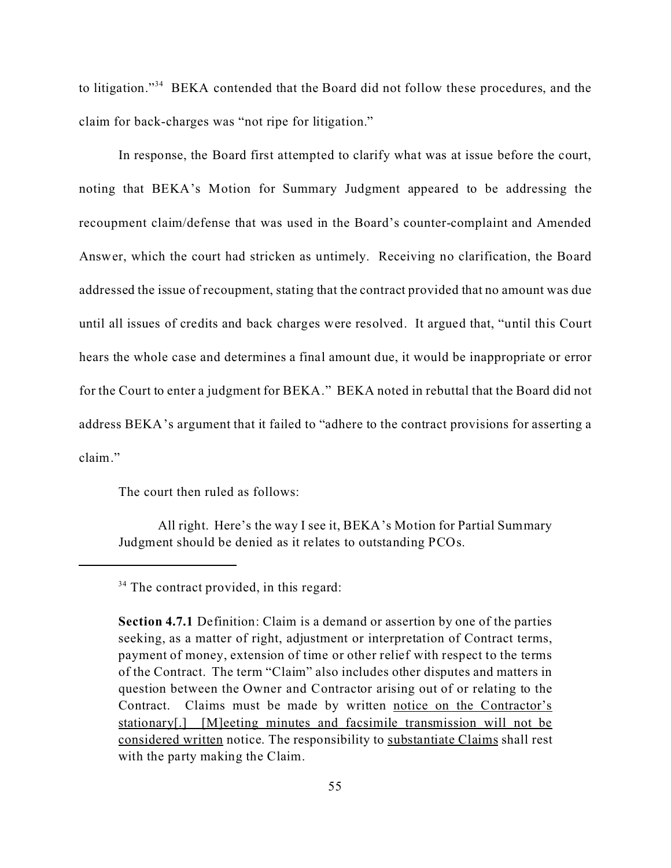to litigation."<sup>34</sup> BEKA contended that the Board did not follow these procedures, and the claim for back-charges was "not ripe for litigation."

In response, the Board first attempted to clarify what was at issue before the court, noting that BEKA's Motion for Summary Judgment appeared to be addressing the recoupment claim/defense that was used in the Board's counter-complaint and Amended Answer, which the court had stricken as untimely. Receiving no clarification, the Board addressed the issue of recoupment, stating that the contract provided that no amount was due until all issues of credits and back charges were resolved. It argued that, "until this Court hears the whole case and determines a final amount due, it would be inappropriate or error for the Court to enter a judgment for BEKA." BEKA noted in rebuttal that the Board did not address BEKA's argument that it failed to "adhere to the contract provisions for asserting a claim."

The court then ruled as follows:

All right. Here's the way I see it, BEKA's Motion for Partial Summary Judgment should be denied as it relates to outstanding PCOs.

<sup>&</sup>lt;sup>34</sup> The contract provided, in this regard:

**Section 4.7.1** Definition: Claim is a demand or assertion by one of the parties seeking, as a matter of right, adjustment or interpretation of Contract terms, payment of money, extension of time or other relief with respect to the terms of the Contract. The term "Claim" also includes other disputes and matters in question between the Owner and Contractor arising out of or relating to the Contract. Claims must be made by written notice on the Contractor's stationary[.] [M]eeting minutes and facsimile transmission will not be considered written notice. The responsibility to substantiate Claims shall rest with the party making the Claim.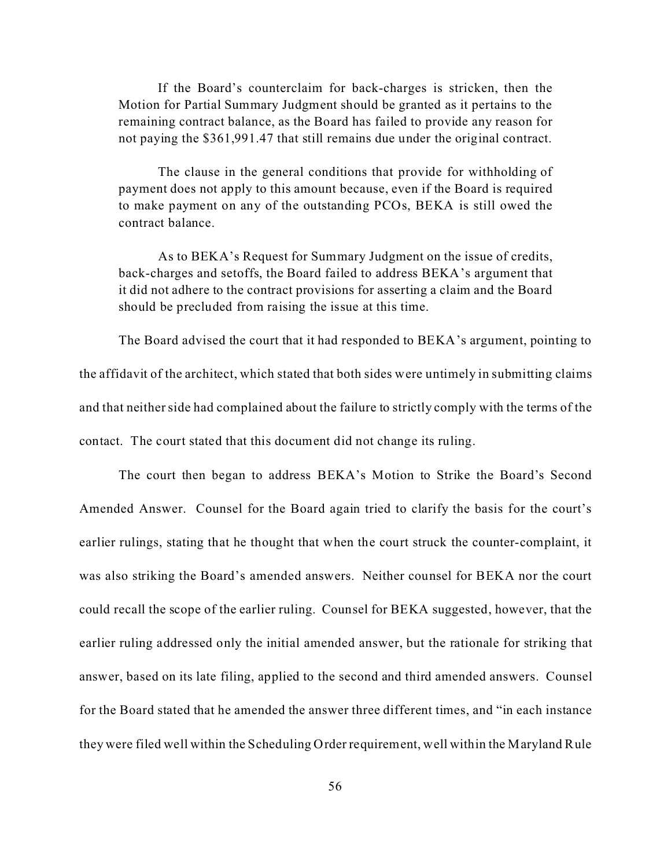If the Board's counterclaim for back-charges is stricken, then the Motion for Partial Summary Judgment should be granted as it pertains to the remaining contract balance, as the Board has failed to provide any reason for not paying the \$361,991.47 that still remains due under the original contract.

The clause in the general conditions that provide for withholding of payment does not apply to this amount because, even if the Board is required to make payment on any of the outstanding PCOs, BEKA is still owed the contract balance.

As to BEKA's Request for Summary Judgment on the issue of credits, back-charges and setoffs, the Board failed to address BEKA's argument that it did not adhere to the contract provisions for asserting a claim and the Board should be precluded from raising the issue at this time.

The Board advised the court that it had responded to BEKA's argument, pointing to the affidavit of the architect, which stated that both sides were untimely in submitting claims and that neither side had complained about the failure to strictly comply with the terms of the contact. The court stated that this document did not change its ruling.

The court then began to address BEKA's Motion to Strike the Board's Second Amended Answer. Counsel for the Board again tried to clarify the basis for the court's earlier rulings, stating that he thought that when the court struck the counter-complaint, it was also striking the Board's amended answers. Neither counsel for BEKA nor the court could recall the scope of the earlier ruling. Counsel for BEKA suggested, however, that the earlier ruling addressed only the initial amended answer, but the rationale for striking that answer, based on its late filing, applied to the second and third amended answers. Counsel for the Board stated that he amended the answer three different times, and "in each instance they were filed well within the Scheduling Order requirement, well within the Maryland Rule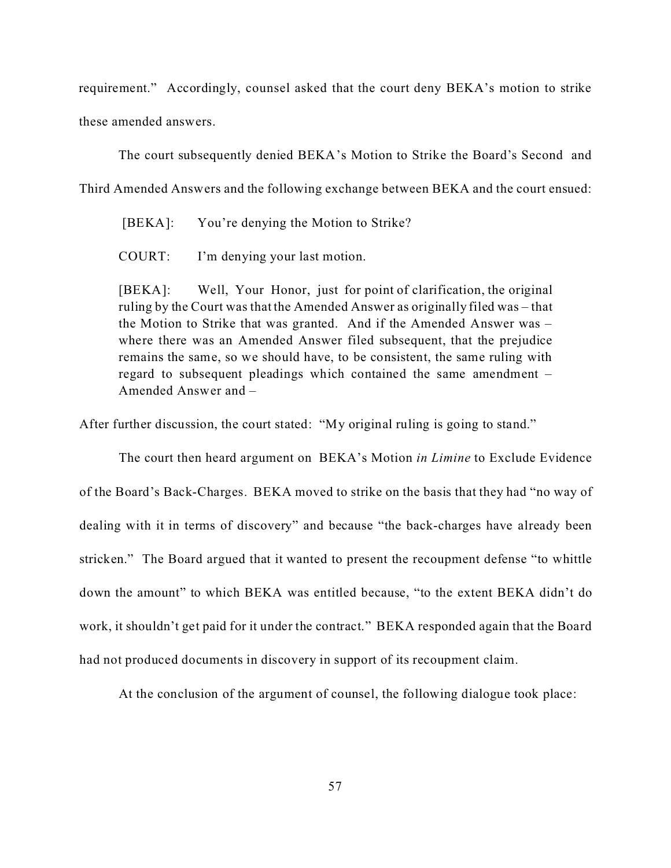requirement." Accordingly, counsel asked that the court deny BEKA's motion to strike these amended answers.

The court subsequently denied BEKA's Motion to Strike the Board's Second and

Third Amended Answers and the following exchange between BEKA and the court ensued:

[BEKA]: You're denying the Motion to Strike?

COURT: I'm denying your last motion.

[BEKA]: Well, Your Honor, just for point of clarification, the original ruling by the Court was that the Amended Answer as originally filed was – that the Motion to Strike that was granted. And if the Amended Answer was – where there was an Amended Answer filed subsequent, that the prejudice remains the same, so we should have, to be consistent, the same ruling with regard to subsequent pleadings which contained the same amendment – Amended Answer and –

After further discussion, the court stated: "My original ruling is going to stand."

The court then heard argument on BEKA's Motion *in Limine* to Exclude Evidence of the Board's Back-Charges. BEKA moved to strike on the basis that they had "no way of dealing with it in terms of discovery" and because "the back-charges have already been stricken." The Board argued that it wanted to present the recoupment defense "to whittle down the amount" to which BEKA was entitled because, "to the extent BEKA didn't do work, it shouldn't get paid for it under the contract." BEKA responded again that the Board had not produced documents in discovery in support of its recoupment claim.

At the conclusion of the argument of counsel, the following dialogue took place: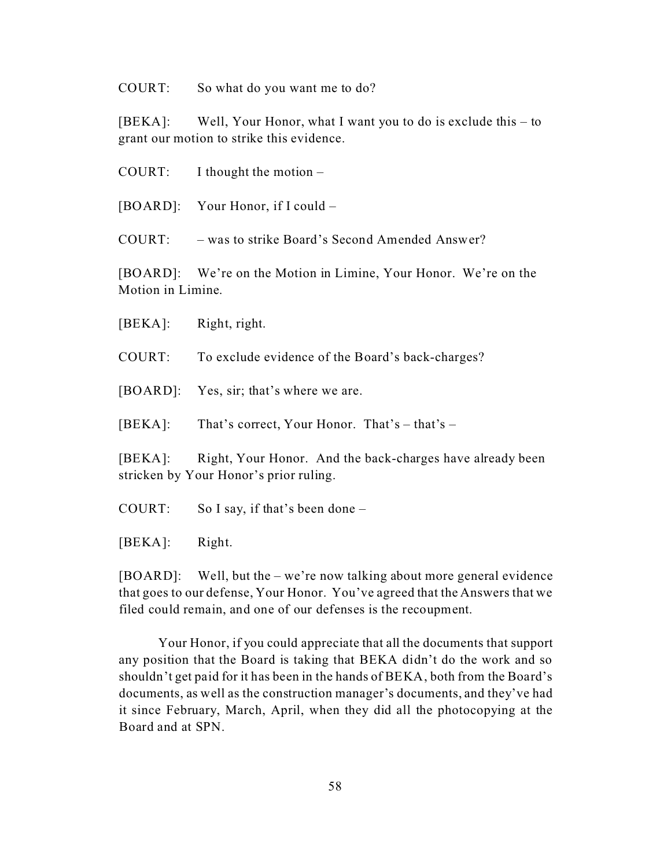COURT: So what do you want me to do?

[BEKA]: Well, Your Honor, what I want you to do is exclude this – to grant our motion to strike this evidence.

COURT: I thought the motion  $-$ 

[BOARD]: Your Honor, if I could –

COURT: – was to strike Board's Second Amended Answer?

[BOARD]: We're on the Motion in Limine, Your Honor. We're on the Motion in Limine.

[BEKA]: Right, right.

COURT: To exclude evidence of the Board's back-charges?

[BOARD]: Yes, sir; that's where we are.

[BEKA]: That's correct, Your Honor. That's – that's –

[BEKA]: Right, Your Honor. And the back-charges have already been stricken by Your Honor's prior ruling.

- COURT: So I say, if that's been done –
- [BEKA]: Right.

[BOARD]: Well, but the – we're now talking about more general evidence that goes to our defense, Your Honor. You've agreed that the Answers that we filed could remain, and one of our defenses is the recoupment.

Your Honor, if you could appreciate that all the documents that support any position that the Board is taking that BEKA didn't do the work and so shouldn't get paid for it has been in the hands of BEKA, both from the Board's documents, as well as the construction manager's documents, and they've had it since February, March, April, when they did all the photocopying at the Board and at SPN.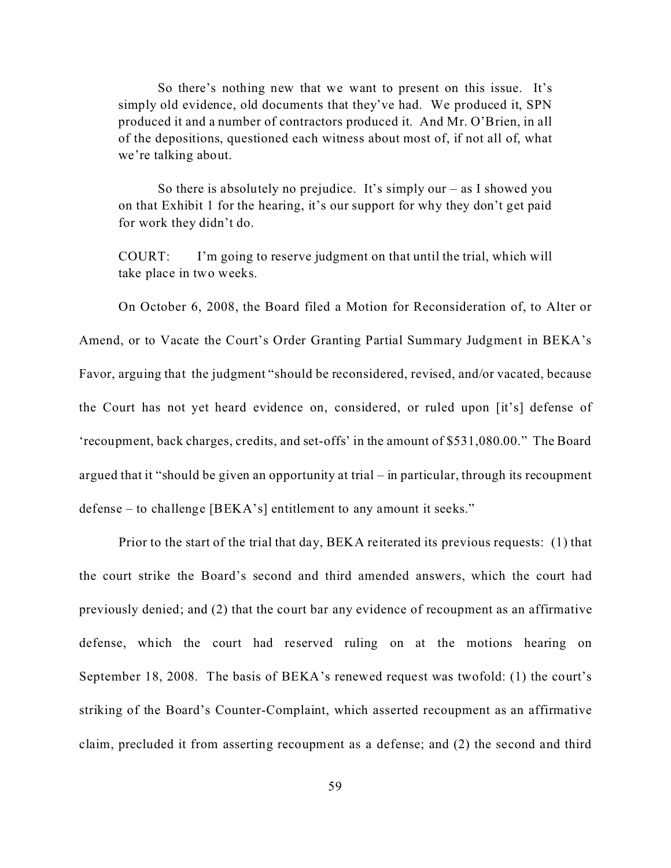So there's nothing new that we want to present on this issue. It's simply old evidence, old documents that they've had. We produced it, SPN produced it and a number of contractors produced it. And Mr. O'Brien, in all of the depositions, questioned each witness about most of, if not all of, what we're talking about.

So there is absolutely no prejudice. It's simply our  $-$  as I showed you on that Exhibit 1 for the hearing, it's our support for why they don't get paid for work they didn't do.

COURT: I'm going to reserve judgment on that until the trial, which will take place in two weeks.

On October 6, 2008, the Board filed a Motion for Reconsideration of, to Alter or Amend, or to Vacate the Court's Order Granting Partial Summary Judgment in BEKA's Favor, arguing that the judgment "should be reconsidered, revised, and/or vacated, because the Court has not yet heard evidence on, considered, or ruled upon [it's] defense of 'recoupment, back charges, credits, and set-offs' in the amount of \$531,080.00." The Board argued that it "should be given an opportunity at trial – in particular, through its recoupment defense – to challenge [BEKA's] entitlement to any amount it seeks."

Prior to the start of the trial that day, BEKA reiterated its previous requests: (1) that the court strike the Board's second and third amended answers, which the court had previously denied; and (2) that the court bar any evidence of recoupment as an affirmative defense, which the court had reserved ruling on at the motions hearing on September 18, 2008. The basis of BEKA's renewed request was twofold: (1) the court's striking of the Board's Counter-Complaint, which asserted recoupment as an affirmative claim, precluded it from asserting recoupment as a defense; and (2) the second and third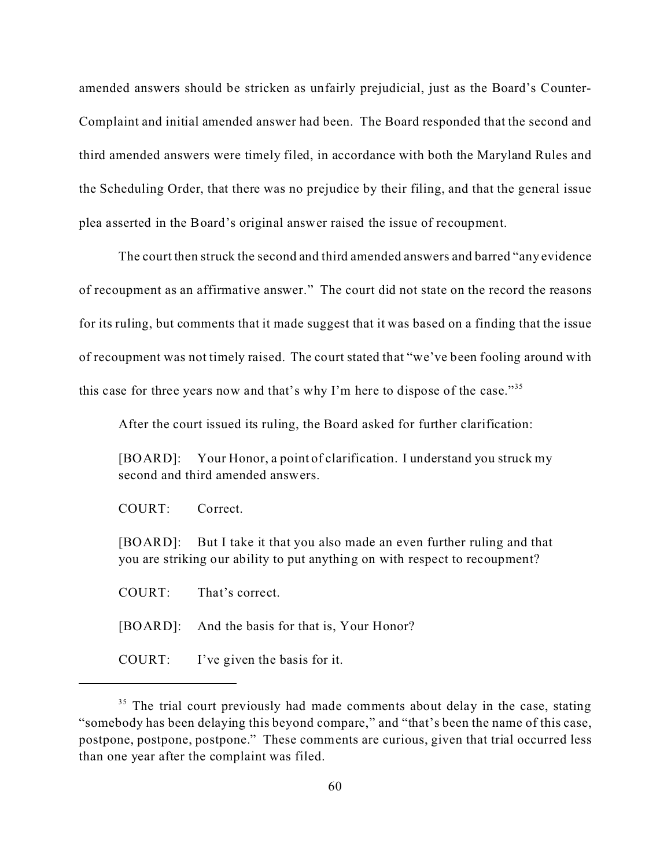amended answers should be stricken as unfairly prejudicial, just as the Board's Counter-Complaint and initial amended answer had been. The Board responded that the second and third amended answers were timely filed, in accordance with both the Maryland Rules and the Scheduling Order, that there was no prejudice by their filing, and that the general issue plea asserted in the Board's original answer raised the issue of recoupment.

The court then struck the second and third amended answers and barred "any evidence of recoupment as an affirmative answer." The court did not state on the record the reasons for its ruling, but comments that it made suggest that it was based on a finding that the issue of recoupment was not timely raised. The court stated that "we've been fooling around with this case for three years now and that's why I'm here to dispose of the case."<sup>35</sup>

After the court issued its ruling, the Board asked for further clarification:

[BOARD]: Your Honor, a point of clarification. I understand you struck my second and third amended answers.

COURT: Correct.

[BOARD]: But I take it that you also made an even further ruling and that you are striking our ability to put anything on with respect to recoupment?

COURT: That's correct.

[BOARD]: And the basis for that is, Your Honor?

COURT: I've given the basis for it.

<sup>&</sup>lt;sup>35</sup> The trial court previously had made comments about delay in the case, stating "somebody has been delaying this beyond compare," and "that's been the name of this case, postpone, postpone, postpone." These comments are curious, given that trial occurred less than one year after the complaint was filed.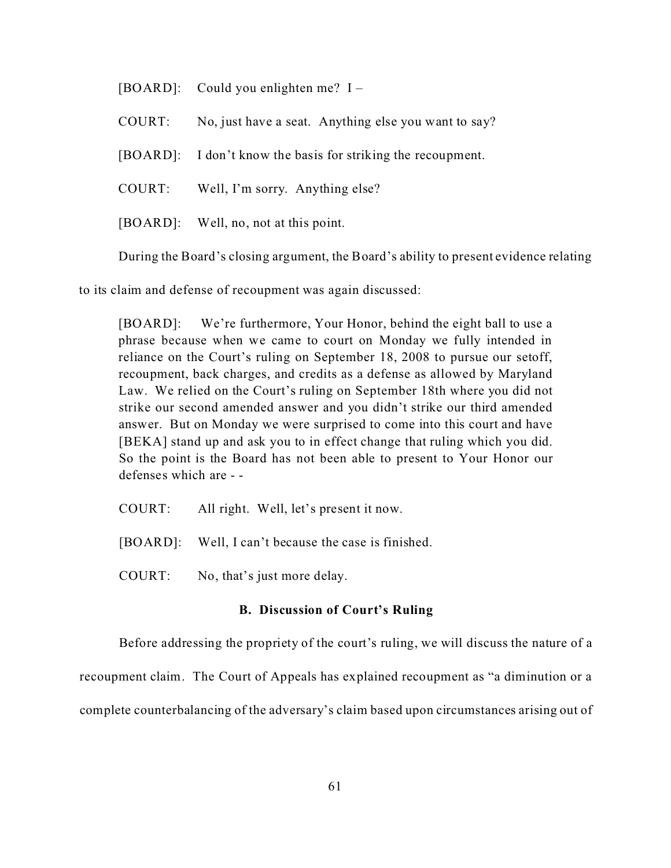[BOARD]: Could you enlighten me? I –

COURT: No, just have a seat. Anything else you want to say?

[BOARD]: I don't know the basis for striking the recoupment.

COURT: Well, I'm sorry. Anything else?

[BOARD]: Well, no, not at this point.

During the Board's closing argument, the Board's ability to present evidence relating

to its claim and defense of recoupment was again discussed:

[BOARD]: We're furthermore, Your Honor, behind the eight ball to use a phrase because when we came to court on Monday we fully intended in reliance on the Court's ruling on September 18, 2008 to pursue our setoff, recoupment, back charges, and credits as a defense as allowed by Maryland Law. We relied on the Court's ruling on September 18th where you did not strike our second amended answer and you didn't strike our third amended answer. But on Monday we were surprised to come into this court and have [BEKA] stand up and ask you to in effect change that ruling which you did. So the point is the Board has not been able to present to Your Honor our defenses which are - -

- COURT: All right. Well, let's present it now.
- [BOARD]: Well, I can't because the case is finished.
- COURT: No, that's just more delay.

# **B. Discussion of Court's Ruling**

Before addressing the propriety of the court's ruling, we will discuss the nature of a recoupment claim. The Court of Appeals has explained recoupment as "a diminution or a complete counterbalancing of the adversary's claim based upon circumstances arising out of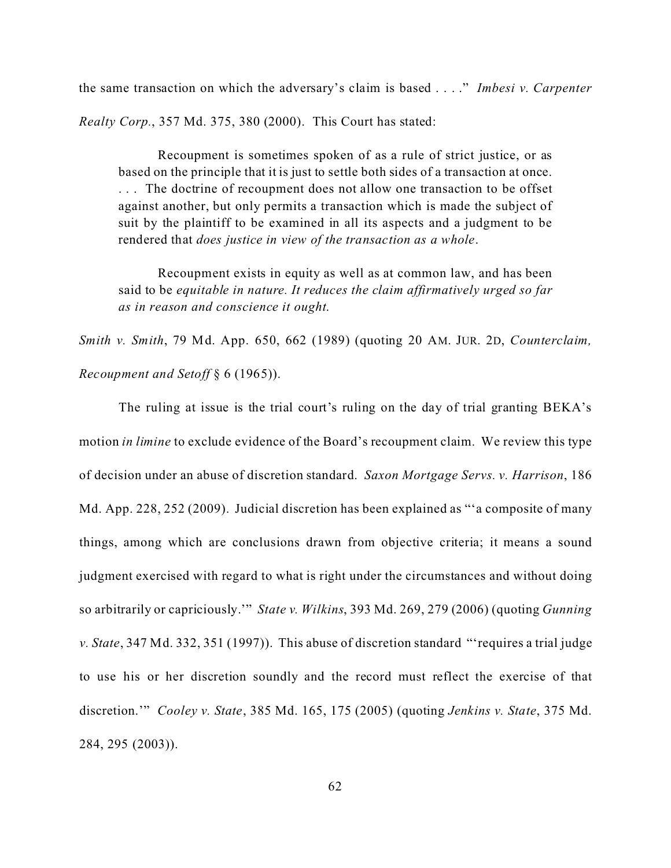the same transaction on which the adversary's claim is based . . . ." *Imbesi v. Carpenter Realty Corp.*, 357 Md. 375, 380 (2000). This Court has stated:

Recoupment is sometimes spoken of as a rule of strict justice, or as based on the principle that it is just to settle both sides of a transaction at once. . . . The doctrine of recoupment does not allow one transaction to be offset against another, but only permits a transaction which is made the subject of suit by the plaintiff to be examined in all its aspects and a judgment to be rendered that *does justice in view of the transaction as a whole*.

Recoupment exists in equity as well as at common law, and has been said to be *equitable in nature. It reduces the claim affirmatively urged so far as in reason and conscience it ought*.

*Smith v. Smith*, 79 Md. App. 650, 662 (1989) (quoting 20 AM. JUR. 2D, *Counterclaim, Recoupment and Setoff* § 6 (1965)).

The ruling at issue is the trial court's ruling on the day of trial granting BEKA's motion *in limine* to exclude evidence of the Board's recoupment claim. We review this type of decision under an abuse of discretion standard. *Saxon Mortgage Servs. v. Harrison*, 186 Md. App. 228, 252 (2009). Judicial discretion has been explained as "'a composite of many things, among which are conclusions drawn from objective criteria; it means a sound judgment exercised with regard to what is right under the circumstances and without doing so arbitrarily or capriciously.'" *State v. Wilkins*, 393 Md. 269, 279 (2006) (quoting *Gunning v. State*, 347 Md. 332, 351 (1997)). This abuse of discretion standard "'requires a trial judge to use his or her discretion soundly and the record must reflect the exercise of that discretion.'" *Cooley v. State*, 385 Md. 165, 175 (2005) (quoting *Jenkins v. State*, 375 Md. 284, 295 (2003)).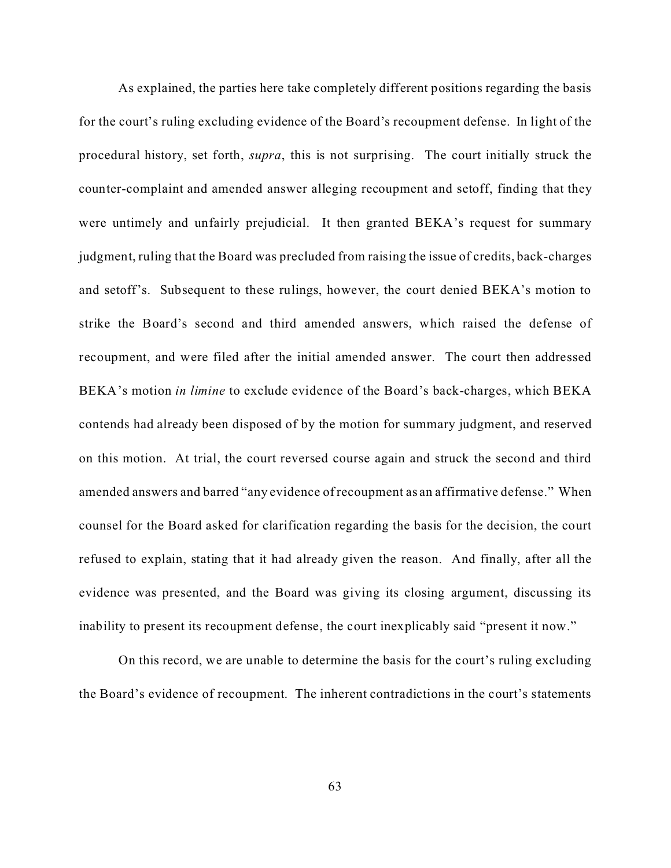As explained, the parties here take completely different positions regarding the basis for the court's ruling excluding evidence of the Board's recoupment defense. In light of the procedural history, set forth, *supra*, this is not surprising. The court initially struck the counter-complaint and amended answer alleging recoupment and setoff, finding that they were untimely and unfairly prejudicial. It then granted BEKA's request for summary judgment, ruling that the Board was precluded from raising the issue of credits, back-charges and setoff's. Subsequent to these rulings, however, the court denied BEKA's motion to strike the Board's second and third amended answers, which raised the defense of recoupment, and were filed after the initial amended answer. The court then addressed BEKA's motion *in limine* to exclude evidence of the Board's back-charges, which BEKA contends had already been disposed of by the motion for summary judgment, and reserved on this motion. At trial, the court reversed course again and struck the second and third amended answers and barred "any evidence of recoupment as an affirmative defense." When counsel for the Board asked for clarification regarding the basis for the decision, the court refused to explain, stating that it had already given the reason. And finally, after all the evidence was presented, and the Board was giving its closing argument, discussing its inability to present its recoupment defense, the court inexplicably said "present it now."

On this record, we are unable to determine the basis for the court's ruling excluding the Board's evidence of recoupment. The inherent contradictions in the court's statements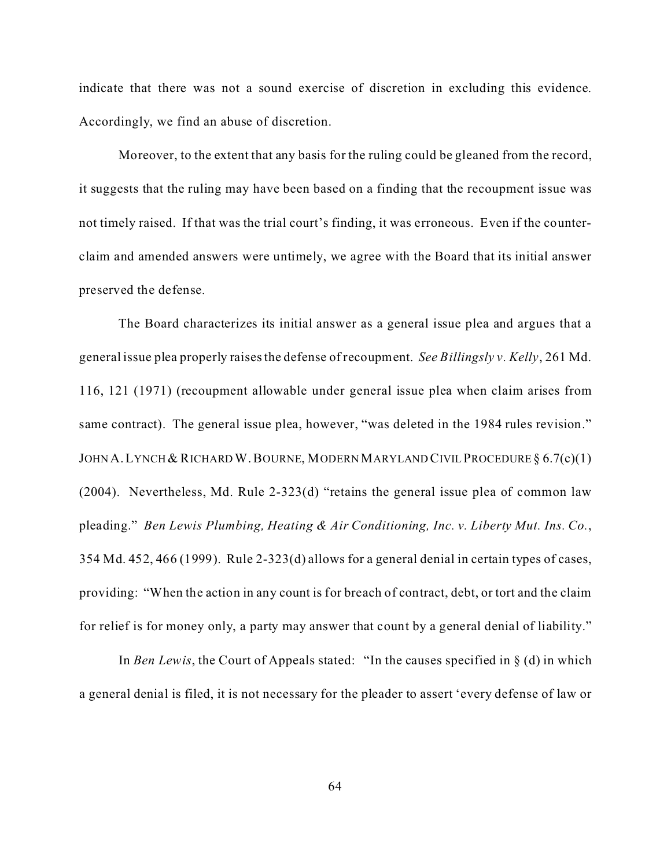indicate that there was not a sound exercise of discretion in excluding this evidence. Accordingly, we find an abuse of discretion.

Moreover, to the extent that any basis for the ruling could be gleaned from the record, it suggests that the ruling may have been based on a finding that the recoupment issue was not timely raised. If that was the trial court's finding, it was erroneous. Even if the counterclaim and amended answers were untimely, we agree with the Board that its initial answer preserved the defense.

The Board characterizes its initial answer as a general issue plea and argues that a general issue plea properly raises the defense of recoupment. *See Billingsly v. Kelly*, 261 Md. 116, 121 (1971) (recoupment allowable under general issue plea when claim arises from same contract). The general issue plea, however, "was deleted in the 1984 rules revision." JOHN A. LYNCH & RICHARD W. BOURNE, MODERN MARYLAND CIVIL PROCEDURE § 6.7(c)(1) (2004). Nevertheless, Md. Rule 2-323(d) "retains the general issue plea of common law pleading." *Ben Lewis Plumbing, Heating & Air Conditioning, Inc. v. Liberty Mut. Ins. Co.*, 354 Md. 452, 466 (1999). Rule 2-323(d) allows for a general denial in certain types of cases, providing: "When the action in any count is for breach of contract, debt, or tort and the claim for relief is for money only, a party may answer that count by a general denial of liability."

In *Ben Lewis*, the Court of Appeals stated: "In the causes specified in § (d) in which a general denial is filed, it is not necessary for the pleader to assert 'every defense of law or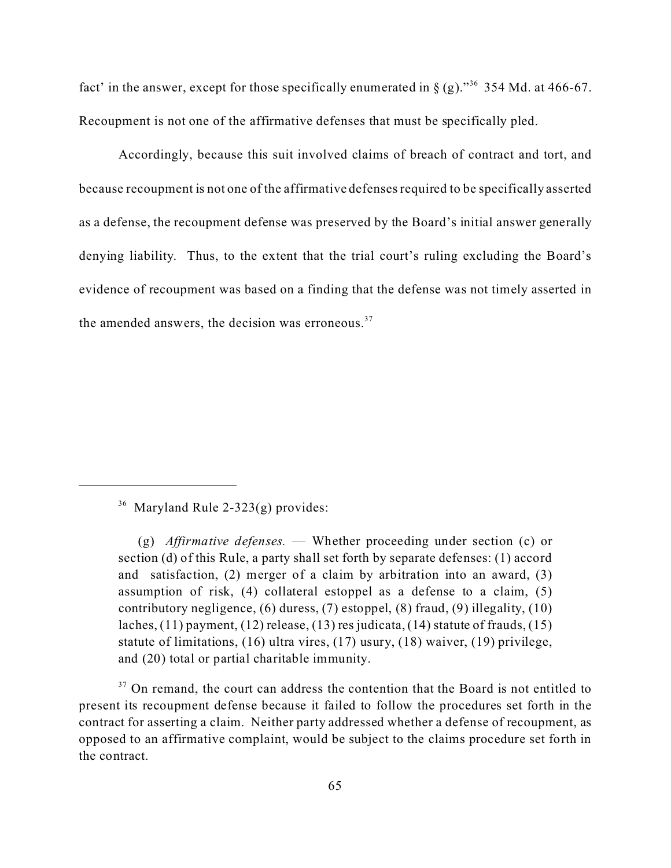fact' in the answer, except for those specifically enumerated in  $\S$  (g).<sup>36</sup> 354 Md. at 466-67. Recoupment is not one of the affirmative defenses that must be specifically pled.

Accordingly, because this suit involved claims of breach of contract and tort, and because recoupment is not one of the affirmative defenses required to be specifically asserted as a defense, the recoupment defense was preserved by the Board's initial answer generally denying liability. Thus, to the extent that the trial court's ruling excluding the Board's evidence of recoupment was based on a finding that the defense was not timely asserted in the amended answers, the decision was erroneous. $37$ 

 $36$  Maryland Rule 2-323(g) provides:

<sup>37</sup> On remand, the court can address the contention that the Board is not entitled to present its recoupment defense because it failed to follow the procedures set forth in the contract for asserting a claim. Neither party addressed whether a defense of recoupment, as opposed to an affirmative complaint, would be subject to the claims procedure set forth in the contract.

<sup>(</sup>g) *Affirmative defenses.* — Whether proceeding under section (c) or section (d) of this Rule, a party shall set forth by separate defenses: (1) accord and satisfaction, (2) merger of a claim by arbitration into an award, (3) assumption of risk, (4) collateral estoppel as a defense to a claim, (5) contributory negligence, (6) duress, (7) estoppel, (8) fraud, (9) illegality, (10) laches, (11) payment, (12) release, (13) res judicata, (14) statute of frauds, (15) statute of limitations, (16) ultra vires, (17) usury, (18) waiver, (19) privilege, and (20) total or partial charitable immunity.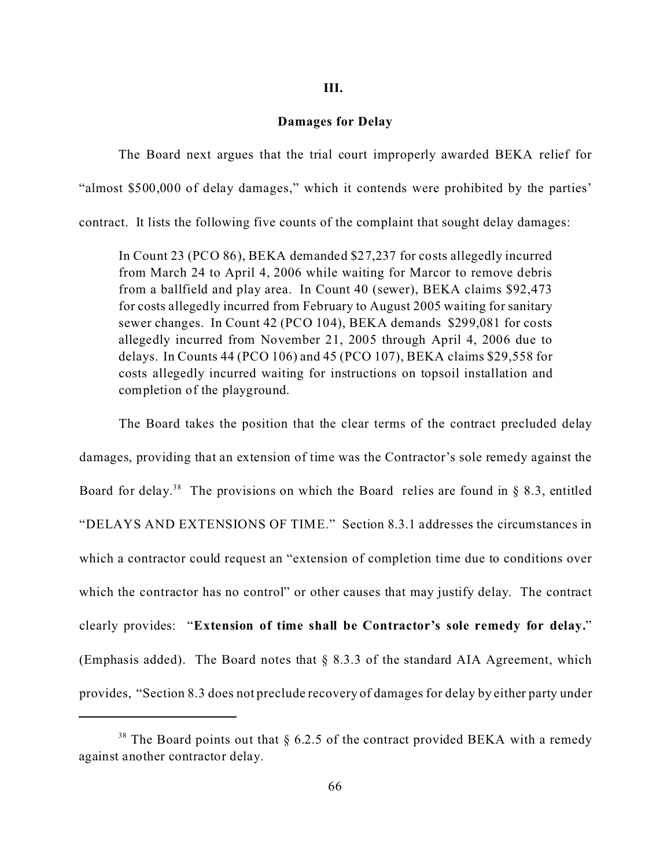#### **III.**

## **Damages for Delay**

The Board next argues that the trial court improperly awarded BEKA relief for "almost \$500,000 of delay damages," which it contends were prohibited by the parties' contract. It lists the following five counts of the complaint that sought delay damages:

In Count 23 (PCO 86), BEKA demanded \$27,237 for costs allegedly incurred from March 24 to April 4, 2006 while waiting for Marcor to remove debris from a ballfield and play area. In Count 40 (sewer), BEKA claims \$92,473 for costs allegedly incurred from February to August 2005 waiting for sanitary sewer changes. In Count 42 (PCO 104), BEKA demands \$299,081 for costs allegedly incurred from November 21, 2005 through April 4, 2006 due to delays. In Counts 44 (PCO 106) and 45 (PCO 107), BEKA claims \$29,558 for costs allegedly incurred waiting for instructions on topsoil installation and completion of the playground.

The Board takes the position that the clear terms of the contract precluded delay damages, providing that an extension of time was the Contractor's sole remedy against the Board for delay.<sup>38</sup> The provisions on which the Board relies are found in § 8.3, entitled "DELAYS AND EXTENSIONS OF TIME." Section 8.3.1 addresses the circumstances in which a contractor could request an "extension of completion time due to conditions over which the contractor has no control" or other causes that may justify delay. The contract clearly provides: "**Extension of time shall be Contractor's sole remedy for delay.**" (Emphasis added). The Board notes that § 8.3.3 of the standard AIA Agreement, which provides, "Section 8.3 does not preclude recovery of damages for delay by either party under

<sup>&</sup>lt;sup>38</sup> The Board points out that  $\S$  6.2.5 of the contract provided BEKA with a remedy against another contractor delay.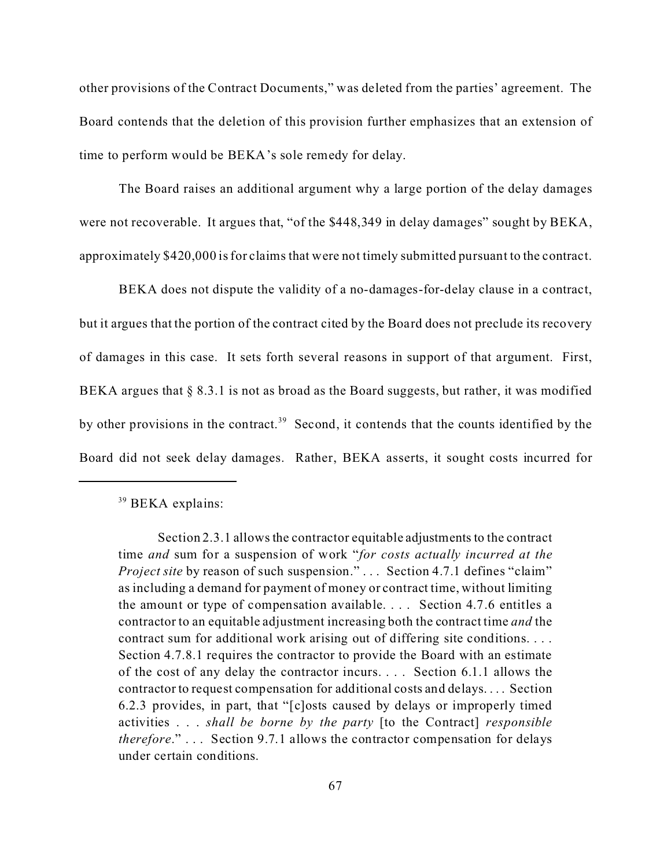other provisions of the Contract Documents," was deleted from the parties' agreement. The Board contends that the deletion of this provision further emphasizes that an extension of time to perform would be BEKA's sole remedy for delay.

The Board raises an additional argument why a large portion of the delay damages were not recoverable. It argues that, "of the \$448,349 in delay damages" sought by BEKA, approximately \$420,000 is for claims that were not timely submitted pursuant to the contract.

BEKA does not dispute the validity of a no-damages-for-delay clause in a contract, but it argues that the portion of the contract cited by the Board does not preclude its recovery of damages in this case. It sets forth several reasons in support of that argument. First, BEKA argues that § 8.3.1 is not as broad as the Board suggests, but rather, it was modified by other provisions in the contract.<sup>39</sup> Second, it contends that the counts identified by the Board did not seek delay damages. Rather, BEKA asserts, it sought costs incurred for

<sup>&</sup>lt;sup>39</sup> BEKA explains:

Section 2.3.1 allows the contractor equitable adjustments to the contract time *and* sum for a suspension of work "*for costs actually incurred at the Project site* by reason of such suspension." . . . Section 4.7.1 defines "claim" as including a demand for payment of money or contract time, without limiting the amount or type of compensation available. . . . Section 4.7.6 entitles a contractor to an equitable adjustment increasing both the contract time *and* the contract sum for additional work arising out of differing site conditions. . . . Section 4.7.8.1 requires the contractor to provide the Board with an estimate of the cost of any delay the contractor incurs. . . . Section 6.1.1 allows the contractor to request compensation for additional costs and delays. . . . Section 6.2.3 provides, in part, that "[c]osts caused by delays or improperly timed activities . . . *shall be borne by the party* [to the Contract] *responsible therefore*." . . . Section 9.7.1 allows the contractor compensation for delays under certain conditions.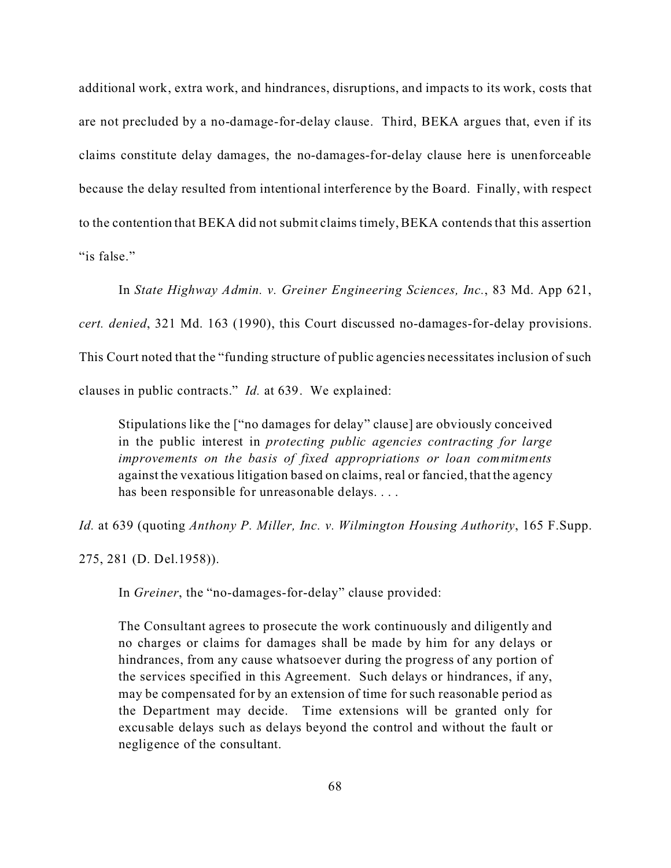additional work, extra work, and hindrances, disruptions, and impacts to its work, costs that are not precluded by a no-damage-for-delay clause. Third, BEKA argues that, even if its claims constitute delay damages, the no-damages-for-delay clause here is unenforceable because the delay resulted from intentional interference by the Board. Finally, with respect to the contention that BEKA did not submit claims timely, BEKA contends that this assertion "is false."

In *State Highway Admin. v. Greiner Engineering Sciences, Inc.*, 83 Md. App 621,

*cert. denied*, 321 Md. 163 (1990), this Court discussed no-damages-for-delay provisions.

This Court noted that the "funding structure of public agencies necessitates inclusion of such

clauses in public contracts." *Id.* at 639. We explained:

Stipulations like the ["no damages for delay" clause] are obviously conceived in the public interest in *protecting public agencies contracting for large improvements on the basis of fixed appropriations or loan commitments* against the vexatious litigation based on claims, real or fancied, that the agency has been responsible for unreasonable delays. . . .

*Id.* at 639 (quoting *Anthony P. Miller, Inc. v. Wilmington Housing Authority*, 165 F.Supp.

275, 281 (D. Del.1958)).

In *Greiner*, the "no-damages-for-delay" clause provided:

The Consultant agrees to prosecute the work continuously and diligently and no charges or claims for damages shall be made by him for any delays or hindrances, from any cause whatsoever during the progress of any portion of the services specified in this Agreement. Such delays or hindrances, if any, may be compensated for by an extension of time for such reasonable period as the Department may decide. Time extensions will be granted only for excusable delays such as delays beyond the control and without the fault or negligence of the consultant.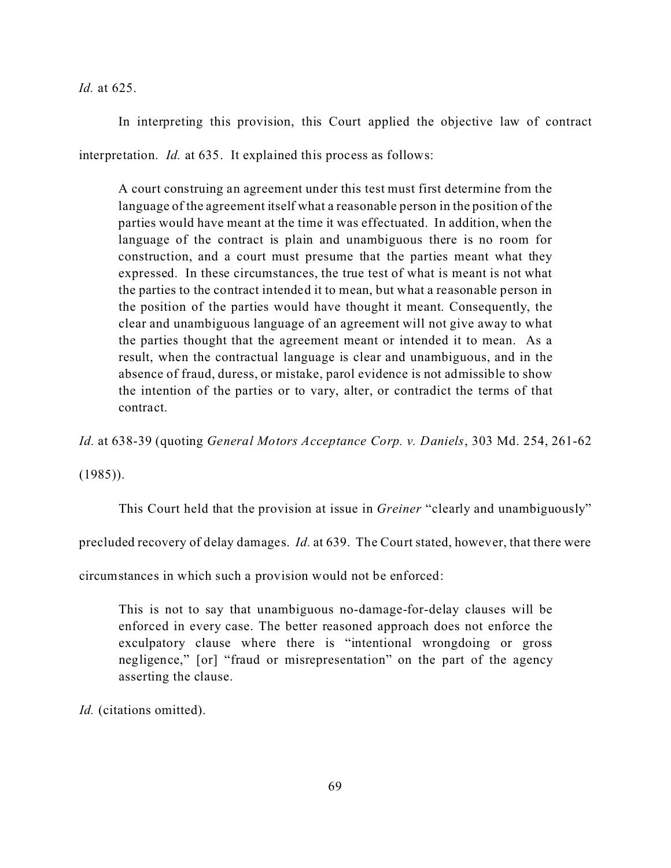*Id.* at 625.

In interpreting this provision, this Court applied the objective law of contract interpretation. *Id.* at 635. It explained this process as follows:

A court construing an agreement under this test must first determine from the language of the agreement itself what a reasonable person in the position of the parties would have meant at the time it was effectuated. In addition, when the language of the contract is plain and unambiguous there is no room for construction, and a court must presume that the parties meant what they expressed. In these circumstances, the true test of what is meant is not what the parties to the contract intended it to mean, but what a reasonable person in the position of the parties would have thought it meant. Consequently, the clear and unambiguous language of an agreement will not give away to what the parties thought that the agreement meant or intended it to mean. As a result, when the contractual language is clear and unambiguous, and in the absence of fraud, duress, or mistake, parol evidence is not admissible to show the intention of the parties or to vary, alter, or contradict the terms of that contract.

*Id.* at 638-39 (quoting *General Motors Acceptance Corp. v. Daniels*, 303 Md. 254, 261-62

 $(1985)$ ).

This Court held that the provision at issue in *Greiner* "clearly and unambiguously"

precluded recovery of delay damages. *Id.* at 639. The Court stated, however, that there were

circumstances in which such a provision would not be enforced:

This is not to say that unambiguous no-damage-for-delay clauses will be enforced in every case. The better reasoned approach does not enforce the exculpatory clause where there is "intentional wrongdoing or gross negligence," [or] "fraud or misrepresentation" on the part of the agency asserting the clause.

*Id.* (citations omitted).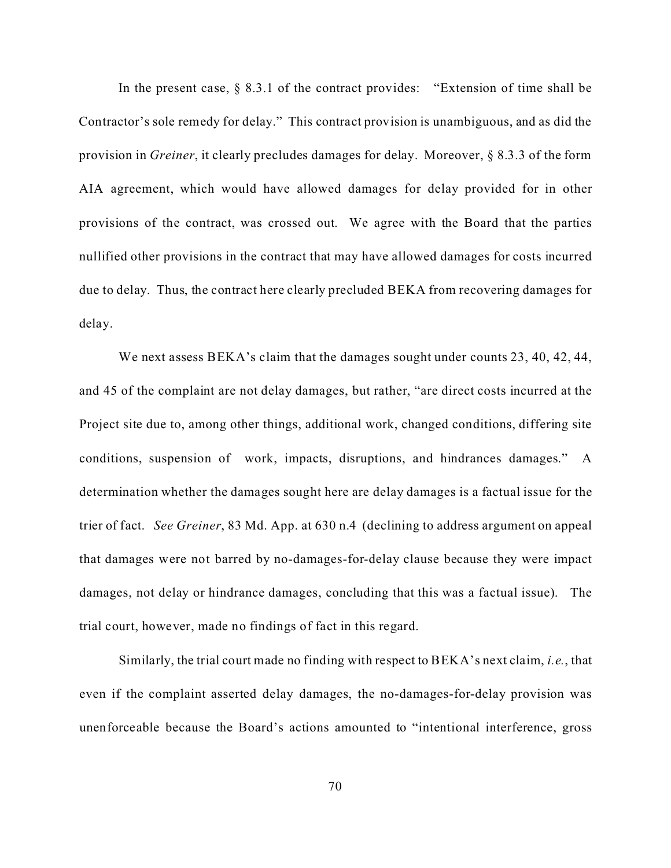In the present case,  $\S$  8.3.1 of the contract provides: "Extension of time shall be Contractor's sole remedy for delay." This contract provision is unambiguous, and as did the provision in *Greiner*, it clearly precludes damages for delay. Moreover, § 8.3.3 of the form AIA agreement, which would have allowed damages for delay provided for in other provisions of the contract, was crossed out. We agree with the Board that the parties nullified other provisions in the contract that may have allowed damages for costs incurred due to delay. Thus, the contract here clearly precluded BEKA from recovering damages for delay.

We next assess BEKA's claim that the damages sought under counts 23, 40, 42, 44, and 45 of the complaint are not delay damages, but rather, "are direct costs incurred at the Project site due to, among other things, additional work, changed conditions, differing site conditions, suspension of work, impacts, disruptions, and hindrances damages." A determination whether the damages sought here are delay damages is a factual issue for the trier of fact. *See Greiner*, 83 Md. App. at 630 n.4 (declining to address argument on appeal that damages were not barred by no-damages-for-delay clause because they were impact damages, not delay or hindrance damages, concluding that this was a factual issue). The trial court, however, made no findings of fact in this regard.

Similarly, the trial court made no finding with respect to BEKA's next claim, *i.e.*, that even if the complaint asserted delay damages, the no-damages-for-delay provision was unenforceable because the Board's actions amounted to "intentional interference, gross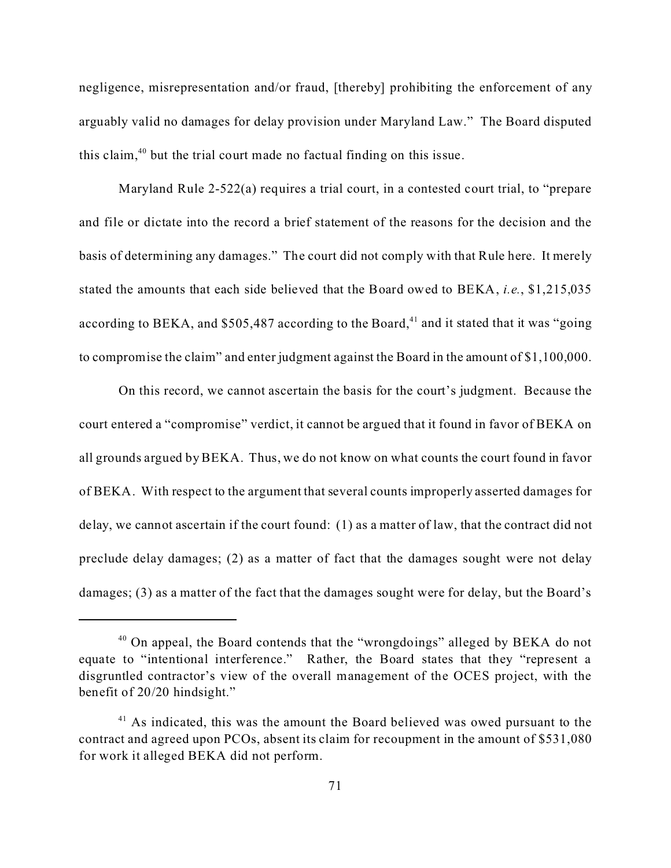negligence, misrepresentation and/or fraud, [thereby] prohibiting the enforcement of any arguably valid no damages for delay provision under Maryland Law." The Board disputed this claim, $40$  but the trial court made no factual finding on this issue.

Maryland Rule 2-522(a) requires a trial court, in a contested court trial, to "prepare and file or dictate into the record a brief statement of the reasons for the decision and the basis of determining any damages." The court did not comply with that Rule here. It merely stated the amounts that each side believed that the Board owed to BEKA, *i.e.*, \$1,215,035 according to BEKA, and  $$505,487$  according to the Board,<sup>41</sup> and it stated that it was "going" to compromise the claim" and enter judgment against the Board in the amount of \$1,100,000.

On this record, we cannot ascertain the basis for the court's judgment. Because the court entered a "compromise" verdict, it cannot be argued that it found in favor of BEKA on all grounds argued by BEKA. Thus, we do not know on what counts the court found in favor of BEKA. With respect to the argument that several counts improperly asserted damages for delay, we cannot ascertain if the court found: (1) as a matter of law, that the contract did not preclude delay damages; (2) as a matter of fact that the damages sought were not delay damages; (3) as a matter of the fact that the damages sought were for delay, but the Board's

<sup>&</sup>lt;sup>40</sup> On appeal, the Board contends that the "wrongdoings" alleged by BEKA do not equate to "intentional interference." Rather, the Board states that they "represent a disgruntled contractor's view of the overall management of the OCES project, with the benefit of 20/20 hindsight."

 $41$  As indicated, this was the amount the Board believed was owed pursuant to the contract and agreed upon PCOs, absent its claim for recoupment in the amount of \$531,080 for work it alleged BEKA did not perform.